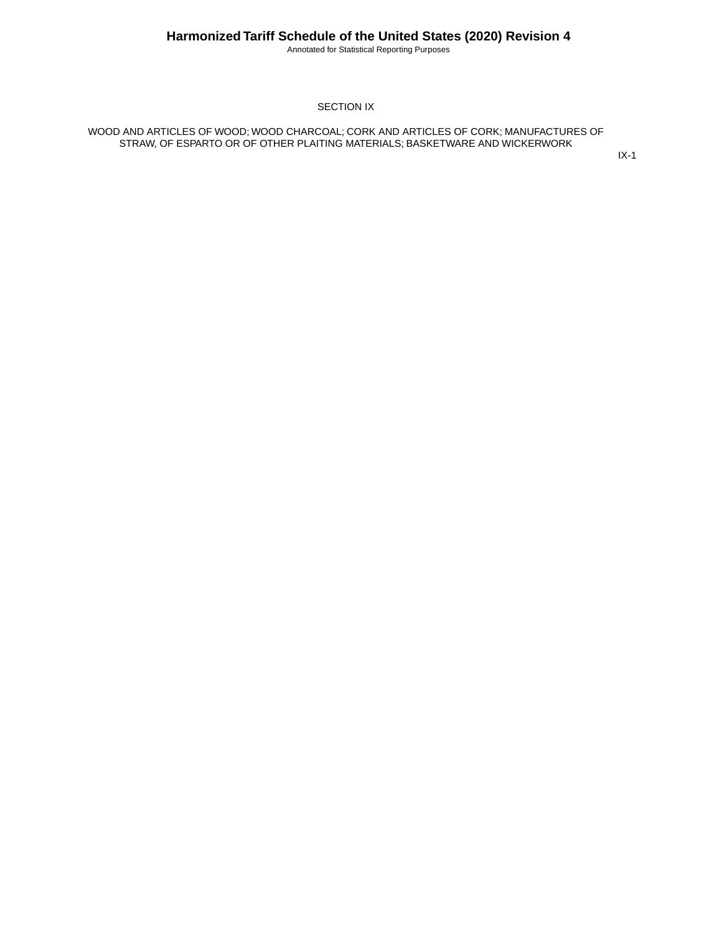Annotated for Statistical Reporting Purposes

#### SECTION IX

WOOD AND ARTICLES OF WOOD; WOOD CHARCOAL; CORK AND ARTICLES OF CORK; MANUFACTURES OF STRAW, OF ESPARTO OR OF OTHER PLAITING MATERIALS; BASKETWARE AND WICKERWORK

IX-1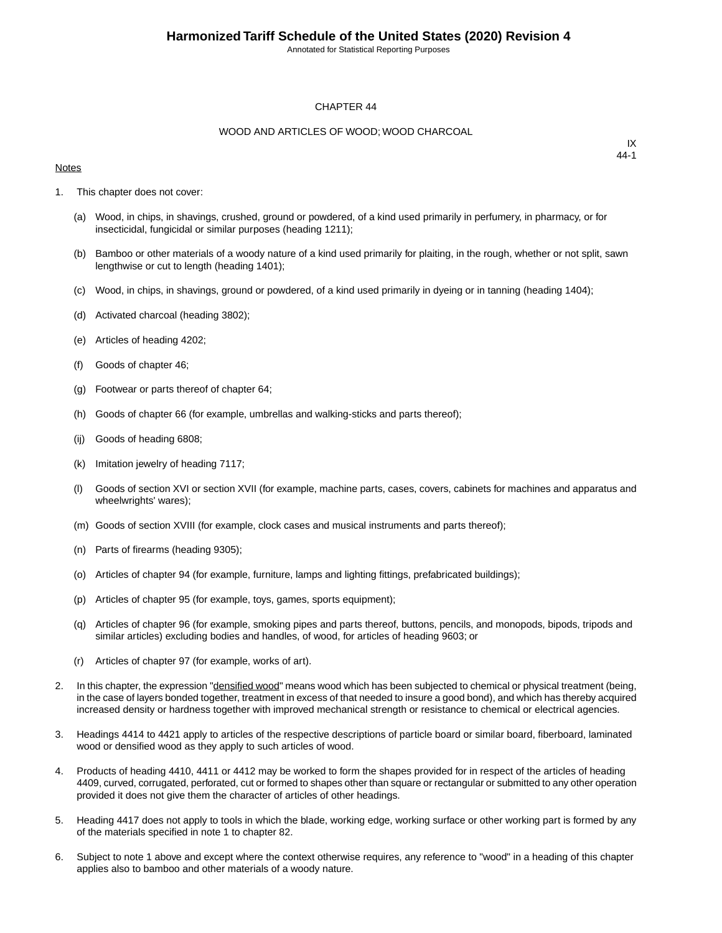Annotated for Statistical Reporting Purposes

#### CHAPTER 44

#### WOOD AND ARTICLES OF WOOD; WOOD CHARCOAL

#### **Notes**

- 1. This chapter does not cover:
	- (a) Wood, in chips, in shavings, crushed, ground or powdered, of a kind used primarily in perfumery, in pharmacy, or for insecticidal, fungicidal or similar purposes (heading 1211);
	- (b) Bamboo or other materials of a woody nature of a kind used primarily for plaiting, in the rough, whether or not split, sawn lengthwise or cut to length (heading 1401);
	- (c) Wood, in chips, in shavings, ground or powdered, of a kind used primarily in dyeing or in tanning (heading 1404);
	- (d) Activated charcoal (heading 3802);
	- (e) Articles of heading 4202;
	- (f) Goods of chapter 46;
	- (g) Footwear or parts thereof of chapter 64;
	- (h) Goods of chapter 66 (for example, umbrellas and walking-sticks and parts thereof);
	- (ij) Goods of heading 6808;
	- (k) Imitation jewelry of heading 7117;
	- (l) Goods of section XVI or section XVII (for example, machine parts, cases, covers, cabinets for machines and apparatus and wheelwrights' wares);
	- (m) Goods of section XVIII (for example, clock cases and musical instruments and parts thereof);
	- (n) Parts of firearms (heading 9305);
	- (o) Articles of chapter 94 (for example, furniture, lamps and lighting fittings, prefabricated buildings);
	- (p) Articles of chapter 95 (for example, toys, games, sports equipment);
	- (q) Articles of chapter 96 (for example, smoking pipes and parts thereof, buttons, pencils, and monopods, bipods, tripods and similar articles) excluding bodies and handles, of wood, for articles of heading 9603; or
	- (r) Articles of chapter 97 (for example, works of art).
- 2. In this chapter, the expression "densified wood" means wood which has been subjected to chemical or physical treatment (being, in the case of layers bonded together, treatment in excess of that needed to insure a good bond), and which has thereby acquired increased density or hardness together with improved mechanical strength or resistance to chemical or electrical agencies.
- 3. Headings 4414 to 4421 apply to articles of the respective descriptions of particle board or similar board, fiberboard, laminated wood or densified wood as they apply to such articles of wood.
- 4. Products of heading 4410, 4411 or 4412 may be worked to form the shapes provided for in respect of the articles of heading 4409, curved, corrugated, perforated, cut or formed to shapes other than square or rectangular or submitted to any other operation provided it does not give them the character of articles of other headings.
- 5. Heading 4417 does not apply to tools in which the blade, working edge, working surface or other working part is formed by any of the materials specified in note 1 to chapter 82.
- 6. Subject to note 1 above and except where the context otherwise requires, any reference to "wood" in a heading of this chapter applies also to bamboo and other materials of a woody nature.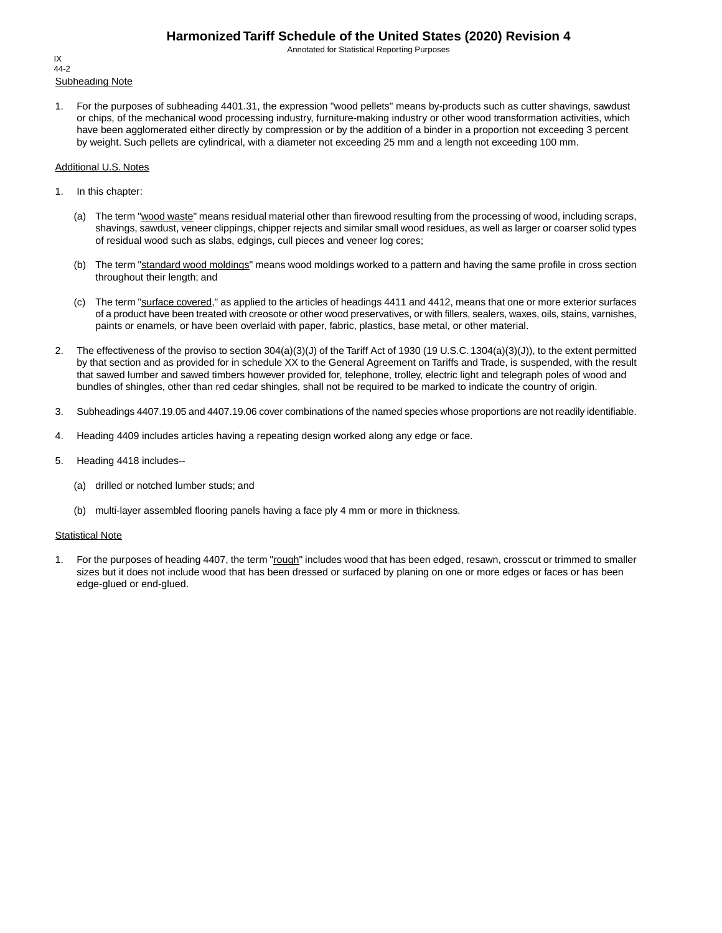Annotated for Statistical Reporting Purposes

Subheading Note IX 44-2

1. For the purposes of subheading 4401.31, the expression "wood pellets" means by-products such as cutter shavings, sawdust or chips, of the mechanical wood processing industry, furniture-making industry or other wood transformation activities, which have been agglomerated either directly by compression or by the addition of a binder in a proportion not exceeding 3 percent by weight. Such pellets are cylindrical, with a diameter not exceeding 25 mm and a length not exceeding 100 mm.

#### Additional U.S. Notes

- 1. In this chapter:
	- (a) The term "wood waste" means residual material other than firewood resulting from the processing of wood, including scraps, shavings, sawdust, veneer clippings, chipper rejects and similar small wood residues, as well as larger or coarser solid types of residual wood such as slabs, edgings, cull pieces and veneer log cores;
	- (b) The term "standard wood moldings" means wood moldings worked to a pattern and having the same profile in cross section throughout their length; and
	- (c) The term "surface covered," as applied to the articles of headings 4411 and 4412, means that one or more exterior surfaces of a product have been treated with creosote or other wood preservatives, or with fillers, sealers, waxes, oils, stains, varnishes, paints or enamels, or have been overlaid with paper, fabric, plastics, base metal, or other material.
- 2. The effectiveness of the proviso to section 304(a)(3)(J) of the Tariff Act of 1930 (19 U.S.C. 1304(a)(3)(J)), to the extent permitted by that section and as provided for in schedule XX to the General Agreement on Tariffs and Trade, is suspended, with the result that sawed lumber and sawed timbers however provided for, telephone, trolley, electric light and telegraph poles of wood and bundles of shingles, other than red cedar shingles, shall not be required to be marked to indicate the country of origin.
- 3. Subheadings 4407.19.05 and 4407.19.06 cover combinations of the named species whose proportions are not readily identifiable.
- 4. Heading 4409 includes articles having a repeating design worked along any edge or face.
- 5. Heading 4418 includes--
	- (a) drilled or notched lumber studs; and
	- (b) multi-layer assembled flooring panels having a face ply 4 mm or more in thickness.

#### **Statistical Note**

1. For the purposes of heading 4407, the term "rough" includes wood that has been edged, resawn, crosscut or trimmed to smaller sizes but it does not include wood that has been dressed or surfaced by planing on one or more edges or faces or has been edge-glued or end-glued.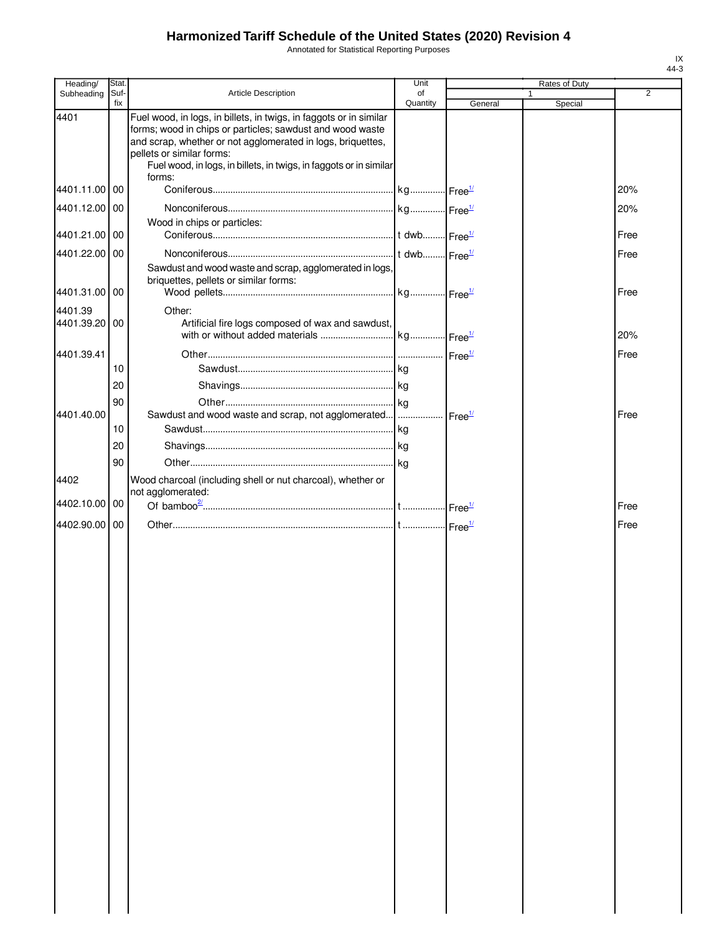Annotated for Statistical Reporting Purposes

| Heading/      | Stat.       |                                                                                                                                                                                                                                                                                                   | Unit           |         |   | Rates of Duty |                |
|---------------|-------------|---------------------------------------------------------------------------------------------------------------------------------------------------------------------------------------------------------------------------------------------------------------------------------------------------|----------------|---------|---|---------------|----------------|
| Subheading    | Suf-<br>fix | <b>Article Description</b>                                                                                                                                                                                                                                                                        | of<br>Quantity | General | 1 | Special       | $\overline{2}$ |
| 4401          |             | Fuel wood, in logs, in billets, in twigs, in faggots or in similar<br>forms; wood in chips or particles; sawdust and wood waste<br>and scrap, whether or not agglomerated in logs, briquettes,<br>pellets or similar forms:<br>Fuel wood, in logs, in billets, in twigs, in faggots or in similar |                |         |   |               |                |
| 4401.11.00 00 |             | forms:                                                                                                                                                                                                                                                                                            |                |         |   |               | 20%            |
| 4401.12.00 00 |             |                                                                                                                                                                                                                                                                                                   |                |         |   |               | 20%            |
| 4401.21.00 00 |             | Wood in chips or particles:                                                                                                                                                                                                                                                                       |                |         |   |               | Free           |
| 4401.22.00 00 |             |                                                                                                                                                                                                                                                                                                   |                |         |   |               | Free           |
|               |             | Sawdust and wood waste and scrap, agglomerated in logs,<br>briquettes, pellets or similar forms:                                                                                                                                                                                                  |                |         |   |               |                |
| 4401.31.00 00 |             |                                                                                                                                                                                                                                                                                                   |                |         |   |               | Free           |
| 4401.39       |             | Other:                                                                                                                                                                                                                                                                                            |                |         |   |               |                |
| 4401.39.20 00 |             | Artificial fire logs composed of wax and sawdust,                                                                                                                                                                                                                                                 |                |         |   |               | 20%            |
| 4401.39.41    |             |                                                                                                                                                                                                                                                                                                   |                |         |   |               | Free           |
|               | 10          |                                                                                                                                                                                                                                                                                                   |                |         |   |               |                |
|               | 20          |                                                                                                                                                                                                                                                                                                   |                |         |   |               |                |
|               | 90          |                                                                                                                                                                                                                                                                                                   |                |         |   |               |                |
| 4401.40.00    |             | Sawdust and wood waste and scrap, not agglomerated      Free <sup>1/</sup>                                                                                                                                                                                                                        |                |         |   |               | Free           |
|               | 10          |                                                                                                                                                                                                                                                                                                   |                |         |   |               |                |
|               | 20          |                                                                                                                                                                                                                                                                                                   |                |         |   |               |                |
|               | 90          |                                                                                                                                                                                                                                                                                                   |                |         |   |               |                |
| 4402          |             | Wood charcoal (including shell or nut charcoal), whether or<br>not agglomerated:                                                                                                                                                                                                                  |                |         |   |               |                |
| 4402.10.00 00 |             |                                                                                                                                                                                                                                                                                                   |                |         |   |               | Free           |
| 4402.90.00    | <b>00</b>   |                                                                                                                                                                                                                                                                                                   |                |         |   |               | Free           |
|               |             |                                                                                                                                                                                                                                                                                                   |                |         |   |               |                |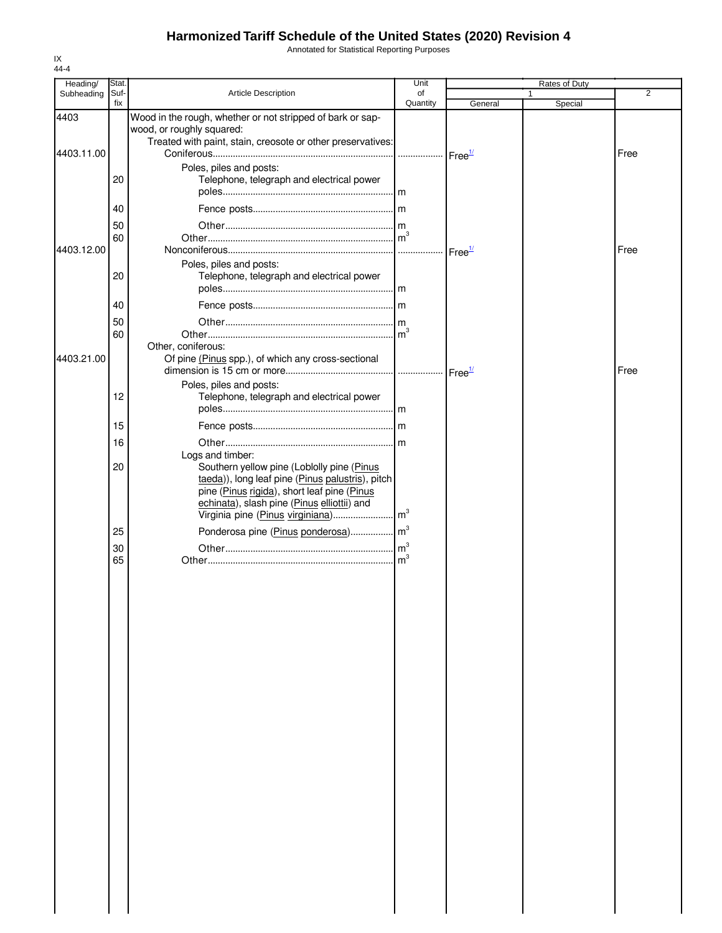Annotated for Statistical Reporting Purposes

| Heading/   | Stat.       |                                                                                                                                                                                              | Unit           |         | Rates of Duty |      |
|------------|-------------|----------------------------------------------------------------------------------------------------------------------------------------------------------------------------------------------|----------------|---------|---------------|------|
| Subheading | Suf-<br>fix | Article Description                                                                                                                                                                          | of<br>Quantity | General | Special       | 2    |
| 4403       |             | Wood in the rough, whether or not stripped of bark or sap-<br>wood, or roughly squared:<br>Treated with paint, stain, creosote or other preservatives:                                       |                |         |               |      |
| 4403.11.00 |             |                                                                                                                                                                                              |                |         |               | Free |
|            | 20          | Poles, piles and posts:<br>Telephone, telegraph and electrical power                                                                                                                         |                |         |               |      |
|            | 40          |                                                                                                                                                                                              |                |         |               |      |
|            | 50          |                                                                                                                                                                                              |                |         |               |      |
|            | 60          |                                                                                                                                                                                              | $\mathsf{m}^3$ |         |               |      |
| 4403.12.00 |             |                                                                                                                                                                                              |                |         |               | Free |
|            | 20          | Poles, piles and posts:<br>Telephone, telegraph and electrical power                                                                                                                         |                |         |               |      |
|            | 40          |                                                                                                                                                                                              |                |         |               |      |
|            |             |                                                                                                                                                                                              |                |         |               |      |
|            | 50<br>60    |                                                                                                                                                                                              |                |         |               |      |
| 4403.21.00 |             | Other, coniferous:<br>Of pine (Pinus spp.), of which any cross-sectional                                                                                                                     |                |         |               | Free |
|            |             | Poles, piles and posts:                                                                                                                                                                      |                |         |               |      |
|            | 12          | Telephone, telegraph and electrical power                                                                                                                                                    |                |         |               |      |
|            | 15          |                                                                                                                                                                                              |                |         |               |      |
|            | 16          |                                                                                                                                                                                              |                |         |               |      |
|            |             | Logs and timber:                                                                                                                                                                             |                |         |               |      |
|            | 20          | Southern yellow pine (Loblolly pine (Pinus<br>taeda)), long leaf pine (Pinus palustris), pitch<br>pine (Pinus rigida), short leaf pine (Pinus<br>echinata), slash pine (Pinus elliottii) and |                |         |               |      |
|            |             |                                                                                                                                                                                              |                |         |               |      |
|            | 25          | Ponderosa pine (Pinus ponderosa) m <sup>3</sup>                                                                                                                                              |                |         |               |      |
|            | 30          |                                                                                                                                                                                              |                |         |               |      |
|            | 65          |                                                                                                                                                                                              |                |         |               |      |
|            |             |                                                                                                                                                                                              |                |         |               |      |
|            |             |                                                                                                                                                                                              |                |         |               |      |
|            |             |                                                                                                                                                                                              |                |         |               |      |
|            |             |                                                                                                                                                                                              |                |         |               |      |
|            |             |                                                                                                                                                                                              |                |         |               |      |
|            |             |                                                                                                                                                                                              |                |         |               |      |
|            |             |                                                                                                                                                                                              |                |         |               |      |
|            |             |                                                                                                                                                                                              |                |         |               |      |
|            |             |                                                                                                                                                                                              |                |         |               |      |
|            |             |                                                                                                                                                                                              |                |         |               |      |
|            |             |                                                                                                                                                                                              |                |         |               |      |
|            |             |                                                                                                                                                                                              |                |         |               |      |
|            |             |                                                                                                                                                                                              |                |         |               |      |
|            |             |                                                                                                                                                                                              |                |         |               |      |
|            |             |                                                                                                                                                                                              |                |         |               |      |
|            |             |                                                                                                                                                                                              |                |         |               |      |
|            |             |                                                                                                                                                                                              |                |         |               |      |
|            |             |                                                                                                                                                                                              |                |         |               |      |
|            |             |                                                                                                                                                                                              |                |         |               |      |
|            |             |                                                                                                                                                                                              |                |         |               |      |
|            |             |                                                                                                                                                                                              |                |         |               |      |
|            |             |                                                                                                                                                                                              |                |         |               |      |
|            |             |                                                                                                                                                                                              |                |         |               |      |
|            |             |                                                                                                                                                                                              |                |         |               |      |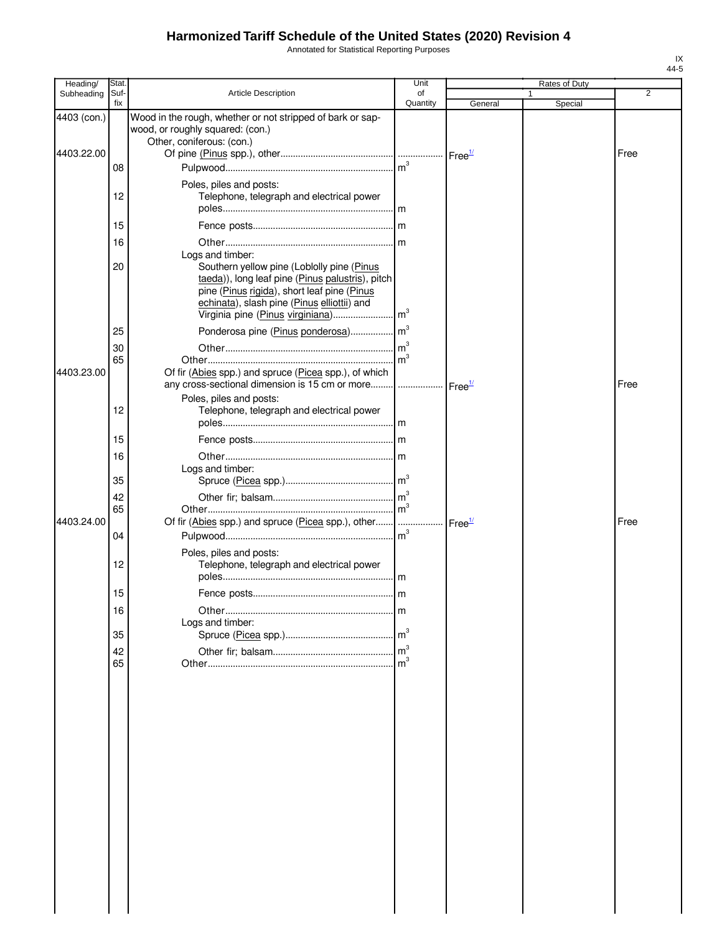Annotated for Statistical Reporting Purposes

| Heading/    | Stat.       |                                                                                                                                                                                                                  | Unit           |         | Rates of Duty |                |
|-------------|-------------|------------------------------------------------------------------------------------------------------------------------------------------------------------------------------------------------------------------|----------------|---------|---------------|----------------|
| Subheading  | Suf-<br>fix | <b>Article Description</b>                                                                                                                                                                                       | of<br>Quantity | General | Special       | $\overline{2}$ |
| 4403 (con.) |             | Wood in the rough, whether or not stripped of bark or sap-<br>wood, or roughly squared: (con.)<br>Other, coniferous: (con.)                                                                                      |                |         |               |                |
| 4403.22.00  | 08          |                                                                                                                                                                                                                  |                |         |               | Free           |
|             | 12          | Poles, piles and posts:<br>Telephone, telegraph and electrical power                                                                                                                                             |                |         |               |                |
|             | 15          |                                                                                                                                                                                                                  |                |         |               |                |
|             | 16          |                                                                                                                                                                                                                  |                |         |               |                |
|             | 20          | Logs and timber:<br>Southern yellow pine (Loblolly pine (Pinus<br>taeda)), long leaf pine (Pinus palustris), pitch<br>pine (Pinus rigida), short leaf pine (Pinus<br>echinata), slash pine (Pinus elliottii) and |                |         |               |                |
|             | 25          |                                                                                                                                                                                                                  |                |         |               |                |
| 4403.23.00  | 30<br>65    | Of fir (Abies spp.) and spruce (Picea spp.), of which<br>any cross-sectional dimension is 15 cm or more  Free <sup>1/</sup>                                                                                      |                |         |               | Free           |
|             | 12          | Poles, piles and posts:<br>Telephone, telegraph and electrical power                                                                                                                                             |                |         |               |                |
|             | 15          |                                                                                                                                                                                                                  |                |         |               |                |
|             | 16          | Logs and timber:                                                                                                                                                                                                 |                |         |               |                |
|             | 35          |                                                                                                                                                                                                                  |                |         |               |                |
|             | 42          |                                                                                                                                                                                                                  |                |         |               |                |
| 4403.24.00  | 65          | Of fir (Abies spp.) and spruce (Picea spp.), other    Free <sup>1/</sup>                                                                                                                                         |                |         |               | Free           |
|             | 04          |                                                                                                                                                                                                                  |                |         |               |                |
|             | 12          | Poles, piles and posts:<br>Telephone, telegraph and electrical power                                                                                                                                             |                |         |               |                |
|             | 15          |                                                                                                                                                                                                                  |                |         |               |                |
|             | 16          |                                                                                                                                                                                                                  | .Im            |         |               |                |
|             | 35          | Logs and timber:                                                                                                                                                                                                 |                |         |               |                |
|             | 42<br>65    |                                                                                                                                                                                                                  |                |         |               |                |
|             |             |                                                                                                                                                                                                                  |                |         |               |                |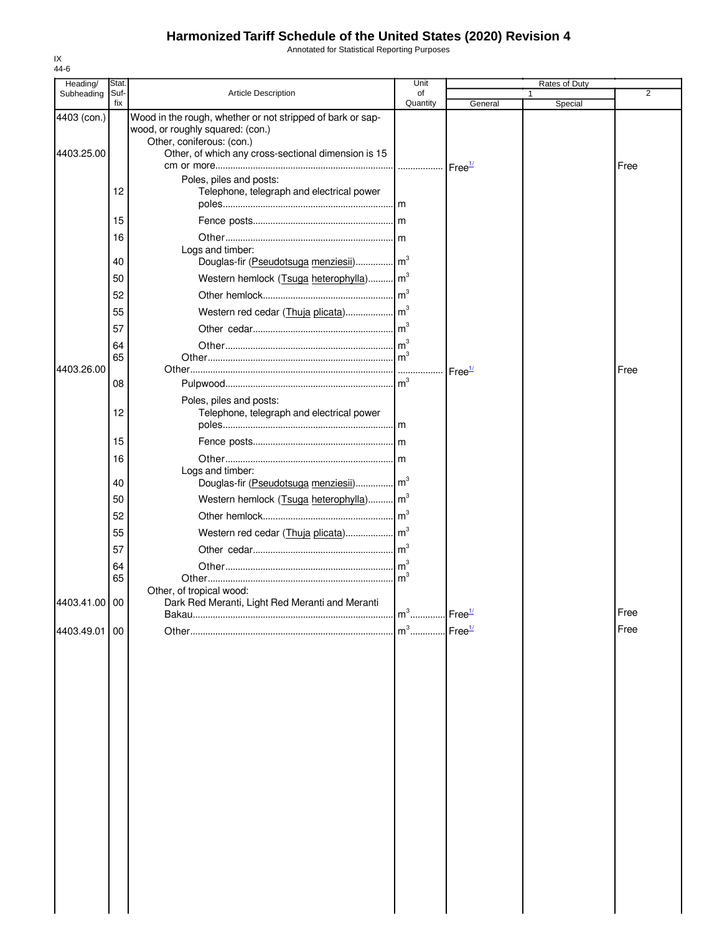Annotated for Statistical Reporting Purposes

| Heading/<br>Subheading    | Stat<br>Suf- | <b>Article Description</b>                                                                                                                                                         | Unit<br>of                        |                    | Rates of Duty<br>1 | 2    |
|---------------------------|--------------|------------------------------------------------------------------------------------------------------------------------------------------------------------------------------------|-----------------------------------|--------------------|--------------------|------|
|                           | fix          |                                                                                                                                                                                    | Quantity                          | General            | Special            |      |
| 4403 (con.)<br>4403.25.00 |              | Wood in the rough, whether or not stripped of bark or sap-<br>wood, or roughly squared: (con.)<br>Other, coniferous: (con.)<br>Other, of which any cross-sectional dimension is 15 |                                   |                    |                    |      |
|                           |              | Poles, piles and posts:                                                                                                                                                            |                                   |                    |                    | Free |
|                           | 12           | Telephone, telegraph and electrical power                                                                                                                                          |                                   |                    |                    |      |
|                           | 15           |                                                                                                                                                                                    |                                   |                    |                    |      |
|                           | 16           | Logs and timber:                                                                                                                                                                   |                                   |                    |                    |      |
|                           | 40           | Douglas-fir (Pseudotsuga menziesii) m <sup>3</sup>                                                                                                                                 |                                   |                    |                    |      |
|                           | 50           | Western hemlock (Tsuga heterophylla) m <sup>3</sup>                                                                                                                                |                                   |                    |                    |      |
|                           | 52           |                                                                                                                                                                                    |                                   |                    |                    |      |
|                           | 55           |                                                                                                                                                                                    |                                   |                    |                    |      |
|                           | 57           |                                                                                                                                                                                    |                                   |                    |                    |      |
|                           | 64           |                                                                                                                                                                                    |                                   |                    |                    |      |
| 4403.26.00                | 65           |                                                                                                                                                                                    |                                   | Free <sup>1/</sup> |                    | Free |
|                           | 08           |                                                                                                                                                                                    |                                   |                    |                    |      |
|                           | 12           | Poles, piles and posts:<br>Telephone, telegraph and electrical power                                                                                                               |                                   |                    |                    |      |
|                           | 15           |                                                                                                                                                                                    |                                   |                    |                    |      |
|                           | 16           |                                                                                                                                                                                    |                                   |                    |                    |      |
|                           | 40           | Logs and timber:<br>Douglas-fir (Pseudotsuga menziesii) m <sup>3</sup>                                                                                                             |                                   |                    |                    |      |
|                           | 50           | Western hemlock (Tsuga heterophylla) m <sup>3</sup>                                                                                                                                |                                   |                    |                    |      |
|                           | 52           |                                                                                                                                                                                    |                                   |                    |                    |      |
|                           | 55           |                                                                                                                                                                                    |                                   |                    |                    |      |
|                           | 57           |                                                                                                                                                                                    |                                   |                    |                    |      |
|                           | 64           |                                                                                                                                                                                    |                                   |                    |                    |      |
|                           | 65           |                                                                                                                                                                                    |                                   |                    |                    |      |
| 4403.41.00 00             |              | Other, of tropical wood:<br>Dark Red Meranti, Light Red Meranti and Meranti                                                                                                        | $m^3$                             | Free <sup>1/</sup> |                    | Free |
| 4403.49.01 00             |              |                                                                                                                                                                                    | m <sup>3</sup> Free <sup>1/</sup> |                    |                    | Free |
|                           |              |                                                                                                                                                                                    |                                   |                    |                    |      |

IX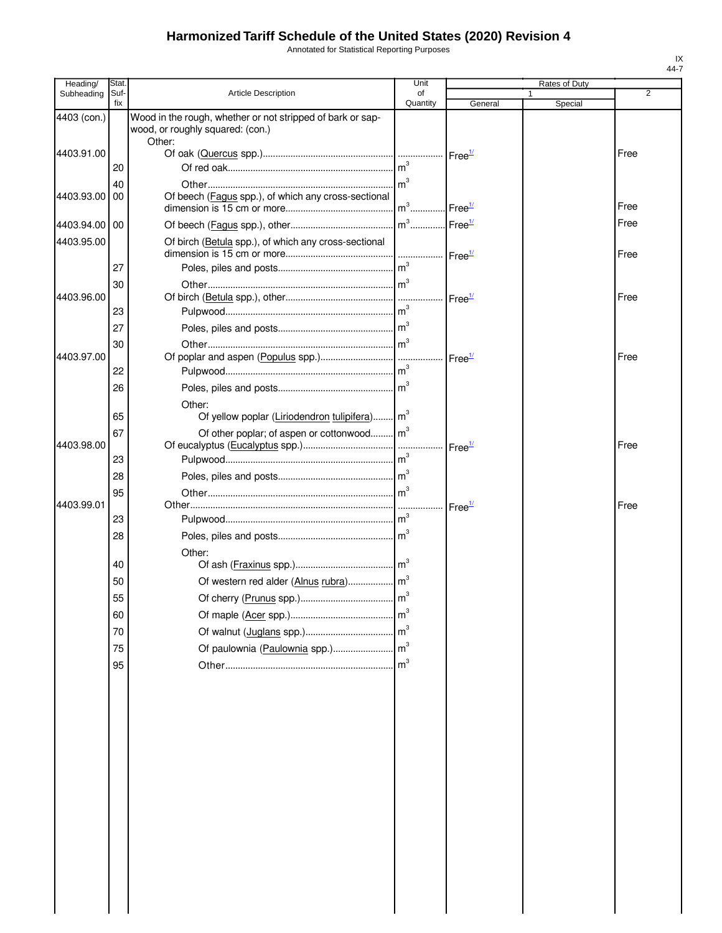Annotated for Statistical Reporting Purposes

| Heading/      | Stat.       |                                                            | Unit            |                                 | Rates of Duty |                |
|---------------|-------------|------------------------------------------------------------|-----------------|---------------------------------|---------------|----------------|
| Subheading    | Suf-<br>fix | <b>Article Description</b>                                 | of<br>Quantity  |                                 |               | $\overline{2}$ |
| 4403 (con.)   |             | Wood in the rough, whether or not stripped of bark or sap- |                 | General                         | Special       |                |
|               |             | wood, or roughly squared: (con.)                           |                 |                                 |               |                |
|               |             | Other:                                                     |                 |                                 |               |                |
| 4403.91.00    |             |                                                            |                 | Free <sup>1/</sup>              |               | Free           |
|               | 20          |                                                            | m <sup>3</sup>  |                                 |               |                |
|               | 40          |                                                            | $\mathsf{Im}^3$ |                                 |               |                |
| 4403.93.00    | 00          | Of beech (Fagus spp.), of which any cross-sectional        | $m^3$           | Free <sup>1/</sup>              |               | Free           |
|               |             |                                                            |                 | $\mathsf{I}$ Free $\frac{1}{2}$ |               | Free           |
| 4403.94.00 00 |             |                                                            |                 |                                 |               |                |
| 4403.95.00    |             | Of birch (Betula spp.), of which any cross-sectional       |                 |                                 |               | Free           |
|               | 27          |                                                            |                 | Free <sup>1/</sup>              |               |                |
|               | 30          |                                                            |                 |                                 |               |                |
| 4403.96.00    |             |                                                            |                 | Free <sup>1/</sup>              |               | Free           |
|               | 23          |                                                            |                 |                                 |               |                |
|               | 27          |                                                            |                 |                                 |               |                |
|               | 30          |                                                            |                 |                                 |               |                |
| 4403.97.00    |             |                                                            |                 | Free <sup>1/</sup>              |               | Free           |
|               | 22          |                                                            |                 |                                 |               |                |
|               | 26          |                                                            |                 |                                 |               |                |
|               |             | Other:                                                     |                 |                                 |               |                |
|               | 65          | Of yellow poplar (Liriodendron tulipifera) m <sup>3</sup>  |                 |                                 |               |                |
|               | 67          | Of other poplar; of aspen or cottonwood m <sup>3</sup>     |                 |                                 |               |                |
| 4403.98.00    |             |                                                            |                 | Free <sup>1/</sup>              |               | Free           |
|               | 23          |                                                            |                 |                                 |               |                |
|               | 28          |                                                            |                 |                                 |               |                |
|               | 95          |                                                            |                 |                                 |               |                |
| 4403.99.01    |             |                                                            |                 | Free <sup>1/</sup>              |               | Free           |
|               | 23          |                                                            |                 |                                 |               |                |
|               | 28          |                                                            |                 |                                 |               |                |
|               |             | Other:                                                     |                 |                                 |               |                |
|               | 40          |                                                            |                 |                                 |               |                |
|               | 50          |                                                            |                 |                                 |               |                |
|               | 55          |                                                            |                 |                                 |               |                |
|               | 60          |                                                            | $\mathsf{Im}^3$ |                                 |               |                |
|               | 70          |                                                            |                 |                                 |               |                |
|               |             |                                                            |                 |                                 |               |                |
|               | 75          |                                                            |                 |                                 |               |                |
|               | 95          |                                                            | $\mathsf{Im}^3$ |                                 |               |                |
|               |             |                                                            |                 |                                 |               |                |
|               |             |                                                            |                 |                                 |               |                |
|               |             |                                                            |                 |                                 |               |                |
|               |             |                                                            |                 |                                 |               |                |
|               |             |                                                            |                 |                                 |               |                |
|               |             |                                                            |                 |                                 |               |                |
|               |             |                                                            |                 |                                 |               |                |
|               |             |                                                            |                 |                                 |               |                |
|               |             |                                                            |                 |                                 |               |                |
|               |             |                                                            |                 |                                 |               |                |
|               |             |                                                            |                 |                                 |               |                |
|               |             |                                                            |                 |                                 |               |                |
|               |             |                                                            |                 |                                 |               |                |
|               |             |                                                            |                 |                                 |               |                |
|               |             |                                                            |                 |                                 |               |                |
|               |             |                                                            |                 |                                 |               |                |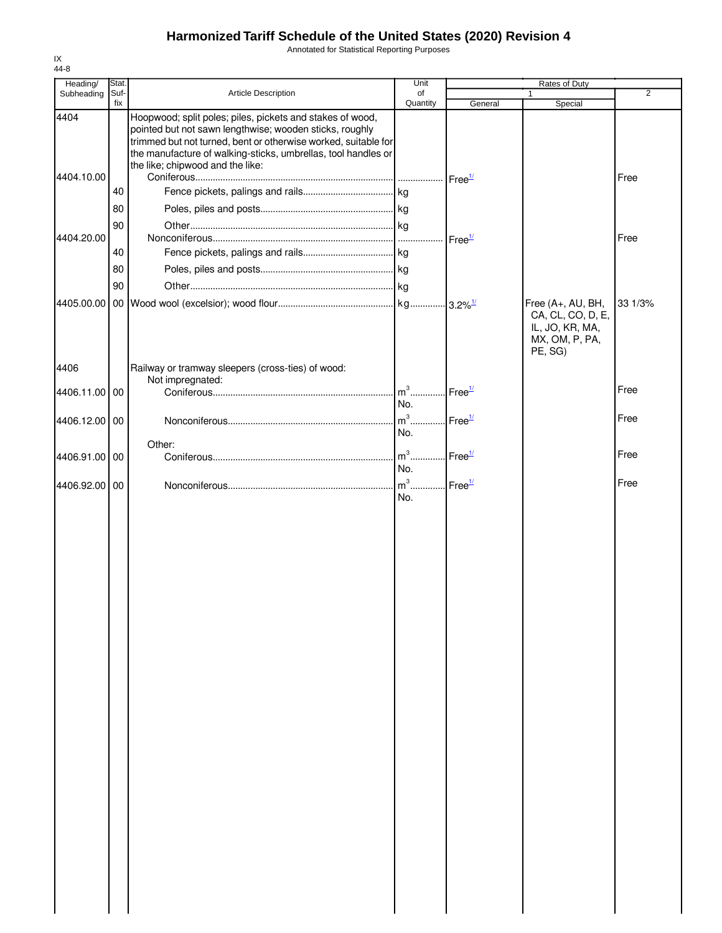Annotated for Statistical Reporting Purposes

| Heading/           | Stat.       |                                                                                                                                                                                                                                                                                             | Unit           | Rates of Duty      |                                                                                        |                |
|--------------------|-------------|---------------------------------------------------------------------------------------------------------------------------------------------------------------------------------------------------------------------------------------------------------------------------------------------|----------------|--------------------|----------------------------------------------------------------------------------------|----------------|
| Subheading         | Suf-<br>fix | Article Description                                                                                                                                                                                                                                                                         | of<br>Quantity | General            | 1<br>Special                                                                           | $\overline{2}$ |
| 4404<br>4404.10.00 |             | Hoopwood; split poles; piles, pickets and stakes of wood,<br>pointed but not sawn lengthwise; wooden sticks, roughly<br>trimmed but not turned, bent or otherwise worked, suitable for<br>the manufacture of walking-sticks, umbrellas, tool handles or<br>the like; chipwood and the like: |                | Free <sup>1/</sup> |                                                                                        | Free           |
|                    | 40          |                                                                                                                                                                                                                                                                                             |                |                    |                                                                                        |                |
|                    | 80          |                                                                                                                                                                                                                                                                                             |                |                    |                                                                                        |                |
|                    | 90          |                                                                                                                                                                                                                                                                                             |                |                    |                                                                                        |                |
| 4404.20.00         |             |                                                                                                                                                                                                                                                                                             |                | Free <sup>1/</sup> |                                                                                        | Free           |
|                    | 40          |                                                                                                                                                                                                                                                                                             |                |                    |                                                                                        |                |
|                    | 80          |                                                                                                                                                                                                                                                                                             |                |                    |                                                                                        |                |
|                    | 90          |                                                                                                                                                                                                                                                                                             |                |                    |                                                                                        |                |
| 4405.00.00         |             |                                                                                                                                                                                                                                                                                             |                |                    | Free (A+, AU, BH,<br>CA, CL, CO, D, E,<br>IL, JO, KR, MA,<br>MX, OM, P, PA,<br>PE, SG) | 33 1/3%        |
| 4406               |             | Railway or tramway sleepers (cross-ties) of wood:                                                                                                                                                                                                                                           |                |                    |                                                                                        |                |
|                    |             | Not impregnated:                                                                                                                                                                                                                                                                            | $m3$           | Free <sup>1/</sup> |                                                                                        | Free           |
| 4406.11.00         | 00          |                                                                                                                                                                                                                                                                                             | No.            |                    |                                                                                        |                |
| 4406.12.00 00      |             |                                                                                                                                                                                                                                                                                             | $m^3$          | $.$ Free $1/$      |                                                                                        | Free           |
|                    |             |                                                                                                                                                                                                                                                                                             | No.            |                    |                                                                                        |                |
|                    |             | Other:                                                                                                                                                                                                                                                                                      |                |                    |                                                                                        |                |
| 4406.91.00         | 00          |                                                                                                                                                                                                                                                                                             | $m3$ .<br>No.  | Free <sup>1/</sup> |                                                                                        | Free           |
|                    |             |                                                                                                                                                                                                                                                                                             | $m3$ .         |                    |                                                                                        | Free           |
| 4406.92.00         | 00          |                                                                                                                                                                                                                                                                                             | No.            | Free <sup>1/</sup> |                                                                                        |                |
|                    |             |                                                                                                                                                                                                                                                                                             |                |                    |                                                                                        |                |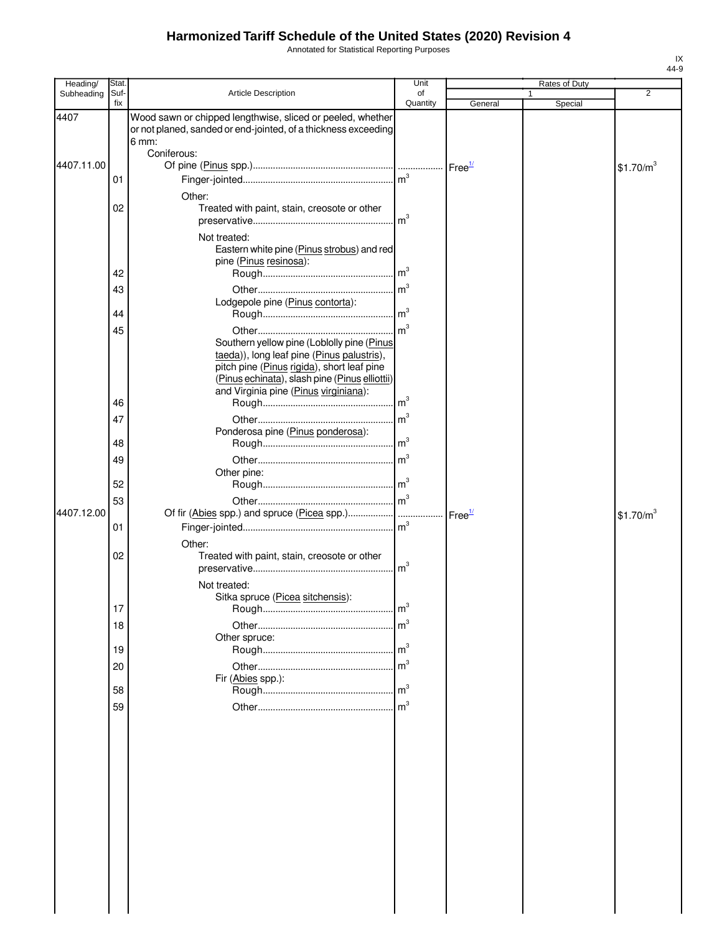Annotated for Statistical Reporting Purposes

| Heading/   | Stat.       |                                                                                                                                                  | Unit           |                    | Rates of Duty           |                       |
|------------|-------------|--------------------------------------------------------------------------------------------------------------------------------------------------|----------------|--------------------|-------------------------|-----------------------|
| Subheading | Suf-<br>fix | Article Description                                                                                                                              | of<br>Quantity | General            | $\mathbf{1}$<br>Special | 2                     |
| 4407       |             | Wood sawn or chipped lengthwise, sliced or peeled, whether<br>or not planed, sanded or end-jointed, of a thickness exceeding<br>$6 \text{ mm}$ : |                |                    |                         |                       |
|            |             | Coniferous:                                                                                                                                      |                |                    |                         |                       |
| 4407.11.00 |             |                                                                                                                                                  |                |                    |                         | \$1.70/m <sup>3</sup> |
|            | 01          |                                                                                                                                                  |                |                    |                         |                       |
|            | 02          | Other:<br>Treated with paint, stain, creosote or other                                                                                           | m <sup>3</sup> |                    |                         |                       |
|            |             | Not treated:<br>Eastern white pine (Pinus strobus) and red<br>pine (Pinus resinosa):                                                             |                |                    |                         |                       |
|            | 42          |                                                                                                                                                  |                |                    |                         |                       |
|            | 43          |                                                                                                                                                  | m <sup>3</sup> |                    |                         |                       |
|            |             | Lodgepole pine (Pinus contorta):                                                                                                                 |                |                    |                         |                       |
|            | 44          |                                                                                                                                                  |                |                    |                         |                       |
|            | 45          | Southern yellow pine (Loblolly pine (Pinus<br>taeda)), long leaf pine (Pinus palustris),                                                         | m <sup>3</sup> |                    |                         |                       |
|            |             | pitch pine (Pinus rigida), short leaf pine<br>(Pinus echinata), slash pine (Pinus elliottii)<br>and Virginia pine (Pinus virginiana):            |                |                    |                         |                       |
|            | 46          |                                                                                                                                                  | m <sup>3</sup> |                    |                         |                       |
|            | 47          |                                                                                                                                                  | m <sup>3</sup> |                    |                         |                       |
|            | 48          | Ponderosa pine (Pinus ponderosa):                                                                                                                |                |                    |                         |                       |
|            | 49          |                                                                                                                                                  | m <sup>3</sup> |                    |                         |                       |
|            |             | Other pine:                                                                                                                                      |                |                    |                         |                       |
|            | 52          |                                                                                                                                                  |                |                    |                         |                       |
|            | 53          |                                                                                                                                                  | m <sup>3</sup> |                    |                         |                       |
| 4407.12.00 | 01          | Of fir (Abies spp.) and spruce (Picea spp.)                                                                                                      |                | Free <sup>1/</sup> |                         | \$1.70/m <sup>3</sup> |
|            | 02          | Other:<br>Treated with paint, stain, creosote or other                                                                                           |                |                    |                         |                       |
|            |             | Not treated:<br>Sitka spruce (Picea sitchensis):                                                                                                 |                |                    |                         |                       |
|            | 17          |                                                                                                                                                  |                |                    |                         |                       |
|            | 18          | Other spruce:                                                                                                                                    |                |                    |                         |                       |
|            | 19          |                                                                                                                                                  |                |                    |                         |                       |
|            | 20          |                                                                                                                                                  |                |                    |                         |                       |
|            |             | Fir (Abies spp.):                                                                                                                                |                |                    |                         |                       |
|            | 58          |                                                                                                                                                  |                |                    |                         |                       |
|            | 59          |                                                                                                                                                  |                |                    |                         |                       |
|            |             |                                                                                                                                                  |                |                    |                         |                       |
|            |             |                                                                                                                                                  |                |                    |                         |                       |
|            |             |                                                                                                                                                  |                |                    |                         |                       |
|            |             |                                                                                                                                                  |                |                    |                         |                       |
|            |             |                                                                                                                                                  |                |                    |                         |                       |
|            |             |                                                                                                                                                  |                |                    |                         |                       |
|            |             |                                                                                                                                                  |                |                    |                         |                       |
|            |             |                                                                                                                                                  |                |                    |                         |                       |
|            |             |                                                                                                                                                  |                |                    |                         |                       |
|            |             |                                                                                                                                                  |                |                    |                         |                       |
|            |             |                                                                                                                                                  |                |                    |                         |                       |
|            |             |                                                                                                                                                  |                |                    |                         |                       |
|            |             |                                                                                                                                                  |                |                    |                         |                       |
|            |             |                                                                                                                                                  |                |                    |                         |                       |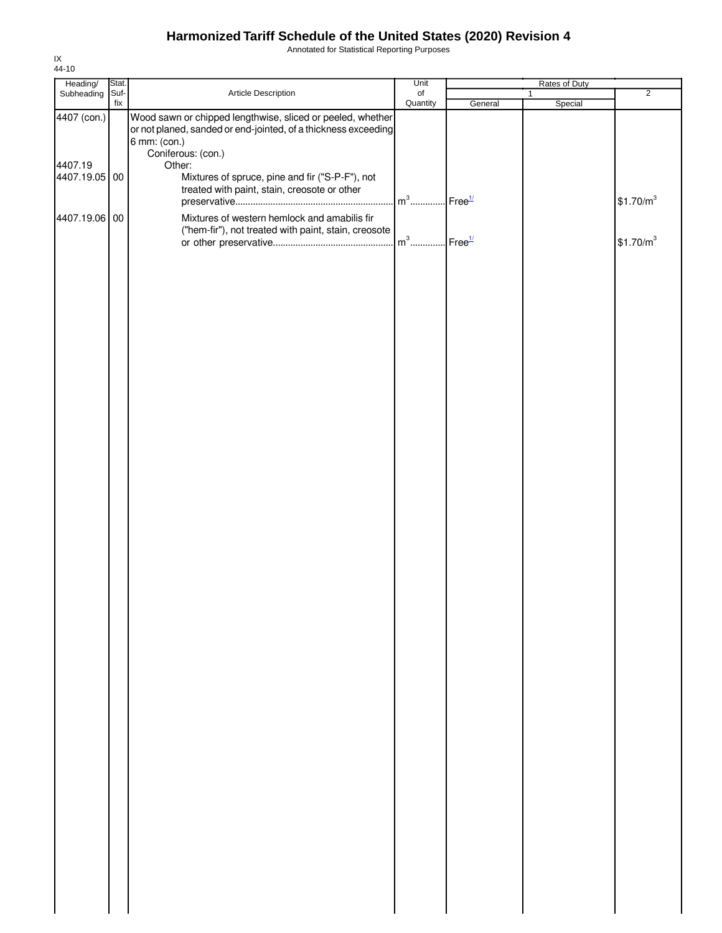Annotated for Statistical Reporting Purposes

| Heading/                                | Stat.       |                                                                                                                                                                                                                                                                                 | Unit                      | Rates of Duty |              |         |                       |
|-----------------------------------------|-------------|---------------------------------------------------------------------------------------------------------------------------------------------------------------------------------------------------------------------------------------------------------------------------------|---------------------------|---------------|--------------|---------|-----------------------|
| Subheading                              | Suf-<br>fix | Article Description                                                                                                                                                                                                                                                             | $\mathsf{of}$<br>Quantity | General       | $\mathbf{1}$ | Special | $\overline{2}$        |
| 4407 (con.)<br>4407.19<br>4407.19.05 00 |             | Wood sawn or chipped lengthwise, sliced or peeled, whether<br>or not planed, sanded or end-jointed, of a thickness exceeding<br>6 mm: (con.)<br>Coniferous: (con.)<br>Other:<br>Mixtures of spruce, pine and fir ("S-P-F"), not<br>treated with paint, stain, creosote or other |                           |               |              |         |                       |
| 4407.19.06 00                           |             | Mixtures of western hemlock and amabilis fir<br>("hem-fir"), not treated with paint, stain, creosote                                                                                                                                                                            |                           |               |              |         | \$1.70/m <sup>3</sup> |
|                                         |             |                                                                                                                                                                                                                                                                                 |                           |               |              |         | \$1.70/m <sup>3</sup> |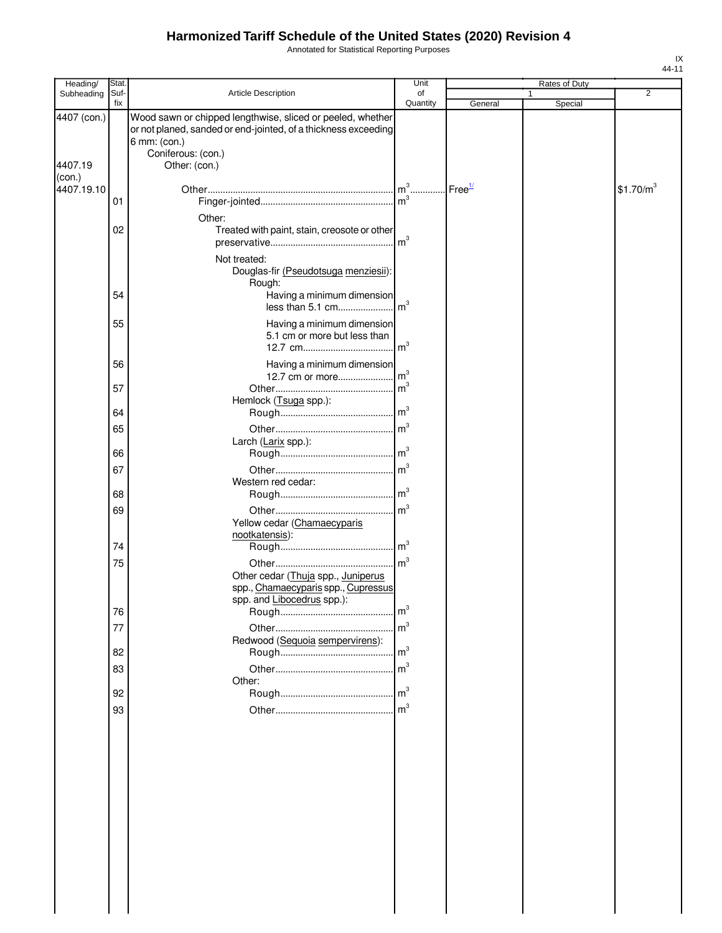Annotated for Statistical Reporting Purposes

| Heading/               | Stat.       |                                                                                                                                                                                     | Unit            |         | Rates of Duty |                       |
|------------------------|-------------|-------------------------------------------------------------------------------------------------------------------------------------------------------------------------------------|-----------------|---------|---------------|-----------------------|
| Subheading             | Suf-<br>fix | Article Description                                                                                                                                                                 | of<br>Quantity  | General | 1<br>Special  | $\overline{2}$        |
| 4407 (con.)<br>4407.19 |             | Wood sawn or chipped lengthwise, sliced or peeled, whether<br>or not planed, sanded or end-jointed, of a thickness exceeding<br>6 mm: (con.)<br>Coniferous: (con.)<br>Other: (con.) |                 |         |               |                       |
| (con.)                 |             |                                                                                                                                                                                     |                 |         |               |                       |
| 4407.19.10             | 01          |                                                                                                                                                                                     |                 |         |               | \$1.70/m <sup>3</sup> |
|                        | 02          | Other:<br>Treated with paint, stain, creosote or other                                                                                                                              |                 |         |               |                       |
|                        |             | Not treated:<br>Douglas-fir (Pseudotsuga menziesii):<br>Rough:                                                                                                                      |                 |         |               |                       |
|                        | 54          | Having a minimum dimension                                                                                                                                                          |                 |         |               |                       |
|                        | 55          | Having a minimum dimension<br>5.1 cm or more but less than                                                                                                                          |                 |         |               |                       |
|                        | 56          | Having a minimum dimension                                                                                                                                                          |                 |         |               |                       |
|                        | 57          | Hemlock (Tsuga spp.):                                                                                                                                                               | m <sup>3</sup>  |         |               |                       |
|                        | 64          |                                                                                                                                                                                     |                 |         |               |                       |
|                        | 65          | Larch (Larix spp.):                                                                                                                                                                 |                 |         |               |                       |
|                        | 66          |                                                                                                                                                                                     |                 |         |               |                       |
|                        | 67          |                                                                                                                                                                                     |                 |         |               |                       |
|                        | 68          | Western red cedar:                                                                                                                                                                  |                 |         |               |                       |
|                        | 69          |                                                                                                                                                                                     |                 |         |               |                       |
|                        |             | Yellow cedar (Chamaecyparis<br>nootkatensis):                                                                                                                                       |                 |         |               |                       |
|                        | 74          |                                                                                                                                                                                     | $\mathsf{Im}^3$ |         |               |                       |
|                        | 75          | Other cedar (Thuja spp., Juniperus<br>spp., Chamaecyparis spp., Cupressus<br>spp. and Libocedrus spp.):                                                                             | $\mathsf{Im}^3$ |         |               |                       |
|                        | 76          |                                                                                                                                                                                     | $\mathsf{Im}^3$ |         |               |                       |
|                        | 77          |                                                                                                                                                                                     | m <sup>3</sup>  |         |               |                       |
|                        | 82          | Redwood (Sequoia sempervirens):                                                                                                                                                     | $\mathsf{Im}^3$ |         |               |                       |
|                        | 83          | Other:                                                                                                                                                                              |                 |         |               |                       |
|                        | 92          |                                                                                                                                                                                     |                 |         |               |                       |
|                        | 93          |                                                                                                                                                                                     | $\mathsf{Im}^3$ |         |               |                       |
|                        |             |                                                                                                                                                                                     |                 |         |               |                       |
|                        |             |                                                                                                                                                                                     |                 |         |               |                       |
|                        |             |                                                                                                                                                                                     |                 |         |               |                       |
|                        |             |                                                                                                                                                                                     |                 |         |               |                       |
|                        |             |                                                                                                                                                                                     |                 |         |               |                       |
|                        |             |                                                                                                                                                                                     |                 |         |               |                       |
|                        |             |                                                                                                                                                                                     |                 |         |               |                       |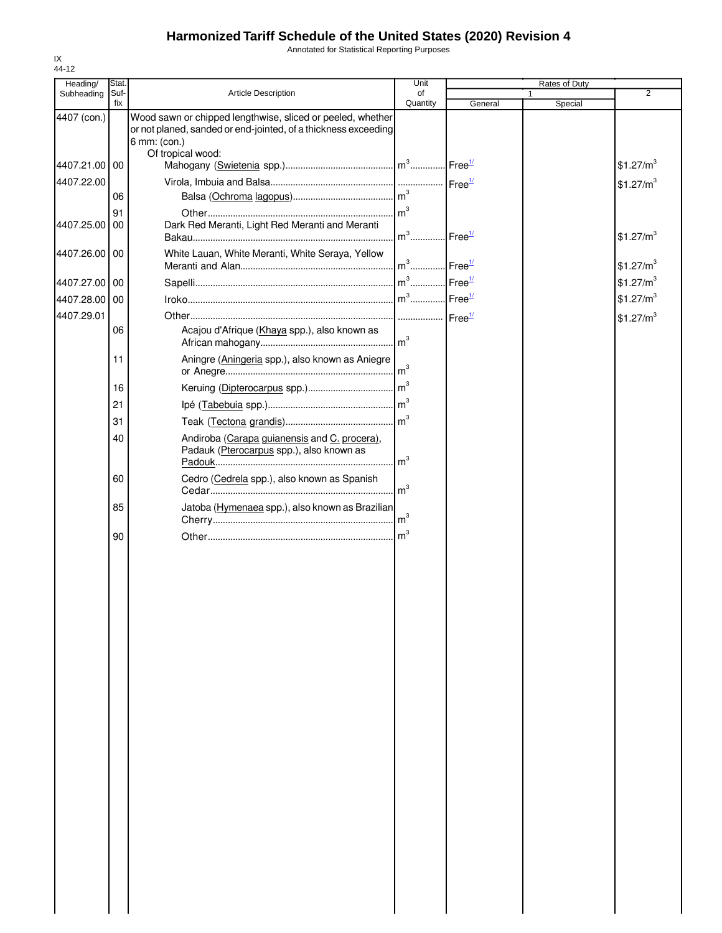Annotated for Statistical Reporting Purposes

| Heading/      | Stat.       |                                                                                                                                                                   | Unit           |                    | <b>Rates of Duty</b> |                       |
|---------------|-------------|-------------------------------------------------------------------------------------------------------------------------------------------------------------------|----------------|--------------------|----------------------|-----------------------|
| Subheading    | Suf-<br>fix | Article Description                                                                                                                                               | of<br>Quantity | General            | 1<br>Special         | $\overline{2}$        |
| 4407 (con.)   |             | Wood sawn or chipped lengthwise, sliced or peeled, whether<br>or not planed, sanded or end-jointed, of a thickness exceeding<br>6 mm: (con.)<br>Of tropical wood: |                |                    |                      |                       |
| 4407.21.00 00 |             |                                                                                                                                                                   |                |                    |                      | \$1.27/m <sup>3</sup> |
| 4407.22.00    |             |                                                                                                                                                                   |                | Free <sup>1/</sup> |                      | \$1.27/m <sup>3</sup> |
|               | 06          |                                                                                                                                                                   | m <sup>3</sup> |                    |                      |                       |
|               | 91          |                                                                                                                                                                   | m <sup>3</sup> |                    |                      |                       |
| 4407.25.00    | 00          | Dark Red Meranti, Light Red Meranti and Meranti                                                                                                                   | $m3$           | Free <sup>1/</sup> |                      | \$1.27/m <sup>3</sup> |
| 4407.26.00 00 |             | White Lauan, White Meranti, White Seraya, Yellow                                                                                                                  | $m^3$          | Free <sup>1/</sup> |                      | \$1.27/m <sup>3</sup> |
| 4407.27.00 00 |             |                                                                                                                                                                   |                | Free <sup>1/</sup> |                      | \$1.27/m <sup>3</sup> |
| 4407.28.00 00 |             |                                                                                                                                                                   |                |                    |                      | \$1.27/m <sup>3</sup> |
| 4407.29.01    |             |                                                                                                                                                                   |                | Free <sup>1/</sup> |                      | \$1.27/m <sup>3</sup> |
|               | 06          | Acajou d'Afrique (Khaya spp.), also known as                                                                                                                      |                |                    |                      |                       |
|               | 11          | Aningre (Aningeria spp.), also known as Aniegre                                                                                                                   |                |                    |                      |                       |
|               | 16          |                                                                                                                                                                   | m <sup>3</sup> |                    |                      |                       |
|               | 21          |                                                                                                                                                                   | m <sup>3</sup> |                    |                      |                       |
|               | 31          |                                                                                                                                                                   |                |                    |                      |                       |
|               | 40          | Andiroba (Carapa guianensis and C. procera),<br>Padauk (Pterocarpus spp.), also known as                                                                          | m <sup>3</sup> |                    |                      |                       |
|               | 60          | Cedro (Cedrela spp.), also known as Spanish                                                                                                                       | m <sup>3</sup> |                    |                      |                       |
|               | 85          | Jatoba (Hymenaea spp.), also known as Brazilian                                                                                                                   |                |                    |                      |                       |
|               | 90          |                                                                                                                                                                   | m <sup>3</sup> |                    |                      |                       |
|               |             |                                                                                                                                                                   |                |                    |                      |                       |
|               |             |                                                                                                                                                                   |                |                    |                      |                       |
|               |             |                                                                                                                                                                   |                |                    |                      |                       |
|               |             |                                                                                                                                                                   |                |                    |                      |                       |
|               |             |                                                                                                                                                                   |                |                    |                      |                       |
|               |             |                                                                                                                                                                   |                |                    |                      |                       |
|               |             |                                                                                                                                                                   |                |                    |                      |                       |
|               |             |                                                                                                                                                                   |                |                    |                      |                       |
|               |             |                                                                                                                                                                   |                |                    |                      |                       |
|               |             |                                                                                                                                                                   |                |                    |                      |                       |
|               |             |                                                                                                                                                                   |                |                    |                      |                       |
|               |             |                                                                                                                                                                   |                |                    |                      |                       |
|               |             |                                                                                                                                                                   |                |                    |                      |                       |
|               |             |                                                                                                                                                                   |                |                    |                      |                       |
|               |             |                                                                                                                                                                   |                |                    |                      |                       |
|               |             |                                                                                                                                                                   |                |                    |                      |                       |
|               |             |                                                                                                                                                                   |                |                    |                      |                       |
|               |             |                                                                                                                                                                   |                |                    |                      |                       |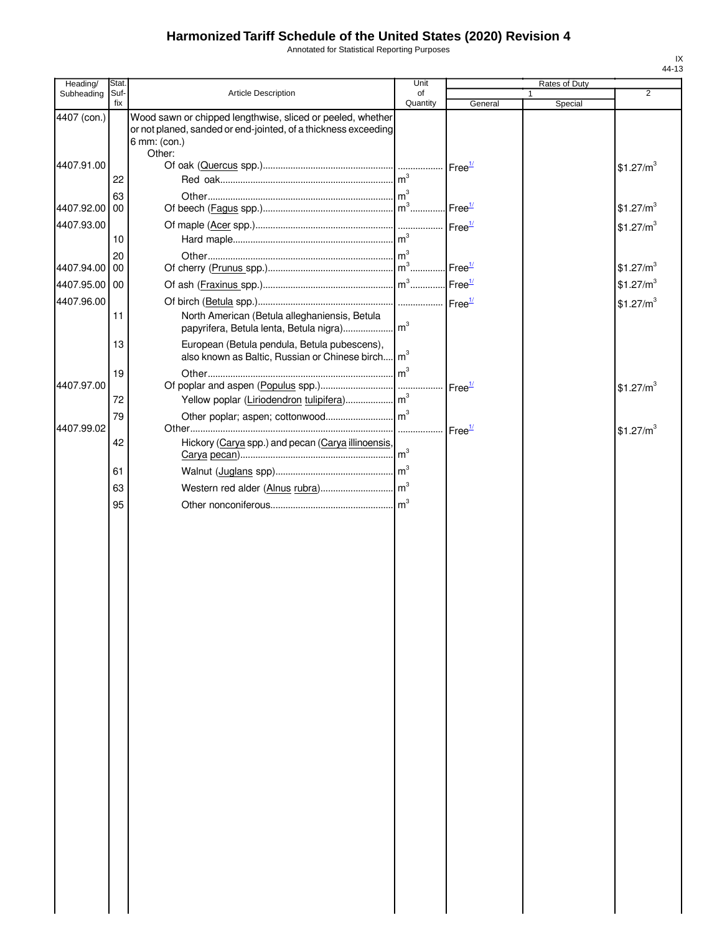Annotated for Statistical Reporting Purposes

| Heading/      | Stat.       |                                                                                                                                                        | Unit           |                    | Rates of Duty |                       |
|---------------|-------------|--------------------------------------------------------------------------------------------------------------------------------------------------------|----------------|--------------------|---------------|-----------------------|
| Subheading    | Suf-<br>fix | Article Description                                                                                                                                    | of<br>Quantity | General            | 1<br>Special  | 2                     |
| 4407 (con.)   |             | Wood sawn or chipped lengthwise, sliced or peeled, whether<br>or not planed, sanded or end-jointed, of a thickness exceeding<br>6 mm: (con.)<br>Other: |                |                    |               |                       |
| 4407.91.00    | 22          |                                                                                                                                                        |                | Free <sup>1/</sup> |               | \$1.27/m <sup>3</sup> |
| 4407.92.00    | 63<br>00    |                                                                                                                                                        |                | Free $\frac{1}{2}$ |               | \$1.27/m <sup>3</sup> |
| 4407.93.00    | 10          |                                                                                                                                                        |                | Free <sup>1/</sup> |               | \$1.27/m <sup>3</sup> |
| 4407.94.00    | 20<br>00    |                                                                                                                                                        |                | Free <sup>1/</sup> |               | \$1.27/m <sup>3</sup> |
| 4407.95.00 00 |             |                                                                                                                                                        |                |                    |               | \$1.27/m <sup>3</sup> |
| 4407.96.00    | 11          | North American (Betula alleghaniensis, Betula                                                                                                          |                |                    |               | \$1.27/m <sup>3</sup> |
|               | 13          | European (Betula pendula, Betula pubescens),<br>also known as Baltic, Russian or Chinese birch m <sup>3</sup>                                          |                |                    |               |                       |
| 4407.97.00    | 19          |                                                                                                                                                        | m <sup>3</sup> | Free <sup>1/</sup> |               | \$1.27/m <sup>3</sup> |
|               | 72          |                                                                                                                                                        |                |                    |               |                       |
| 4407.99.02    | 79          |                                                                                                                                                        | .              | Free <sup>1/</sup> |               | \$1.27/m <sup>3</sup> |
|               | 42          | Hickory (Carya spp.) and pecan (Carya illinoensis,                                                                                                     |                |                    |               |                       |
|               | 61          |                                                                                                                                                        |                |                    |               |                       |
|               | 63          |                                                                                                                                                        |                |                    |               |                       |
|               | 95          |                                                                                                                                                        |                |                    |               |                       |
|               |             |                                                                                                                                                        |                |                    |               |                       |
|               |             |                                                                                                                                                        |                |                    |               |                       |
|               |             |                                                                                                                                                        |                |                    |               |                       |
|               |             |                                                                                                                                                        |                |                    |               |                       |
|               |             |                                                                                                                                                        |                |                    |               |                       |
|               |             |                                                                                                                                                        |                |                    |               |                       |
|               |             |                                                                                                                                                        |                |                    |               |                       |
|               |             |                                                                                                                                                        |                |                    |               |                       |
|               |             |                                                                                                                                                        |                |                    |               |                       |
|               |             |                                                                                                                                                        |                |                    |               |                       |
|               |             |                                                                                                                                                        |                |                    |               |                       |
|               |             |                                                                                                                                                        |                |                    |               |                       |
|               |             |                                                                                                                                                        |                |                    |               |                       |
|               |             |                                                                                                                                                        |                |                    |               |                       |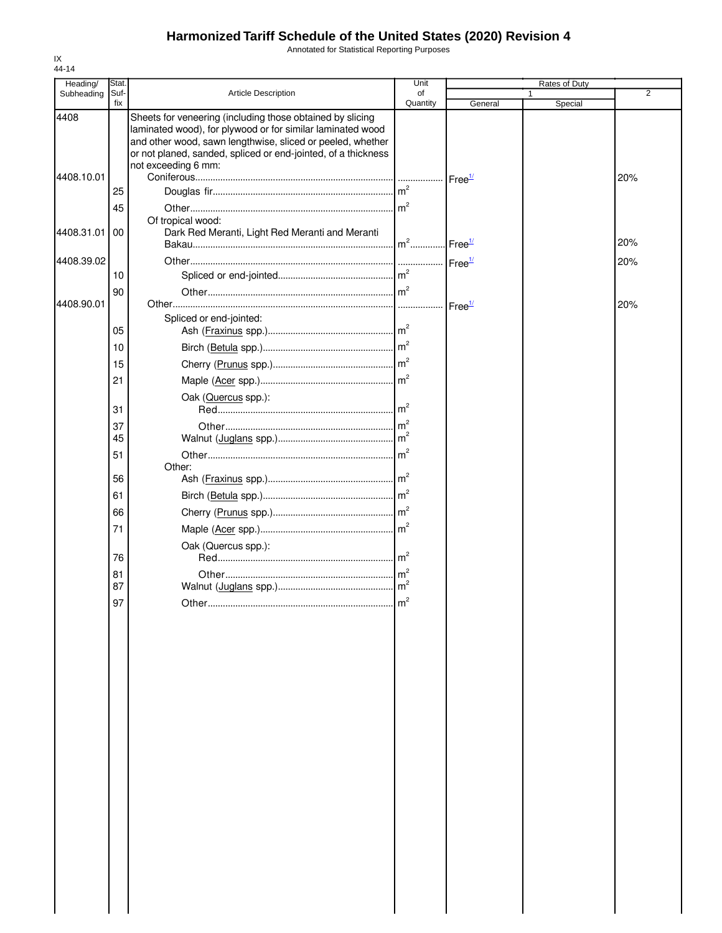Annotated for Statistical Reporting Purposes

| Heading/   | Stat.       |                                                                                                                                                                                                                                                                               | Unit           |                    | Rates of Duty |                |
|------------|-------------|-------------------------------------------------------------------------------------------------------------------------------------------------------------------------------------------------------------------------------------------------------------------------------|----------------|--------------------|---------------|----------------|
| Subheading | Suf-<br>fix | <b>Article Description</b>                                                                                                                                                                                                                                                    | of<br>Quantity | General            | Special       | $\overline{2}$ |
| 4408       |             | Sheets for veneering (including those obtained by slicing<br>laminated wood), for plywood or for similar laminated wood<br>and other wood, sawn lengthwise, sliced or peeled, whether<br>or not planed, sanded, spliced or end-jointed, of a thickness<br>not exceeding 6 mm: |                |                    |               |                |
| 4408.10.01 |             |                                                                                                                                                                                                                                                                               |                | Free <sup>1/</sup> |               | 20%            |
|            | 25          |                                                                                                                                                                                                                                                                               |                |                    |               |                |
|            | 45          |                                                                                                                                                                                                                                                                               |                |                    |               |                |
| 4408.31.01 | 00          | Of tropical wood:<br>Dark Red Meranti, Light Red Meranti and Meranti                                                                                                                                                                                                          | $m2$           | Free <sup>1/</sup> |               | 20%            |
| 4408.39.02 |             |                                                                                                                                                                                                                                                                               |                | Free <sup>1/</sup> |               | 20%            |
|            | 10          |                                                                                                                                                                                                                                                                               |                |                    |               |                |
|            | 90          |                                                                                                                                                                                                                                                                               | m <sup>2</sup> |                    |               |                |
| 4408.90.01 |             |                                                                                                                                                                                                                                                                               | .              | Free <sup>1/</sup> |               | 20%            |
|            |             | Spliced or end-jointed:                                                                                                                                                                                                                                                       |                |                    |               |                |
|            | 05          |                                                                                                                                                                                                                                                                               |                |                    |               |                |
|            | 10          |                                                                                                                                                                                                                                                                               |                |                    |               |                |
|            | 15          |                                                                                                                                                                                                                                                                               |                |                    |               |                |
|            | 21          |                                                                                                                                                                                                                                                                               |                |                    |               |                |
|            | 31          | Oak (Quercus spp.):                                                                                                                                                                                                                                                           |                |                    |               |                |
|            | 37          |                                                                                                                                                                                                                                                                               |                |                    |               |                |
|            | 45          |                                                                                                                                                                                                                                                                               |                |                    |               |                |
|            | 51          |                                                                                                                                                                                                                                                                               | m <sup>2</sup> |                    |               |                |
|            | 56          | Other:                                                                                                                                                                                                                                                                        |                |                    |               |                |
|            |             |                                                                                                                                                                                                                                                                               |                |                    |               |                |
|            | 61          |                                                                                                                                                                                                                                                                               |                |                    |               |                |
|            | 66          |                                                                                                                                                                                                                                                                               |                |                    |               |                |
|            | 71          |                                                                                                                                                                                                                                                                               |                |                    |               |                |
|            | 76          | Oak (Quercus spp.):                                                                                                                                                                                                                                                           |                |                    |               |                |
|            | 81          |                                                                                                                                                                                                                                                                               | m <sup>2</sup> |                    |               |                |
|            | 87          |                                                                                                                                                                                                                                                                               |                |                    |               |                |
|            | 97          |                                                                                                                                                                                                                                                                               |                |                    |               |                |
|            |             |                                                                                                                                                                                                                                                                               |                |                    |               |                |
|            |             |                                                                                                                                                                                                                                                                               |                |                    |               |                |
|            |             |                                                                                                                                                                                                                                                                               |                |                    |               |                |
|            |             |                                                                                                                                                                                                                                                                               |                |                    |               |                |
|            |             |                                                                                                                                                                                                                                                                               |                |                    |               |                |
|            |             |                                                                                                                                                                                                                                                                               |                |                    |               |                |
|            |             |                                                                                                                                                                                                                                                                               |                |                    |               |                |
|            |             |                                                                                                                                                                                                                                                                               |                |                    |               |                |
|            |             |                                                                                                                                                                                                                                                                               |                |                    |               |                |
|            |             |                                                                                                                                                                                                                                                                               |                |                    |               |                |
|            |             |                                                                                                                                                                                                                                                                               |                |                    |               |                |
|            |             |                                                                                                                                                                                                                                                                               |                |                    |               |                |
|            |             |                                                                                                                                                                                                                                                                               |                |                    |               |                |
|            |             |                                                                                                                                                                                                                                                                               |                |                    |               |                |
|            |             |                                                                                                                                                                                                                                                                               |                |                    |               |                |
|            |             |                                                                                                                                                                                                                                                                               |                |                    |               |                |
|            |             |                                                                                                                                                                                                                                                                               |                |                    |               |                |
|            |             |                                                                                                                                                                                                                                                                               |                |                    |               |                |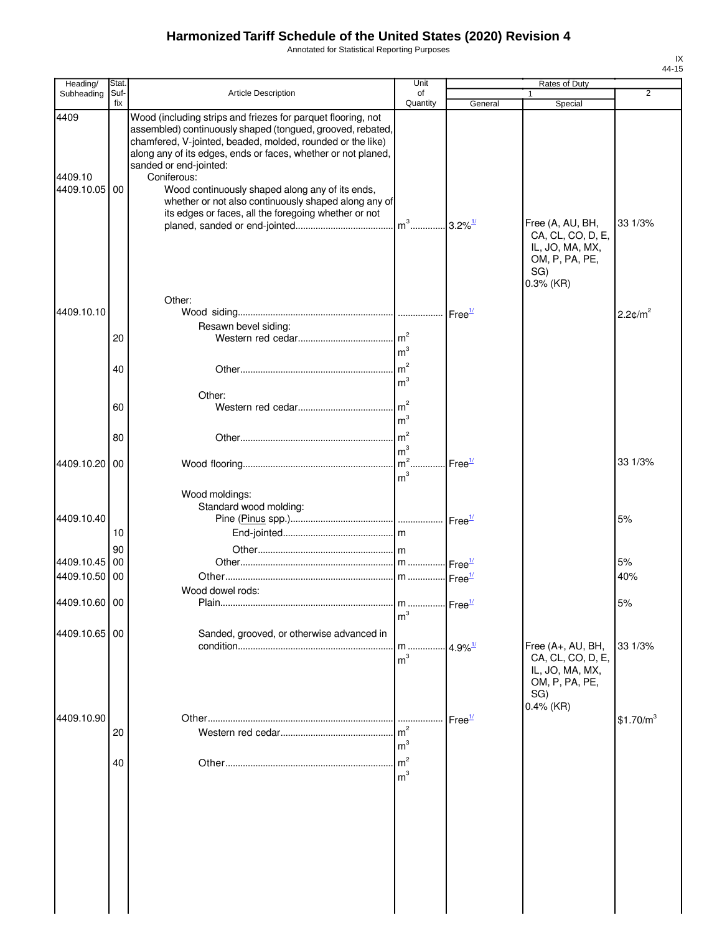Annotated for Statistical Reporting Purposes

| Heading/                      | Stat.       |                                                                                                                                                                                                                                                                                                                                                                                                                                                                       | Unit                                    |                       | Rates of Duty                                                                      |                        |
|-------------------------------|-------------|-----------------------------------------------------------------------------------------------------------------------------------------------------------------------------------------------------------------------------------------------------------------------------------------------------------------------------------------------------------------------------------------------------------------------------------------------------------------------|-----------------------------------------|-----------------------|------------------------------------------------------------------------------------|------------------------|
| Subheading                    | Suf-<br>fix | Article Description                                                                                                                                                                                                                                                                                                                                                                                                                                                   | of<br>Quantity                          | General               | 1<br>Special                                                                       | $\overline{2}$         |
| 4409<br>4409.10<br>4409.10.05 | 00          | Wood (including strips and friezes for parquet flooring, not<br>assembled) continuously shaped (tongued, grooved, rebated,<br>chamfered, V-jointed, beaded, molded, rounded or the like)<br>along any of its edges, ends or faces, whether or not planed,<br>sanded or end-jointed:<br>Coniferous:<br>Wood continuously shaped along any of its ends,<br>whether or not also continuously shaped along any of<br>its edges or faces, all the foregoing whether or not |                                         |                       | Free (A, AU, BH,<br>CA, CL, CO, D, E,<br>IL, JO, MA, MX,<br>OM, P, PA, PE,         | 33 1/3%                |
| 4409.10.10                    |             | Other:<br>Resawn bevel siding:                                                                                                                                                                                                                                                                                                                                                                                                                                        |                                         |                       | SG)<br>$0.3%$ (KR)                                                                 | $2.2$ ¢/m <sup>2</sup> |
|                               | 20          |                                                                                                                                                                                                                                                                                                                                                                                                                                                                       | m <sup>2</sup><br>m <sup>3</sup>        |                       |                                                                                    |                        |
|                               | 40          |                                                                                                                                                                                                                                                                                                                                                                                                                                                                       | m <sup>2</sup><br>m <sup>3</sup>        |                       |                                                                                    |                        |
|                               | 60          | Other:                                                                                                                                                                                                                                                                                                                                                                                                                                                                | m <sup>2</sup><br>m <sup>3</sup>        |                       |                                                                                    |                        |
|                               | 80          |                                                                                                                                                                                                                                                                                                                                                                                                                                                                       | $\mathsf{Im}^2$<br>m <sup>3</sup>       |                       |                                                                                    | 33 1/3%                |
| 4409.10.20                    | 00          | Wood moldings:                                                                                                                                                                                                                                                                                                                                                                                                                                                        | $\mathsf{Im}^2$<br>m <sup>3</sup>       | Free <sup>1/</sup>    |                                                                                    |                        |
| 4409.10.40                    | 10          | Standard wood molding:                                                                                                                                                                                                                                                                                                                                                                                                                                                |                                         |                       |                                                                                    | 5%                     |
|                               | 90          |                                                                                                                                                                                                                                                                                                                                                                                                                                                                       |                                         |                       |                                                                                    |                        |
| 4409.10.45<br>4409.10.50 00   | 00          |                                                                                                                                                                                                                                                                                                                                                                                                                                                                       |                                         | Free <sup>1/</sup>    |                                                                                    | 5%<br>40%              |
|                               |             | Wood dowel rods:                                                                                                                                                                                                                                                                                                                                                                                                                                                      |                                         |                       |                                                                                    |                        |
| 4409.10.60 00                 |             | Plain                                                                                                                                                                                                                                                                                                                                                                                                                                                                 | m  Free <sup>1/</sup><br>m <sup>3</sup> |                       |                                                                                    | 5%                     |
| 4409.10.65 00                 |             | Sanded, grooved, or otherwise advanced in                                                                                                                                                                                                                                                                                                                                                                                                                             | m<br>m <sup>3</sup>                     | $4.9\%$ <sup>1/</sup> | Free (A+, AU, BH,<br>CA, CL, CO, D, E,<br>IL, JO, MA, MX,<br>OM, P, PA, PE,<br>SG) | 33 1/3%                |
| 4409.10.90                    | 20          |                                                                                                                                                                                                                                                                                                                                                                                                                                                                       | m <sup>3</sup>                          | Free <sup>1/</sup>    | $0.4\%$ (KR)                                                                       | \$1.70/m <sup>3</sup>  |
|                               | 40          |                                                                                                                                                                                                                                                                                                                                                                                                                                                                       | $\mathsf{Im}^2$<br>m <sup>3</sup>       |                       |                                                                                    |                        |
|                               |             |                                                                                                                                                                                                                                                                                                                                                                                                                                                                       |                                         |                       |                                                                                    |                        |
|                               |             |                                                                                                                                                                                                                                                                                                                                                                                                                                                                       |                                         |                       |                                                                                    |                        |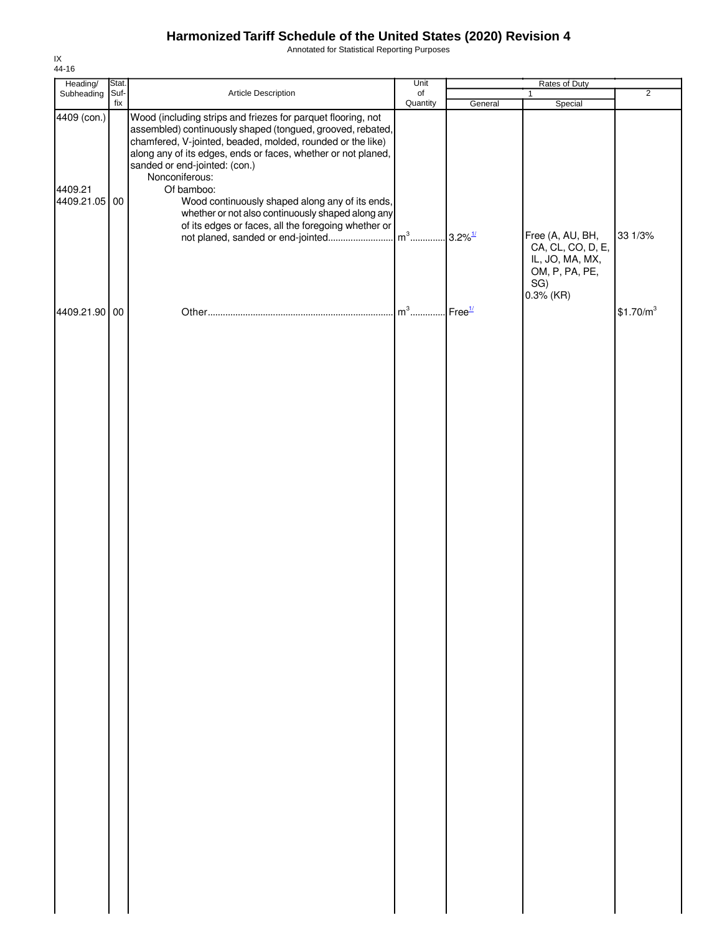Annotated for Statistical Reporting Purposes

| Heading/                                | Stat.       |                                                                                                                                                                                                                                                                                                                                                                                                                                                                                           | Unit           | Rates of Duty          |                                                                            |                       |
|-----------------------------------------|-------------|-------------------------------------------------------------------------------------------------------------------------------------------------------------------------------------------------------------------------------------------------------------------------------------------------------------------------------------------------------------------------------------------------------------------------------------------------------------------------------------------|----------------|------------------------|----------------------------------------------------------------------------|-----------------------|
| Subheading                              | Suf-<br>fix | Article Description                                                                                                                                                                                                                                                                                                                                                                                                                                                                       | of<br>Quantity | General                | $\mathbf{1}$<br>Special                                                    | $\overline{2}$        |
| 4409 (con.)<br>4409.21<br>4409.21.05 00 |             | Wood (including strips and friezes for parquet flooring, not<br>assembled) continuously shaped (tongued, grooved, rebated,<br>chamfered, V-jointed, beaded, molded, rounded or the like)<br>along any of its edges, ends or faces, whether or not planed,<br>sanded or end-jointed: (con.)<br>Nonconiferous:<br>Of bamboo:<br>Wood continuously shaped along any of its ends,<br>whether or not also continuously shaped along any<br>of its edges or faces, all the foregoing whether or |                |                        | Free (A, AU, BH,<br>CA, CL, CO, D, E,<br>IL, JO, MA, MX,<br>OM, P, PA, PE, | 33 1/3%               |
| 4409.21.90 00                           |             |                                                                                                                                                                                                                                                                                                                                                                                                                                                                                           | $m^3$          | $I$ Free $\frac{1}{l}$ | SG)<br>$0.3%$ (KR)                                                         | \$1.70/m <sup>3</sup> |
|                                         |             |                                                                                                                                                                                                                                                                                                                                                                                                                                                                                           |                |                        |                                                                            |                       |
|                                         |             |                                                                                                                                                                                                                                                                                                                                                                                                                                                                                           |                |                        |                                                                            |                       |
|                                         |             |                                                                                                                                                                                                                                                                                                                                                                                                                                                                                           |                |                        |                                                                            |                       |
|                                         |             |                                                                                                                                                                                                                                                                                                                                                                                                                                                                                           |                |                        |                                                                            |                       |
|                                         |             |                                                                                                                                                                                                                                                                                                                                                                                                                                                                                           |                |                        |                                                                            |                       |
|                                         |             |                                                                                                                                                                                                                                                                                                                                                                                                                                                                                           |                |                        |                                                                            |                       |
|                                         |             |                                                                                                                                                                                                                                                                                                                                                                                                                                                                                           |                |                        |                                                                            |                       |
|                                         |             |                                                                                                                                                                                                                                                                                                                                                                                                                                                                                           |                |                        |                                                                            |                       |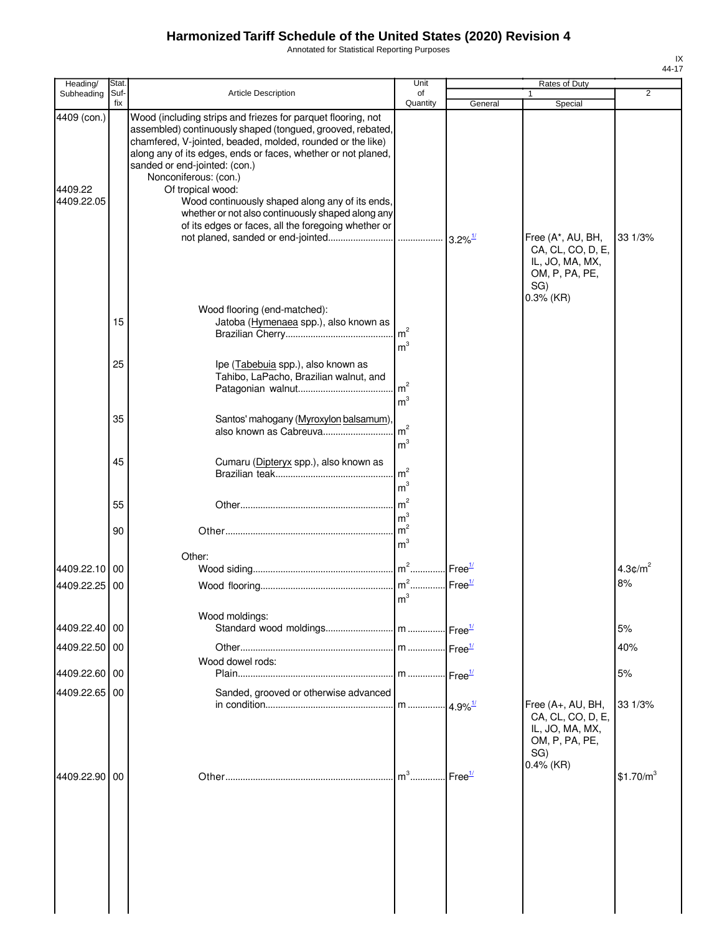Annotated for Statistical Reporting Purposes

| Heading/      | Stat. |                                                                                                                          | Unit            |                    | Rates of Duty                          |                       |
|---------------|-------|--------------------------------------------------------------------------------------------------------------------------|-----------------|--------------------|----------------------------------------|-----------------------|
| Subheading    | Suf-  | <b>Article Description</b>                                                                                               | of              |                    |                                        | $\overline{2}$        |
| 4409 (con.)   | fix   | Wood (including strips and friezes for parquet flooring, not                                                             | Quantity        | General            | Special                                |                       |
|               |       | assembled) continuously shaped (tongued, grooved, rebated,<br>chamfered, V-jointed, beaded, molded, rounded or the like) |                 |                    |                                        |                       |
|               |       | along any of its edges, ends or faces, whether or not planed,                                                            |                 |                    |                                        |                       |
|               |       | sanded or end-jointed: (con.)                                                                                            |                 |                    |                                        |                       |
|               |       | Nonconiferous: (con.)                                                                                                    |                 |                    |                                        |                       |
| 4409.22       |       | Of tropical wood:                                                                                                        |                 |                    |                                        |                       |
| 4409.22.05    |       | Wood continuously shaped along any of its ends,                                                                          |                 |                    |                                        |                       |
|               |       | whether or not also continuously shaped along any                                                                        |                 |                    |                                        |                       |
|               |       | of its edges or faces, all the foregoing whether or                                                                      |                 |                    |                                        | 33 1/3%               |
|               |       |                                                                                                                          |                 |                    | Free (A*, AU, BH,<br>CA, CL, CO, D, E, |                       |
|               |       |                                                                                                                          |                 |                    | IL, JO, MA, MX,                        |                       |
|               |       |                                                                                                                          |                 |                    | OM, P, PA, PE,                         |                       |
|               |       |                                                                                                                          |                 |                    | SG)                                    |                       |
|               |       |                                                                                                                          |                 |                    | $0.3%$ (KR)                            |                       |
|               |       | Wood flooring (end-matched):                                                                                             |                 |                    |                                        |                       |
|               | 15    | Jatoba (Hymenaea spp.), also known as                                                                                    | $\mathsf{Im}^2$ |                    |                                        |                       |
|               |       |                                                                                                                          | m <sup>3</sup>  |                    |                                        |                       |
|               |       |                                                                                                                          |                 |                    |                                        |                       |
|               | 25    | Ipe (Tabebuia spp.), also known as                                                                                       |                 |                    |                                        |                       |
|               |       | Tahibo, LaPacho, Brazilian walnut, and                                                                                   | Im <sup>2</sup> |                    |                                        |                       |
|               |       |                                                                                                                          | m <sup>3</sup>  |                    |                                        |                       |
|               |       |                                                                                                                          |                 |                    |                                        |                       |
|               | 35    | Santos' mahogany (Myroxylon balsamum)                                                                                    | m <sup>2</sup>  |                    |                                        |                       |
|               |       | also known as Cabreuva                                                                                                   |                 |                    |                                        |                       |
|               |       |                                                                                                                          | m <sup>3</sup>  |                    |                                        |                       |
|               | 45    | Cumaru (Dipteryx spp.), also known as                                                                                    |                 |                    |                                        |                       |
|               |       |                                                                                                                          | m <sup>2</sup>  |                    |                                        |                       |
|               |       |                                                                                                                          | m <sup>3</sup>  |                    |                                        |                       |
|               | 55    |                                                                                                                          | m <sup>2</sup>  |                    |                                        |                       |
|               |       |                                                                                                                          | m <sup>3</sup>  |                    |                                        |                       |
|               | 90    |                                                                                                                          | $\mathsf{Im}^2$ |                    |                                        |                       |
|               |       |                                                                                                                          | m <sup>3</sup>  |                    |                                        |                       |
| 4409.22.10    | 00    | Other:                                                                                                                   |                 | Free <sup>1/</sup> |                                        | $4.3 \text{C/m}^2$    |
|               |       |                                                                                                                          |                 |                    |                                        | 8%                    |
| 4409.22.25 00 |       |                                                                                                                          | m <sup>3</sup>  |                    |                                        |                       |
|               |       |                                                                                                                          |                 |                    |                                        |                       |
|               |       | Wood moldings:                                                                                                           |                 |                    |                                        |                       |
| 4409.22.40 00 |       |                                                                                                                          |                 |                    |                                        | 5%                    |
| 4409.22.50 00 |       |                                                                                                                          |                 |                    |                                        | 40%                   |
|               |       | Wood dowel rods:                                                                                                         |                 |                    |                                        |                       |
| 4409.22.60 00 |       |                                                                                                                          |                 |                    |                                        | 5%                    |
| 4409.22.65 00 |       | Sanded, grooved or otherwise advanced                                                                                    |                 |                    |                                        |                       |
|               |       |                                                                                                                          |                 |                    | Free (A+, AU, BH,                      | 33 1/3%               |
|               |       |                                                                                                                          |                 |                    | CA, CL, CO, D, E,                      |                       |
|               |       |                                                                                                                          |                 |                    | IL, JO, MA, MX,                        |                       |
|               |       |                                                                                                                          |                 |                    | OM, P, PA, PE,                         |                       |
|               |       |                                                                                                                          |                 |                    | SG)<br>$0.4\%$ (KR)                    |                       |
| 4409.22.90 00 |       |                                                                                                                          | $m^3$           | Free <sup>1/</sup> |                                        | \$1.70/m <sup>3</sup> |
|               |       |                                                                                                                          |                 |                    |                                        |                       |
|               |       |                                                                                                                          |                 |                    |                                        |                       |
|               |       |                                                                                                                          |                 |                    |                                        |                       |
|               |       |                                                                                                                          |                 |                    |                                        |                       |
|               |       |                                                                                                                          |                 |                    |                                        |                       |
|               |       |                                                                                                                          |                 |                    |                                        |                       |
|               |       |                                                                                                                          |                 |                    |                                        |                       |
|               |       |                                                                                                                          |                 |                    |                                        |                       |
|               |       |                                                                                                                          |                 |                    |                                        |                       |
|               |       |                                                                                                                          |                 |                    |                                        |                       |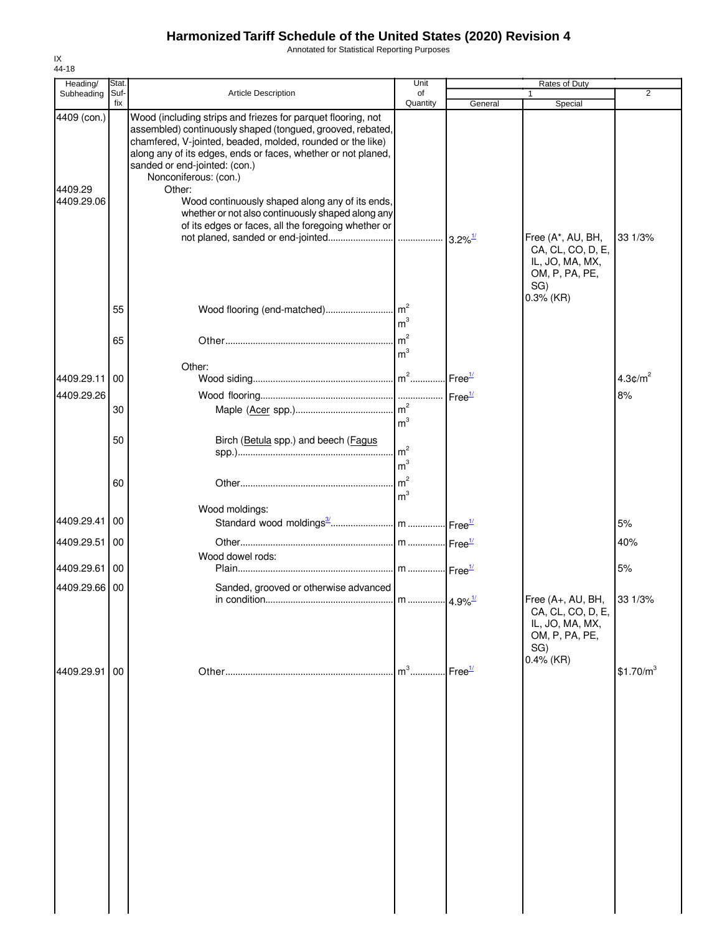Annotated for Statistical Reporting Purposes

| Heading/                             | Stat.       |                                                                                                                                                                                                                                                                                                                                                                                                                                                                                              | Unit                             |                    | Rates of Duty                                                                              |                       |
|--------------------------------------|-------------|----------------------------------------------------------------------------------------------------------------------------------------------------------------------------------------------------------------------------------------------------------------------------------------------------------------------------------------------------------------------------------------------------------------------------------------------------------------------------------------------|----------------------------------|--------------------|--------------------------------------------------------------------------------------------|-----------------------|
| Subheading                           | Suf-<br>fix | <b>Article Description</b>                                                                                                                                                                                                                                                                                                                                                                                                                                                                   | of<br>Quantity                   | General            | 1<br>Special                                                                               | 2                     |
| 4409 (con.)<br>4409.29<br>4409.29.06 |             | Wood (including strips and friezes for parquet flooring, not<br>assembled) continuously shaped (tongued, grooved, rebated,<br>chamfered, V-jointed, beaded, molded, rounded or the like)<br>along any of its edges, ends or faces, whether or not planed,<br>sanded or end-jointed: (con.)<br>Nonconiferous: (con.)<br>Other:<br>Wood continuously shaped along any of its ends,<br>whether or not also continuously shaped along any<br>of its edges or faces, all the foregoing whether or |                                  |                    | Free (A*, AU, BH,<br>CA, CL, CO, D, E,<br>IL, JO, MA, MX,<br>OM, P, PA, PE,                | 33 1/3%               |
|                                      | 55<br>65    |                                                                                                                                                                                                                                                                                                                                                                                                                                                                                              | m <sup>3</sup>                   |                    | SG)<br>$0.3%$ (KR)                                                                         |                       |
|                                      |             |                                                                                                                                                                                                                                                                                                                                                                                                                                                                                              | m <sup>3</sup>                   |                    |                                                                                            |                       |
| 4409.29.11                           | 00          | Other:                                                                                                                                                                                                                                                                                                                                                                                                                                                                                       |                                  |                    |                                                                                            | $4.3 \text{C/m}^2$    |
| 4409.29.26                           | 30          |                                                                                                                                                                                                                                                                                                                                                                                                                                                                                              |                                  |                    |                                                                                            | 8%                    |
|                                      | 50          | Birch (Betula spp.) and beech (Fagus                                                                                                                                                                                                                                                                                                                                                                                                                                                         | m <sup>3</sup><br>m <sup>2</sup> |                    |                                                                                            |                       |
|                                      | 60          |                                                                                                                                                                                                                                                                                                                                                                                                                                                                                              | m <sup>3</sup><br>m <sup>3</sup> |                    |                                                                                            |                       |
| 4409.29.41 00                        |             | Wood moldings:                                                                                                                                                                                                                                                                                                                                                                                                                                                                               |                                  |                    |                                                                                            | 5%                    |
| 4409.29.51 00                        |             |                                                                                                                                                                                                                                                                                                                                                                                                                                                                                              |                                  |                    |                                                                                            | 40%                   |
| 4409.29.61 00                        |             | Wood dowel rods:                                                                                                                                                                                                                                                                                                                                                                                                                                                                             |                                  |                    |                                                                                            | 5%                    |
| 4409.29.66 00                        |             | Sanded, grooved or otherwise advanced                                                                                                                                                                                                                                                                                                                                                                                                                                                        |                                  |                    | Free (A+, AU, BH, 33 1/3%<br>CA, CL, CO, D, E,<br>IL, JO, MA, MX,<br>OM, P, PA, PE,<br>SG) |                       |
| 4409.29.91                           | 00          |                                                                                                                                                                                                                                                                                                                                                                                                                                                                                              | $m^3$                            | Free <sup>1/</sup> | $0.4\%$ (KR)                                                                               | \$1.70/m <sup>3</sup> |
|                                      |             |                                                                                                                                                                                                                                                                                                                                                                                                                                                                                              |                                  |                    |                                                                                            |                       |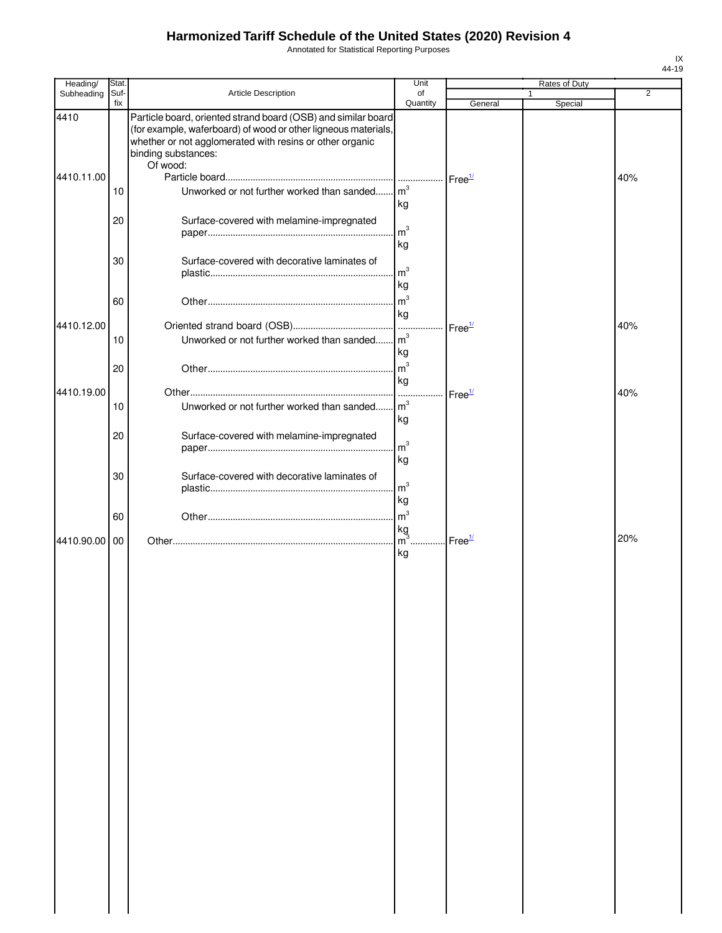Annotated for Statistical Reporting Purposes

| Heading/           | Stat.       |                                                                                                                                                                                                                                | Unit                              |                    | Rates of Duty |     |
|--------------------|-------------|--------------------------------------------------------------------------------------------------------------------------------------------------------------------------------------------------------------------------------|-----------------------------------|--------------------|---------------|-----|
| Subheading         | Suf-<br>fix | Article Description                                                                                                                                                                                                            | of<br>Quantity                    | General            | Special       | 2   |
| 4410<br>4410.11.00 |             | Particle board, oriented strand board (OSB) and similar board<br>(for example, waferboard) of wood or other ligneous materials,<br>whether or not agglomerated with resins or other organic<br>binding substances:<br>Of wood: |                                   | Free <sup>1/</sup> |               | 40% |
|                    | 10          | Unworked or not further worked than sanded m <sup>3</sup>                                                                                                                                                                      | kg                                |                    |               |     |
|                    | 20          | Surface-covered with melamine-impregnated                                                                                                                                                                                      | m <sup>3</sup><br>kg              |                    |               |     |
|                    | 30          | Surface-covered with decorative laminates of                                                                                                                                                                                   | m <sup>3</sup><br>kg              |                    |               |     |
|                    | 60          |                                                                                                                                                                                                                                | m <sup>3</sup><br>kg              |                    |               |     |
| 4410.12.00         | 10          | Unworked or not further worked than sanded m <sup>3</sup>                                                                                                                                                                      | kg                                | Free <sup>1/</sup> |               | 40% |
|                    | 20          |                                                                                                                                                                                                                                | $\mathsf{Im}^3$<br>kg             |                    |               |     |
| 4410.19.00         | 10          | Unworked or not further worked than sanded                                                                                                                                                                                     | m <sup>3</sup><br>kg              | Free <sup>1/</sup> |               | 40% |
|                    | 20          | Surface-covered with melamine-impregnated                                                                                                                                                                                      | $\mathsf{Im}^3$<br>kg             |                    |               |     |
|                    | 30          | Surface-covered with decorative laminates of                                                                                                                                                                                   | m <sup>3</sup><br>kg              |                    |               |     |
|                    | 60          |                                                                                                                                                                                                                                | m <sup>3</sup><br>kg              |                    |               |     |
| 4410.90.00         | 00          |                                                                                                                                                                                                                                | $\overline{\mathsf{m}^3}$ .<br>kg | Free <sup>1/</sup> |               | 20% |
|                    |             |                                                                                                                                                                                                                                |                                   |                    |               |     |
|                    |             |                                                                                                                                                                                                                                |                                   |                    |               |     |
|                    |             |                                                                                                                                                                                                                                |                                   |                    |               |     |
|                    |             |                                                                                                                                                                                                                                |                                   |                    |               |     |
|                    |             |                                                                                                                                                                                                                                |                                   |                    |               |     |
|                    |             |                                                                                                                                                                                                                                |                                   |                    |               |     |
|                    |             |                                                                                                                                                                                                                                |                                   |                    |               |     |
|                    |             |                                                                                                                                                                                                                                |                                   |                    |               |     |
|                    |             |                                                                                                                                                                                                                                |                                   |                    |               |     |
|                    |             |                                                                                                                                                                                                                                |                                   |                    |               |     |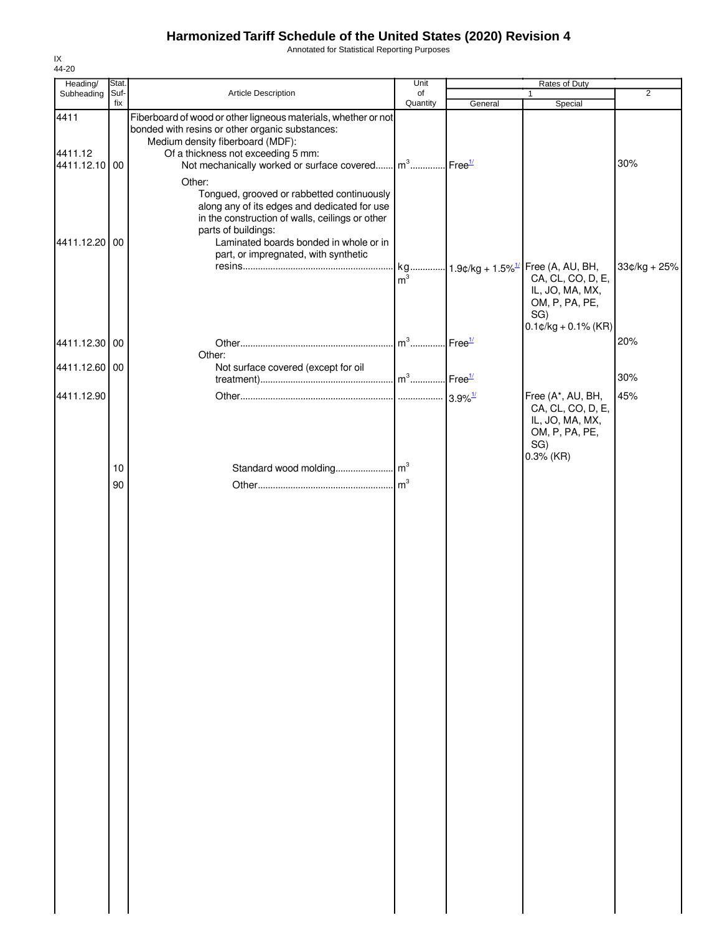Annotated for Statistical Reporting Purposes

| Heading/                         | Stat.       |                                                                                                                                                                                                                                                                                       | Unit           |                                                          | Rates of Duty                                                                                                     | $\overline{2}$ |
|----------------------------------|-------------|---------------------------------------------------------------------------------------------------------------------------------------------------------------------------------------------------------------------------------------------------------------------------------------|----------------|----------------------------------------------------------|-------------------------------------------------------------------------------------------------------------------|----------------|
| Subheading                       | Suf-<br>fix | Article Description                                                                                                                                                                                                                                                                   | of<br>Quantity | General                                                  | 1<br>Special                                                                                                      |                |
| 4411<br>4411.12<br>4411.12.10 00 |             | Fiberboard of wood or other ligneous materials, whether or not<br>bonded with resins or other organic substances:<br>Medium density fiberboard (MDF):<br>Of a thickness not exceeding 5 mm:<br>Not mechanically worked or surface covered m <sup>3</sup> Free <sup>1/</sup><br>Other: |                |                                                          |                                                                                                                   | 30%            |
| 4411.12.20                       | 00          | Tongued, grooved or rabbetted continuously<br>along any of its edges and dedicated for use<br>in the construction of walls, ceilings or other<br>parts of buildings:<br>Laminated boards bonded in whole or in<br>part, or impregnated, with synthetic                                | m <sup>3</sup> |                                                          | kg 1.9¢/kg + 1.5% <sup>1/</sup> Free (A, AU, BH,<br>CA, CL, CO, D, E,<br>IL, JO, MA, MX,<br>OM, P, PA, PE,<br>SG) | $33¢/kg + 25%$ |
| 4411.12.30 00                    |             | Other:                                                                                                                                                                                                                                                                                |                | $\mathsf{Free}^{\underline{\scriptscriptstyle 1\prime}}$ | $0.1$ ¢/kg + 0.1% (KR)                                                                                            | 20%            |
| 4411.12.60 00                    |             | Not surface covered (except for oil                                                                                                                                                                                                                                                   |                |                                                          |                                                                                                                   | 30%            |
| 4411.12.90                       |             |                                                                                                                                                                                                                                                                                       |                |                                                          | Free (A*, AU, BH,<br>CA, CL, CO, D, E,<br>IL, JO, MA, MX,<br>OM, P, PA, PE,<br>SG)<br>$0.3%$ (KR)                 | 45%            |
|                                  | 10          |                                                                                                                                                                                                                                                                                       |                |                                                          |                                                                                                                   |                |
|                                  |             |                                                                                                                                                                                                                                                                                       |                |                                                          |                                                                                                                   |                |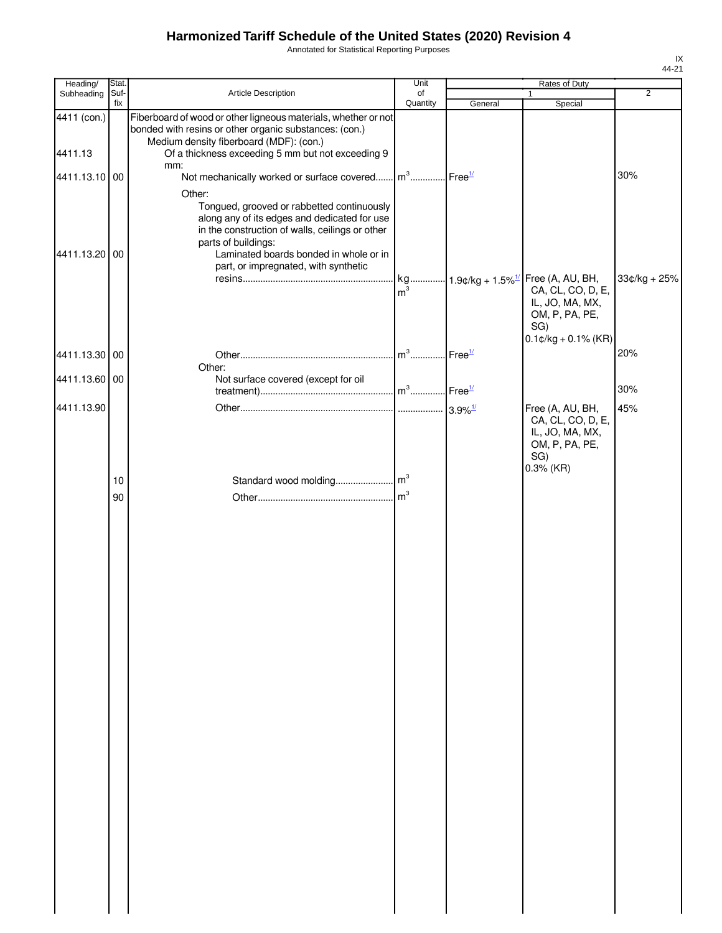Annotated for Statistical Reporting Purposes

| Heading/      | Stat.       |                                                                                                                                                                                                                                                        | Unit                              |         | Rates of Duty                                                                                                                               |                |
|---------------|-------------|--------------------------------------------------------------------------------------------------------------------------------------------------------------------------------------------------------------------------------------------------------|-----------------------------------|---------|---------------------------------------------------------------------------------------------------------------------------------------------|----------------|
| Subheading    | Suf-<br>fix | Article Description                                                                                                                                                                                                                                    | of<br>Quantity                    | General | $\mathbf{1}$<br>Special                                                                                                                     | $\overline{2}$ |
| 4411 (con.)   |             | Fiberboard of wood or other ligneous materials, whether or not<br>bonded with resins or other organic substances: (con.)<br>Medium density fiberboard (MDF): (con.)                                                                                    |                                   |         |                                                                                                                                             |                |
| 4411.13       |             | Of a thickness exceeding 5 mm but not exceeding 9<br>mm:                                                                                                                                                                                               |                                   |         |                                                                                                                                             |                |
| 4411.13.10 00 |             | Not mechanically worked or surface covered m <sup>3</sup> Free <sup>1/</sup><br>Other:                                                                                                                                                                 |                                   |         |                                                                                                                                             | 30%            |
| 4411.13.20 00 |             | Tongued, grooved or rabbetted continuously<br>along any of its edges and dedicated for use<br>in the construction of walls, ceilings or other<br>parts of buildings:<br>Laminated boards bonded in whole or in<br>part, or impregnated, with synthetic | m <sup>3</sup>                    |         | kg 1.9¢/kg + 1.5% <sup>1/</sup> Free (A, AU, BH,<br>CA, CL, CO, D, E,<br>IL, JO, MA, MX,<br>OM, P, PA, PE,<br>SG)<br>$0.1$ ¢/kg + 0.1% (KR) | $33¢/kg + 25%$ |
| 4411.13.30 00 |             |                                                                                                                                                                                                                                                        | m <sup>3</sup> Free <sup>1/</sup> |         |                                                                                                                                             | 20%            |
| 4411.13.60 00 |             | Other:<br>Not surface covered (except for oil                                                                                                                                                                                                          |                                   |         |                                                                                                                                             | 30%            |
| 4411.13.90    |             |                                                                                                                                                                                                                                                        |                                   |         | Free (A, AU, BH,                                                                                                                            | 45%            |
|               | 10          |                                                                                                                                                                                                                                                        |                                   |         | CA, CL, CO, D, E,<br>IL, JO, MA, MX,<br>OM, P, PA, PE,<br>SG)<br>$0.3%$ (KR)                                                                |                |
|               | 90          |                                                                                                                                                                                                                                                        |                                   |         |                                                                                                                                             |                |
|               |             |                                                                                                                                                                                                                                                        |                                   |         |                                                                                                                                             |                |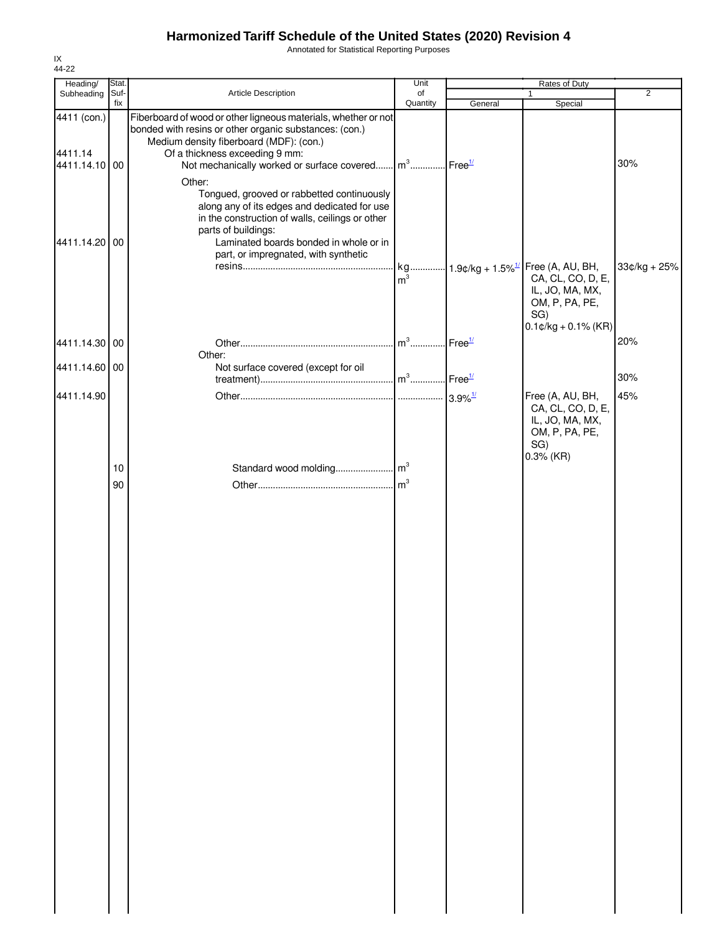Annotated for Statistical Reporting Purposes

| Heading/                                | Stat.       |                                                                                                                                                                                                                                                               | Unit                              |                    | Rates of Duty                                                                                    | $\overline{2}$ |
|-----------------------------------------|-------------|---------------------------------------------------------------------------------------------------------------------------------------------------------------------------------------------------------------------------------------------------------------|-----------------------------------|--------------------|--------------------------------------------------------------------------------------------------|----------------|
| Subheading                              | Suf-<br>fix | Article Description                                                                                                                                                                                                                                           | of<br>Quantity                    | General            | 1<br>Special                                                                                     |                |
| 4411 (con.)<br>4411.14<br>4411.14.10 00 |             | Fiberboard of wood or other ligneous materials, whether or not<br>bonded with resins or other organic substances: (con.)<br>Medium density fiberboard (MDF): (con.)<br>Of a thickness exceeding 9 mm:<br>Not mechanically worked or surface covered<br>Other: | m <sup>3</sup> Free <sup>1/</sup> |                    |                                                                                                  | 30%            |
| 4411.14.20 00                           |             | Tongued, grooved or rabbetted continuously<br>along any of its edges and dedicated for use<br>in the construction of walls, ceilings or other<br>parts of buildings:<br>Laminated boards bonded in whole or in<br>part, or impregnated, with synthetic        | m <sup>3</sup>                    |                    | kg 1.9¢/kg + 1.5% <sup>1/</sup> Free (A, AU, BH,<br>CA, CL, CO, D, E,                            | $33¢/kg + 25%$ |
|                                         |             |                                                                                                                                                                                                                                                               | $m^3$                             |                    | IL, JO, MA, MX,<br>OM, P, PA, PE,<br>SG)<br>$0.1$ ¢/kg + 0.1% (KR)                               | 20%            |
| 4411.14.30 00<br>4411.14.60 00          |             | Other:<br>Not surface covered (except for oil                                                                                                                                                                                                                 |                                   | Free <sup>1/</sup> |                                                                                                  |                |
|                                         |             |                                                                                                                                                                                                                                                               | $m^3$ Free $^{1/2}$               |                    |                                                                                                  | 30%            |
| 4411.14.90                              |             |                                                                                                                                                                                                                                                               |                                   |                    | Free (A, AU, BH,<br>CA, CL, CO, D, E,<br>IL, JO, MA, MX,<br>OM, P, PA, PE,<br>SG)<br>$0.3%$ (KR) | 45%            |
|                                         | 10<br>90    |                                                                                                                                                                                                                                                               | m <sup>3</sup>                    |                    |                                                                                                  |                |
|                                         |             |                                                                                                                                                                                                                                                               |                                   |                    |                                                                                                  |                |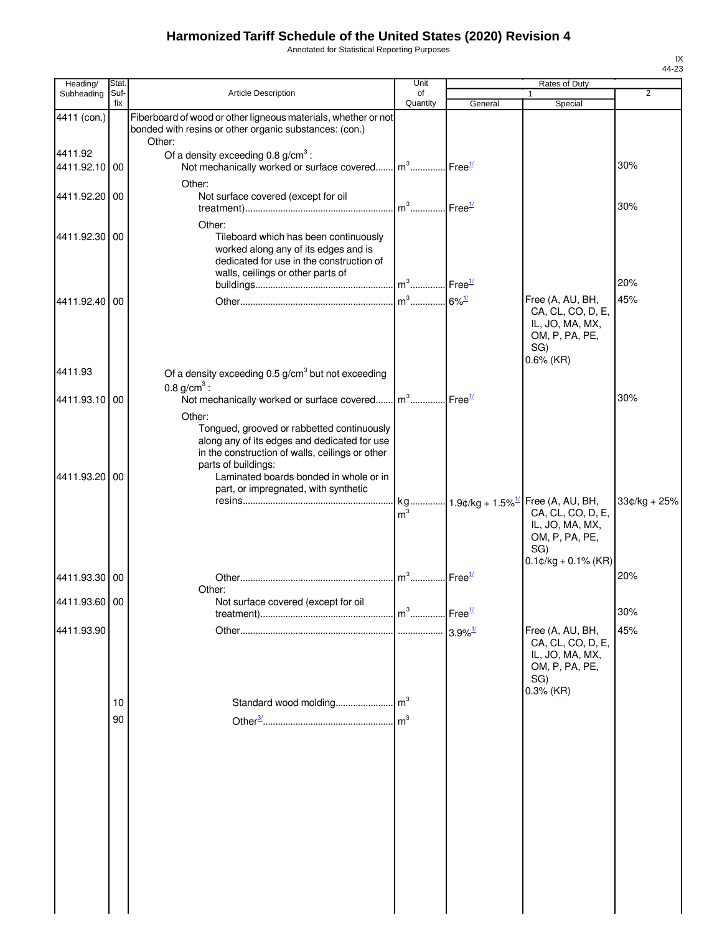Annotated for Statistical Reporting Purposes

| Heading/                 | Stat.       |                                                                                                                                                                                                                      | Unit                              |                        | Rates of Duty                                                                                                     |                |
|--------------------------|-------------|----------------------------------------------------------------------------------------------------------------------------------------------------------------------------------------------------------------------|-----------------------------------|------------------------|-------------------------------------------------------------------------------------------------------------------|----------------|
| Subheading               | Suf-<br>fix | Article Description                                                                                                                                                                                                  | of<br>Quantity                    | General                | 1<br>Special                                                                                                      | $\overline{2}$ |
| 4411 (con.)              |             | Fiberboard of wood or other ligneous materials, whether or not<br>bonded with resins or other organic substances: (con.)<br>Other:                                                                                   |                                   |                        |                                                                                                                   |                |
| 4411.92<br>4411.92.10 00 |             | Of a density exceeding $0.8$ g/cm <sup>3</sup> :<br>Not mechanically worked or surface covered m <sup>3</sup> Free <sup>1/</sup>                                                                                     |                                   |                        |                                                                                                                   | 30%            |
| 4411.92.20 00            |             | Other:<br>Not surface covered (except for oil                                                                                                                                                                        | m <sup>3</sup> Free <sup>1/</sup> |                        |                                                                                                                   | 30%            |
| 4411.92.30 00            |             | Other:<br>Tileboard which has been continuously<br>worked along any of its edges and is<br>dedicated for use in the construction of<br>walls, ceilings or other parts of<br>${\sf building s} \\ {\sf mulding s} \\$ |                                   | $.$ Free $\frac{1}{2}$ |                                                                                                                   | 20%            |
| 4411.92.40 00            |             |                                                                                                                                                                                                                      |                                   |                        | Free (A, AU, BH,<br>CA, CL, CO, D, E,<br>IL, JO, MA, MX,<br>OM, P, PA, PE,<br>SG)<br>$0.6\%$ (KR)                 | 45%            |
| 4411.93                  |             | Of a density exceeding $0.5$ g/cm <sup>3</sup> but not exceeding<br>0.8 $g/cm^{3}$ :                                                                                                                                 |                                   |                        |                                                                                                                   |                |
| 4411.93.10 00            |             | Not mechanically worked or surface covered m <sup>3</sup> Free <sup>1/</sup><br>Other:<br>Tongued, grooved or rabbetted continuously                                                                                 |                                   |                        |                                                                                                                   | 30%            |
| 4411.93.20 00            |             | along any of its edges and dedicated for use<br>in the construction of walls, ceilings or other<br>parts of buildings:<br>Laminated boards bonded in whole or in<br>part, or impregnated, with synthetic             |                                   |                        |                                                                                                                   |                |
|                          |             |                                                                                                                                                                                                                      | m <sup>3</sup>                    |                        | kg 1.9¢/kg + 1.5% <sup>1/</sup> Free (A, AU, BH,<br>CA, CL, CO, D, E,<br>IL, JO, MA, MX,<br>OM, P, PA, PE,<br>SG) | $33¢/kg + 25%$ |
| 4411.93.30 00            |             |                                                                                                                                                                                                                      | $\mathsf{m}^3$                    | Free $\frac{1}{2}$     | $0.1$ ¢/kg + 0.1% (KR)                                                                                            | 20%            |
| 4411.93.60 00            |             | Other:<br>Not surface covered (except for oil                                                                                                                                                                        |                                   | $I$ Free $1/$          |                                                                                                                   | 30%            |
| 4411.93.90               |             |                                                                                                                                                                                                                      |                                   |                        | Free (A, AU, BH,<br>CA, CL, CO, D, E,                                                                             | 45%            |
|                          |             |                                                                                                                                                                                                                      |                                   |                        | IL, JO, MA, MX,<br>OM, P, PA, PE,<br>SG)                                                                          |                |
|                          | 10          |                                                                                                                                                                                                                      |                                   |                        | $0.3%$ (KR)                                                                                                       |                |
|                          | 90          |                                                                                                                                                                                                                      | m <sup>3</sup>                    |                        |                                                                                                                   |                |
|                          |             |                                                                                                                                                                                                                      |                                   |                        |                                                                                                                   |                |
|                          |             |                                                                                                                                                                                                                      |                                   |                        |                                                                                                                   |                |
|                          |             |                                                                                                                                                                                                                      |                                   |                        |                                                                                                                   |                |
|                          |             |                                                                                                                                                                                                                      |                                   |                        |                                                                                                                   |                |
|                          |             |                                                                                                                                                                                                                      |                                   |                        |                                                                                                                   |                |
|                          |             |                                                                                                                                                                                                                      |                                   |                        |                                                                                                                   |                |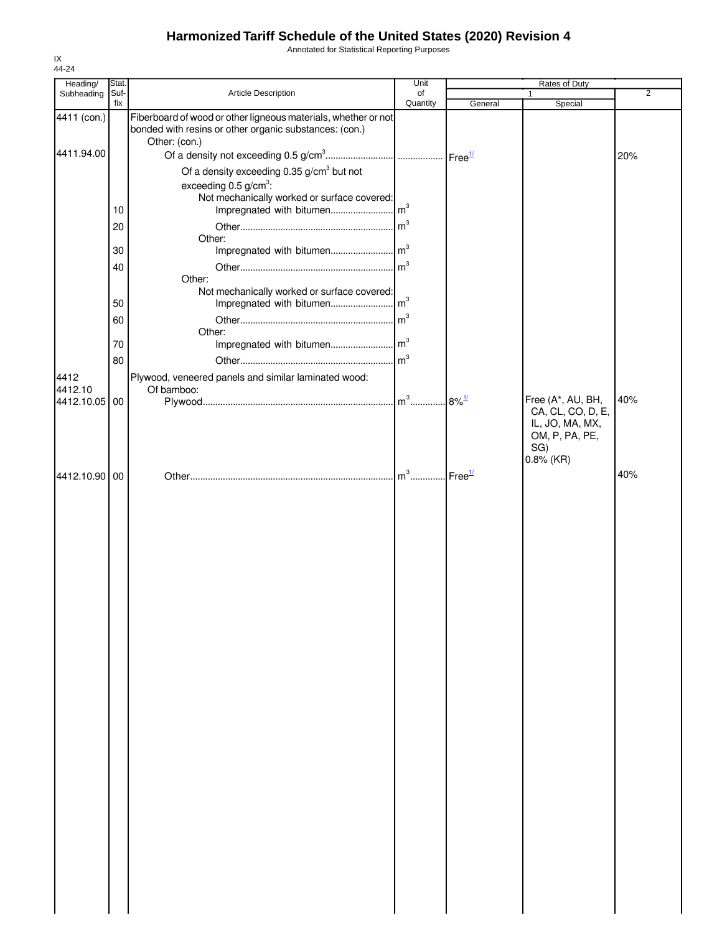Annotated for Statistical Reporting Purposes

| Stat. |                                                                                                          | Unit                                                                                                                                                                                                                                                       |                                                                                                                                                                                                                             | Rates of Duty                                                 |                              |
|-------|----------------------------------------------------------------------------------------------------------|------------------------------------------------------------------------------------------------------------------------------------------------------------------------------------------------------------------------------------------------------------|-----------------------------------------------------------------------------------------------------------------------------------------------------------------------------------------------------------------------------|---------------------------------------------------------------|------------------------------|
|       |                                                                                                          |                                                                                                                                                                                                                                                            |                                                                                                                                                                                                                             | 1                                                             | $\overline{2}$               |
|       | bonded with resins or other organic substances: (con.)                                                   |                                                                                                                                                                                                                                                            |                                                                                                                                                                                                                             |                                                               |                              |
|       |                                                                                                          |                                                                                                                                                                                                                                                            |                                                                                                                                                                                                                             |                                                               | 20%                          |
|       |                                                                                                          |                                                                                                                                                                                                                                                            |                                                                                                                                                                                                                             |                                                               |                              |
|       |                                                                                                          |                                                                                                                                                                                                                                                            |                                                                                                                                                                                                                             |                                                               |                              |
|       |                                                                                                          |                                                                                                                                                                                                                                                            |                                                                                                                                                                                                                             |                                                               |                              |
| 10    |                                                                                                          |                                                                                                                                                                                                                                                            |                                                                                                                                                                                                                             |                                                               |                              |
|       |                                                                                                          |                                                                                                                                                                                                                                                            |                                                                                                                                                                                                                             |                                                               |                              |
|       | Other:                                                                                                   |                                                                                                                                                                                                                                                            |                                                                                                                                                                                                                             |                                                               |                              |
| 30    |                                                                                                          |                                                                                                                                                                                                                                                            |                                                                                                                                                                                                                             |                                                               |                              |
| 40    |                                                                                                          |                                                                                                                                                                                                                                                            |                                                                                                                                                                                                                             |                                                               |                              |
|       |                                                                                                          |                                                                                                                                                                                                                                                            |                                                                                                                                                                                                                             |                                                               |                              |
|       |                                                                                                          |                                                                                                                                                                                                                                                            |                                                                                                                                                                                                                             |                                                               |                              |
|       |                                                                                                          |                                                                                                                                                                                                                                                            |                                                                                                                                                                                                                             |                                                               |                              |
|       |                                                                                                          |                                                                                                                                                                                                                                                            |                                                                                                                                                                                                                             |                                                               |                              |
|       |                                                                                                          |                                                                                                                                                                                                                                                            |                                                                                                                                                                                                                             |                                                               |                              |
|       |                                                                                                          |                                                                                                                                                                                                                                                            |                                                                                                                                                                                                                             |                                                               |                              |
|       |                                                                                                          |                                                                                                                                                                                                                                                            |                                                                                                                                                                                                                             |                                                               |                              |
|       |                                                                                                          |                                                                                                                                                                                                                                                            |                                                                                                                                                                                                                             |                                                               |                              |
|       |                                                                                                          |                                                                                                                                                                                                                                                            |                                                                                                                                                                                                                             | Free (A*, AU, BH,                                             | 40%                          |
|       |                                                                                                          |                                                                                                                                                                                                                                                            |                                                                                                                                                                                                                             | IL, JO, MA, MX,<br>OM, P, PA, PE,<br>SG)<br>$0.8\%$ (KR)      |                              |
|       |                                                                                                          |                                                                                                                                                                                                                                                            |                                                                                                                                                                                                                             |                                                               | 40%                          |
|       |                                                                                                          |                                                                                                                                                                                                                                                            |                                                                                                                                                                                                                             |                                                               |                              |
|       | Suf-<br>fix<br>4411 (con.)<br>4411.94.00<br>20<br>50<br>60<br>70<br>80<br>4412.10.05 00<br>4412.10.90 00 | Article Description<br>Other: (con.)<br>Of a density exceeding 0.35 g/cm <sup>3</sup> but not<br>exceeding $0.5$ g/cm <sup>3</sup> :<br>Other:<br>Impregnated with bitumen<br>Other:<br>Plywood, veneered panels and similar laminated wood:<br>Of bamboo: | of<br>Quantity<br>Fiberboard of wood or other ligneous materials, whether or not<br>Not mechanically worked or surface covered:<br>Not mechanically worked or surface covered:<br>$\mathsf{Im}^3$<br>m <sup>3</sup><br>$m3$ | General<br>$8\%$ <sup>1/</sup><br>$\text{Free}^{\frac{1}{2}}$ | Special<br>CA, CL, CO, D, E, |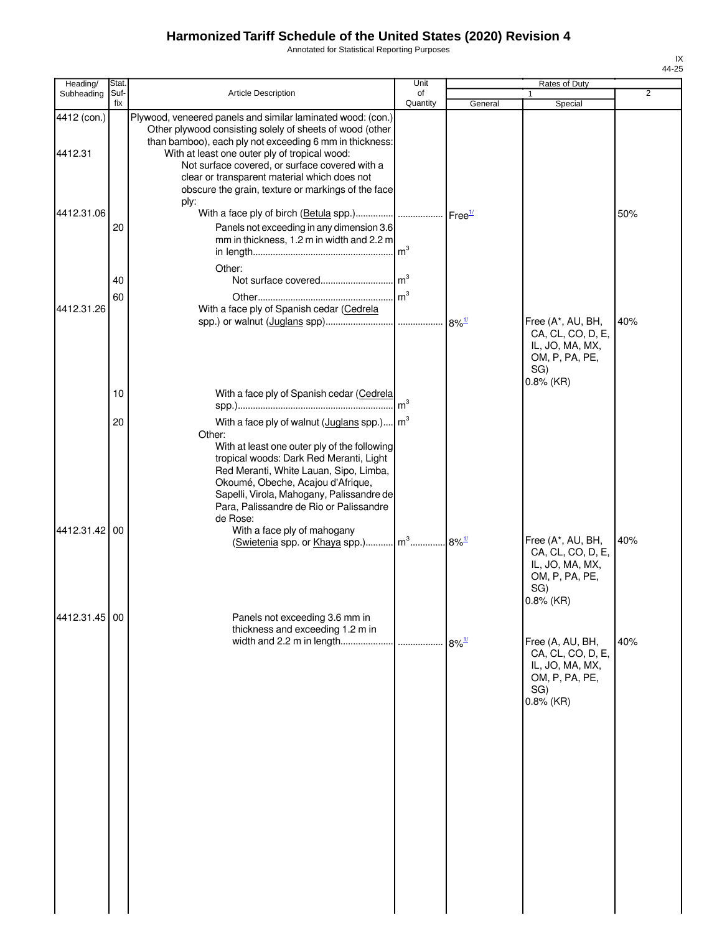Annotated for Statistical Reporting Purposes

| Heading/                       | <b>Stat</b> |                                                                                                                                                                                                                                                                                                                                  | Unit            |                     | <b>Rates of Duty</b>                                                                               |                |
|--------------------------------|-------------|----------------------------------------------------------------------------------------------------------------------------------------------------------------------------------------------------------------------------------------------------------------------------------------------------------------------------------|-----------------|---------------------|----------------------------------------------------------------------------------------------------|----------------|
| Subheading                     | Suf-<br>fix | Article Description                                                                                                                                                                                                                                                                                                              | of<br>Quantity  | General             |                                                                                                    | $\overline{2}$ |
| 4412 (con.)                    |             | Plywood, veneered panels and similar laminated wood: (con.)<br>Other plywood consisting solely of sheets of wood (other                                                                                                                                                                                                          |                 |                     | Special                                                                                            |                |
| 4412.31                        |             | than bamboo), each ply not exceeding 6 mm in thickness:<br>With at least one outer ply of tropical wood:<br>Not surface covered, or surface covered with a<br>clear or transparent material which does not                                                                                                                       |                 |                     |                                                                                                    |                |
| 4412.31.06                     |             | obscure the grain, texture or markings of the face<br>ply:                                                                                                                                                                                                                                                                       |                 |                     |                                                                                                    | 50%            |
|                                | 20          | Panels not exceeding in any dimension 3.6<br>mm in thickness, 1.2 m in width and 2.2 m                                                                                                                                                                                                                                           | m <sup>3</sup>  |                     |                                                                                                    |                |
|                                | 40<br>60    | Other:                                                                                                                                                                                                                                                                                                                           |                 |                     |                                                                                                    |                |
| 4412.31.26                     |             | With a face ply of Spanish cedar (Cedrela                                                                                                                                                                                                                                                                                        |                 | $8\%$ <sup>1/</sup> | Free (A*, AU, BH,<br>CA, CL, CO, D, E,<br>IL, JO, MA, MX,<br>OM, P, PA, PE,<br>SG)<br>$0.8\%$ (KR) | 40%            |
|                                | 10          | With a face ply of Spanish cedar (Cedrela                                                                                                                                                                                                                                                                                        | m <sup>3</sup>  |                     |                                                                                                    |                |
|                                | 20          | With a face ply of walnut (Juglans spp.)<br>Other:<br>With at least one outer ply of the following<br>tropical woods: Dark Red Meranti, Light<br>Red Meranti, White Lauan, Sipo, Limba,<br>Okoumé, Obeche, Acajou d'Afrique,<br>Sapelli, Virola, Mahogany, Palissandre de<br>Para, Palissandre de Rio or Palissandre<br>de Rose: | $\mathsf{Im}^3$ |                     |                                                                                                    |                |
|                                |             | (Swietenia spp. or Khaya spp.) m <sup>3</sup> 8% <sup>1/</sup>                                                                                                                                                                                                                                                                   |                 |                     | Free (A*, AU, BH,<br>CA, CL, CO, D, E,<br>IL, JO, MA, MX,<br>OM, P, PA, PE,<br>SG)<br>0.8% (KR)    | 40%            |
|                                |             | thickness and exceeding 1.2 m in                                                                                                                                                                                                                                                                                                 |                 | $8\%$ <sup>1/</sup> | Free (A, AU, BH,<br>CA, CL, CO, D, E,<br>IL, JO, MA, MX,<br>OM, P, PA, PE,<br>SG)<br>$0.8\%$ (KR)  | 40%            |
| 4412.31.42 00<br>4412.31.45 00 |             | With a face ply of mahogany<br>Panels not exceeding 3.6 mm in                                                                                                                                                                                                                                                                    |                 |                     |                                                                                                    |                |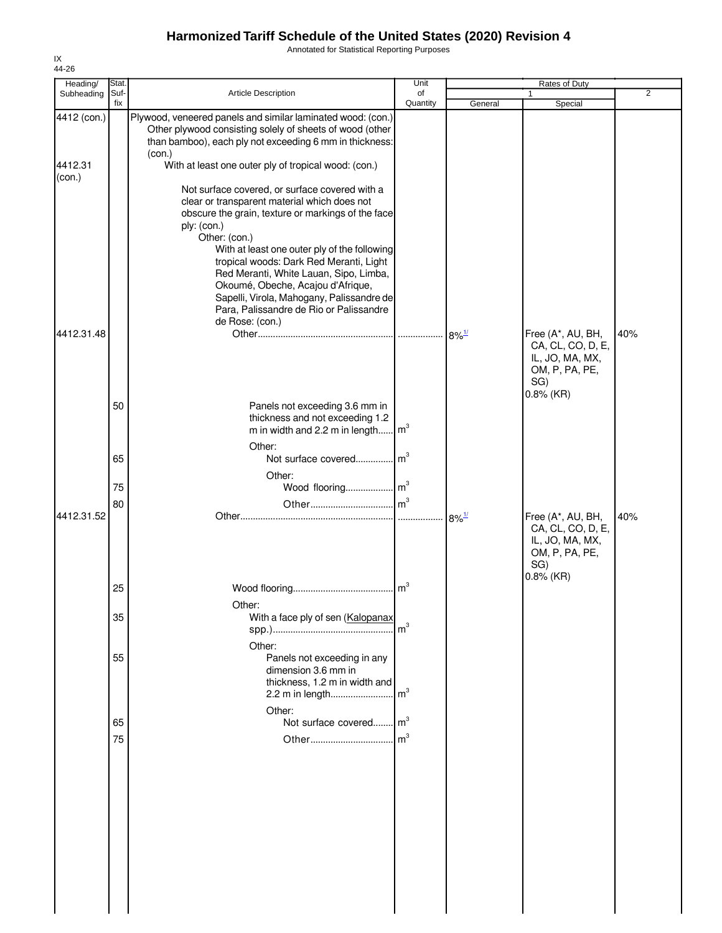Annotated for Statistical Reporting Purposes

| Heading/                         | Stat.       |                                                                                                                                                                                                                                                                                                                                                                                                                                                                           | Unit           |                     | Rates of Duty                                                                                      |                |
|----------------------------------|-------------|---------------------------------------------------------------------------------------------------------------------------------------------------------------------------------------------------------------------------------------------------------------------------------------------------------------------------------------------------------------------------------------------------------------------------------------------------------------------------|----------------|---------------------|----------------------------------------------------------------------------------------------------|----------------|
| Subheading                       | Suf-<br>fix | Article Description                                                                                                                                                                                                                                                                                                                                                                                                                                                       | of<br>Quantity | General             | 1<br>Special                                                                                       | $\overline{2}$ |
| 4412 (con.)<br>4412.31<br>(con.) |             | Plywood, veneered panels and similar laminated wood: (con.)<br>Other plywood consisting solely of sheets of wood (other<br>than bamboo), each ply not exceeding 6 mm in thickness:<br>(con.)<br>With at least one outer ply of tropical wood: (con.)                                                                                                                                                                                                                      |                |                     |                                                                                                    |                |
| 4412.31.48                       |             | Not surface covered, or surface covered with a<br>clear or transparent material which does not<br>obscure the grain, texture or markings of the face<br>ply: (con.)<br>Other: (con.)<br>With at least one outer ply of the following<br>tropical woods: Dark Red Meranti, Light<br>Red Meranti, White Lauan, Sipo, Limba,<br>Okoumé, Obeche, Acajou d'Afrique,<br>Sapelli, Virola, Mahogany, Palissandre de<br>Para, Palissandre de Rio or Palissandre<br>de Rose: (con.) |                | $8\%$ <sup>1/</sup> | Free (A*, AU, BH,<br>CA, CL, CO, D, E,                                                             | 40%            |
|                                  |             |                                                                                                                                                                                                                                                                                                                                                                                                                                                                           |                |                     | IL, JO, MA, MX,<br>OM, P, PA, PE,<br>SG)<br>$0.8\%$ (KR)                                           |                |
|                                  | 50          | Panels not exceeding 3.6 mm in<br>thickness and not exceeding 1.2<br>m in width and 2.2 m in length $\vert m^3 \vert$<br>Other:                                                                                                                                                                                                                                                                                                                                           |                |                     |                                                                                                    |                |
|                                  | 65          | Not surface covered<br>Other:                                                                                                                                                                                                                                                                                                                                                                                                                                             | m <sup>3</sup> |                     |                                                                                                    |                |
|                                  | 75          |                                                                                                                                                                                                                                                                                                                                                                                                                                                                           |                |                     |                                                                                                    |                |
| 4412.31.52                       | 80          |                                                                                                                                                                                                                                                                                                                                                                                                                                                                           |                | $8\%$ <sup>1/</sup> | Free (A*, AU, BH,<br>CA, CL, CO, D, E,<br>IL, JO, MA, MX,<br>OM, P, PA, PE,<br>SG)<br>$0.8\%$ (KR) | 40%            |
|                                  | 25          | Other:                                                                                                                                                                                                                                                                                                                                                                                                                                                                    | m <sup>3</sup> |                     |                                                                                                    |                |
|                                  | 35          | With a face ply of sen (Kalopanax<br>Other:                                                                                                                                                                                                                                                                                                                                                                                                                               | m <sup>3</sup> |                     |                                                                                                    |                |
|                                  | 55          | Panels not exceeding in any<br>dimension 3.6 mm in<br>thickness, 1.2 m in width and<br>2.2 m in length                                                                                                                                                                                                                                                                                                                                                                    | m <sup>3</sup> |                     |                                                                                                    |                |
|                                  | 65          | Other:<br>Not surface covered m <sup>3</sup>                                                                                                                                                                                                                                                                                                                                                                                                                              |                |                     |                                                                                                    |                |
|                                  | 75          |                                                                                                                                                                                                                                                                                                                                                                                                                                                                           |                |                     |                                                                                                    |                |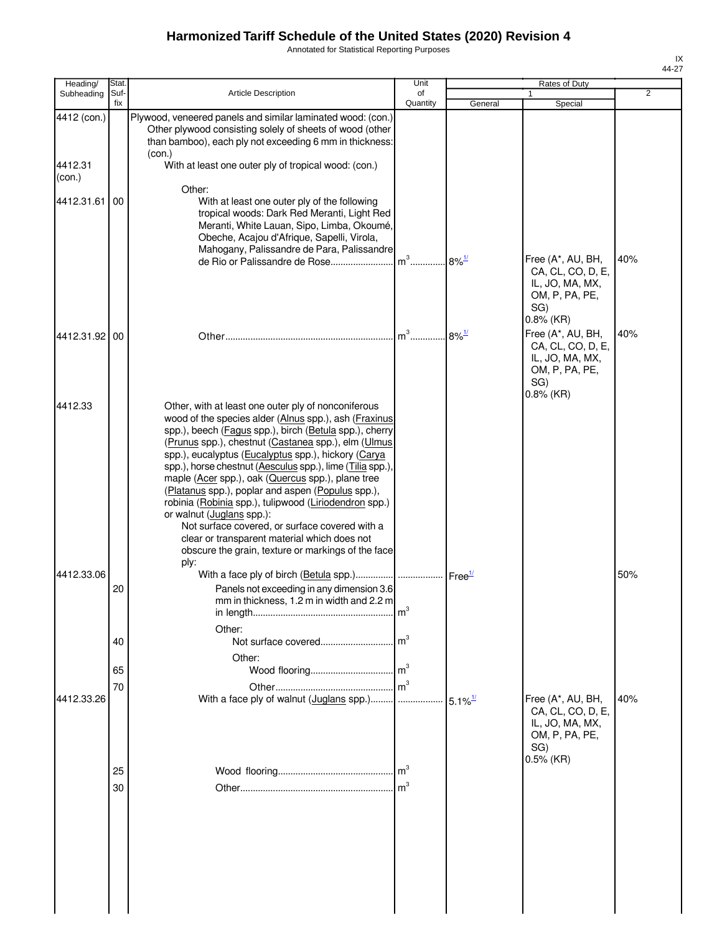Annotated for Statistical Reporting Purposes

| Stat.                     |                                                                                                                                                                                                                                                                                                                                                                                                              | Unit                                                                                              |                                                                                                                                                                                                                                                                                                                                                                                                                                                                                                                                                                                                                                                                    | Rates of Duty                                                                      |                                                              |
|---------------------------|--------------------------------------------------------------------------------------------------------------------------------------------------------------------------------------------------------------------------------------------------------------------------------------------------------------------------------------------------------------------------------------------------------------|---------------------------------------------------------------------------------------------------|--------------------------------------------------------------------------------------------------------------------------------------------------------------------------------------------------------------------------------------------------------------------------------------------------------------------------------------------------------------------------------------------------------------------------------------------------------------------------------------------------------------------------------------------------------------------------------------------------------------------------------------------------------------------|------------------------------------------------------------------------------------|--------------------------------------------------------------|
| fix                       |                                                                                                                                                                                                                                                                                                                                                                                                              |                                                                                                   |                                                                                                                                                                                                                                                                                                                                                                                                                                                                                                                                                                                                                                                                    |                                                                                    | $\overline{2}$                                               |
|                           | Other plywood consisting solely of sheets of wood (other                                                                                                                                                                                                                                                                                                                                                     |                                                                                                   |                                                                                                                                                                                                                                                                                                                                                                                                                                                                                                                                                                                                                                                                    |                                                                                    |                                                              |
|                           | With at least one outer ply of tropical wood: (con.)                                                                                                                                                                                                                                                                                                                                                         |                                                                                                   |                                                                                                                                                                                                                                                                                                                                                                                                                                                                                                                                                                                                                                                                    |                                                                                    |                                                              |
| 00                        | With at least one outer ply of the following<br>tropical woods: Dark Red Meranti, Light Red<br>Obeche, Acajou d'Afrique, Sapelli, Virola,                                                                                                                                                                                                                                                                    |                                                                                                   |                                                                                                                                                                                                                                                                                                                                                                                                                                                                                                                                                                                                                                                                    |                                                                                    |                                                              |
|                           |                                                                                                                                                                                                                                                                                                                                                                                                              |                                                                                                   |                                                                                                                                                                                                                                                                                                                                                                                                                                                                                                                                                                                                                                                                    | CA, CL, CO, D, E,<br>IL, JO, MA, MX,<br>OM, P, PA, PE,<br>SG)<br>$0.8\%$ (KR)      | 40%                                                          |
|                           |                                                                                                                                                                                                                                                                                                                                                                                                              |                                                                                                   | $8\%$ <sup>1/</sup>                                                                                                                                                                                                                                                                                                                                                                                                                                                                                                                                                                                                                                                | Free (A*, AU, BH,<br>CA, CL, CO, D, E,<br>IL, JO, MA, MX,<br>OM, P, PA, PE,<br>SG) | 40%                                                          |
|                           | Other, with at least one outer ply of nonconiferous<br>spp.), eucalyptus (Eucalyptus spp.), hickory (Carya<br>maple (Acer spp.), oak (Quercus spp.), plane tree<br>(Platanus spp.), poplar and aspen (Populus spp.),<br>robinia (Robinia spp.), tulipwood (Liriodendron spp.)<br>or walnut (Juglans spp.):<br>Not surface covered, or surface covered with a<br>clear or transparent material which does not |                                                                                                   |                                                                                                                                                                                                                                                                                                                                                                                                                                                                                                                                                                                                                                                                    |                                                                                    |                                                              |
| 20                        |                                                                                                                                                                                                                                                                                                                                                                                                              |                                                                                                   |                                                                                                                                                                                                                                                                                                                                                                                                                                                                                                                                                                                                                                                                    |                                                                                    | 50%                                                          |
| 40                        | Other:                                                                                                                                                                                                                                                                                                                                                                                                       |                                                                                                   |                                                                                                                                                                                                                                                                                                                                                                                                                                                                                                                                                                                                                                                                    |                                                                                    |                                                              |
| 65                        |                                                                                                                                                                                                                                                                                                                                                                                                              |                                                                                                   |                                                                                                                                                                                                                                                                                                                                                                                                                                                                                                                                                                                                                                                                    |                                                                                    |                                                              |
|                           |                                                                                                                                                                                                                                                                                                                                                                                                              |                                                                                                   |                                                                                                                                                                                                                                                                                                                                                                                                                                                                                                                                                                                                                                                                    | Free (A*, AU, BH,<br>CA, CL, CO, D, E,<br>IL, JO, MA, MX,<br>OM, P, PA, PE,<br>SG) | 40%                                                          |
| 25                        |                                                                                                                                                                                                                                                                                                                                                                                                              |                                                                                                   |                                                                                                                                                                                                                                                                                                                                                                                                                                                                                                                                                                                                                                                                    |                                                                                    |                                                              |
| 30                        |                                                                                                                                                                                                                                                                                                                                                                                                              |                                                                                                   |                                                                                                                                                                                                                                                                                                                                                                                                                                                                                                                                                                                                                                                                    |                                                                                    |                                                              |
| 4412 (con.)<br>4412.33.06 | Suf-<br>4412.31.61<br>4412.31.92 00<br>70<br>4412.33.26                                                                                                                                                                                                                                                                                                                                                      | <b>Article Description</b><br>(con.)<br>Other:<br>de Rio or Palissandre de Rose<br>ply:<br>Other: | of<br>Quantity<br>Plywood, veneered panels and similar laminated wood: (con.)<br>than bamboo), each ply not exceeding 6 mm in thickness:<br>Meranti, White Lauan, Sipo, Limba, Okoumé,<br>Mahogany, Palissandre de Para, Palissandre<br>$m^3$<br>$m^3$<br>wood of the species alder (Alnus spp.), ash (Fraxinus<br>spp.), beech (Fagus spp.), birch (Betula spp.), cherry<br>(Prunus spp.), chestnut (Castanea spp.), elm (Ulmus<br>spp.), horse chestnut (Aesculus spp.), lime (Tilia spp.),<br>obscure the grain, texture or markings of the face<br>Panels not exceeding in any dimension 3.6<br>mm in thickness, 1.2 m in width and 2.2 m<br>. $\mathsf{Im}^3$ | General<br>$8\%$ <sup>1/</sup>                                                     | Special<br>Free (A*, AU, BH,<br>$0.8\%$ (KR)<br>$0.5\%$ (KR) |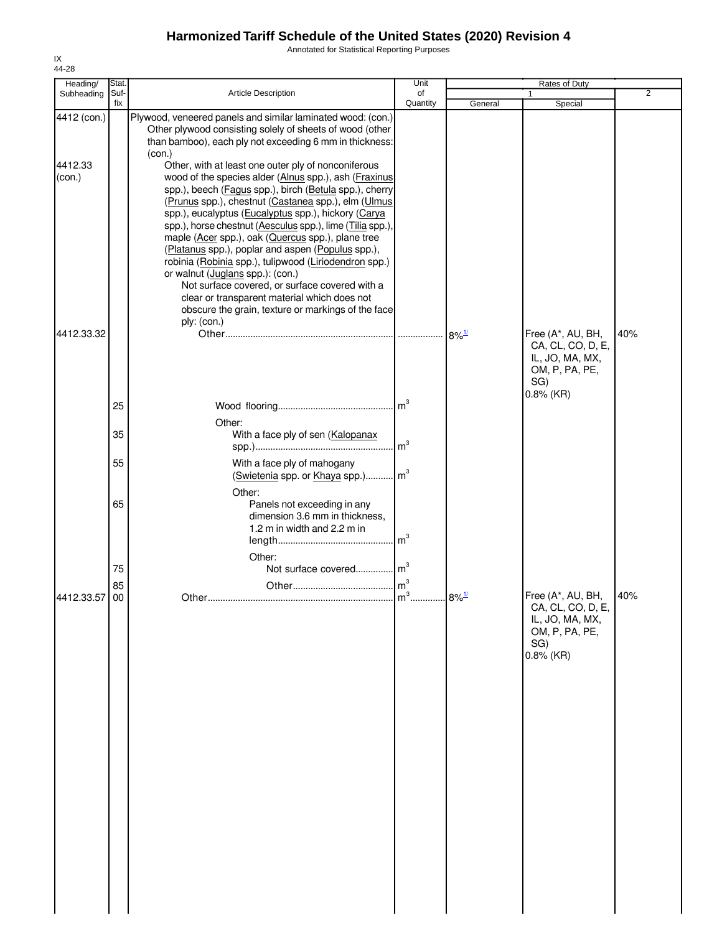Annotated for Statistical Reporting Purposes

| Heading/                         | Stat.       |                                                                                                                                                                                                                                                                                                                                                                                                                                                                                                                                                                                                                                                                                                                                                                                                            | Unit           |                      | Rates of Duty                                                                                      |                |
|----------------------------------|-------------|------------------------------------------------------------------------------------------------------------------------------------------------------------------------------------------------------------------------------------------------------------------------------------------------------------------------------------------------------------------------------------------------------------------------------------------------------------------------------------------------------------------------------------------------------------------------------------------------------------------------------------------------------------------------------------------------------------------------------------------------------------------------------------------------------------|----------------|----------------------|----------------------------------------------------------------------------------------------------|----------------|
| Subheading                       | Suf-<br>fix | Article Description                                                                                                                                                                                                                                                                                                                                                                                                                                                                                                                                                                                                                                                                                                                                                                                        | of<br>Quantity | General              | Special                                                                                            | $\overline{2}$ |
| 4412 (con.)<br>4412.33<br>(con.) |             | Plywood, veneered panels and similar laminated wood: (con.)<br>Other plywood consisting solely of sheets of wood (other<br>than bamboo), each ply not exceeding 6 mm in thickness:<br>(con.)<br>Other, with at least one outer ply of nonconiferous<br>wood of the species alder (Alnus spp.), ash (Fraxinus<br>spp.), beech (Fagus spp.), birch (Betula spp.), cherry<br>(Prunus spp.), chestnut (Castanea spp.), elm (Ulmus<br>spp.), eucalyptus (Eucalyptus spp.), hickory (Carya<br>spp.), horse chestnut (Aesculus spp.), lime (Tilia spp.),<br>maple (Acer spp.), oak (Quercus spp.), plane tree<br>(Platanus spp.), poplar and aspen (Populus spp.),<br>robinia (Robinia spp.), tulipwood (Liriodendron spp.)<br>or walnut (Juglans spp.): (con.)<br>Not surface covered, or surface covered with a |                |                      |                                                                                                    |                |
| 4412.33.32                       |             | clear or transparent material which does not<br>obscure the grain, texture or markings of the face<br>ply: (con.)                                                                                                                                                                                                                                                                                                                                                                                                                                                                                                                                                                                                                                                                                          |                | $8\%$ <sup>1/</sup>  | Free (A*, AU, BH,<br>CA, CL, CO, D, E,<br>IL, JO, MA, MX,<br>OM, P, PA, PE,<br>SG)<br>$0.8\%$ (KR) | 40%            |
|                                  | 25          |                                                                                                                                                                                                                                                                                                                                                                                                                                                                                                                                                                                                                                                                                                                                                                                                            |                |                      |                                                                                                    |                |
|                                  | 35          | Other:<br>With a face ply of sen (Kalopanax                                                                                                                                                                                                                                                                                                                                                                                                                                                                                                                                                                                                                                                                                                                                                                |                |                      |                                                                                                    |                |
|                                  | 55          | With a face ply of mahogany<br>(Swietenia spp. or Khaya spp.) m <sup>3</sup>                                                                                                                                                                                                                                                                                                                                                                                                                                                                                                                                                                                                                                                                                                                               |                |                      |                                                                                                    |                |
|                                  | 65          | Other:<br>Panels not exceeding in any<br>dimension 3.6 mm in thickness,<br>1.2 m in width and 2.2 m in                                                                                                                                                                                                                                                                                                                                                                                                                                                                                                                                                                                                                                                                                                     |                |                      |                                                                                                    |                |
|                                  |             | Other:                                                                                                                                                                                                                                                                                                                                                                                                                                                                                                                                                                                                                                                                                                                                                                                                     |                |                      |                                                                                                    |                |
|                                  | 75<br>85    | Not surface covered m <sup>3</sup>                                                                                                                                                                                                                                                                                                                                                                                                                                                                                                                                                                                                                                                                                                                                                                         |                |                      |                                                                                                    |                |
| 4412.33.57 00                    |             |                                                                                                                                                                                                                                                                                                                                                                                                                                                                                                                                                                                                                                                                                                                                                                                                            |                | $.8\%$ <sup>1/</sup> | Free (A*, AU, BH,<br>CA, CL, CO, D, E,<br>IL, JO, MA, MX,<br>OM, P, PA, PE,<br>SG)<br>$0.8\%$ (KR) | 40%            |
|                                  |             |                                                                                                                                                                                                                                                                                                                                                                                                                                                                                                                                                                                                                                                                                                                                                                                                            |                |                      |                                                                                                    |                |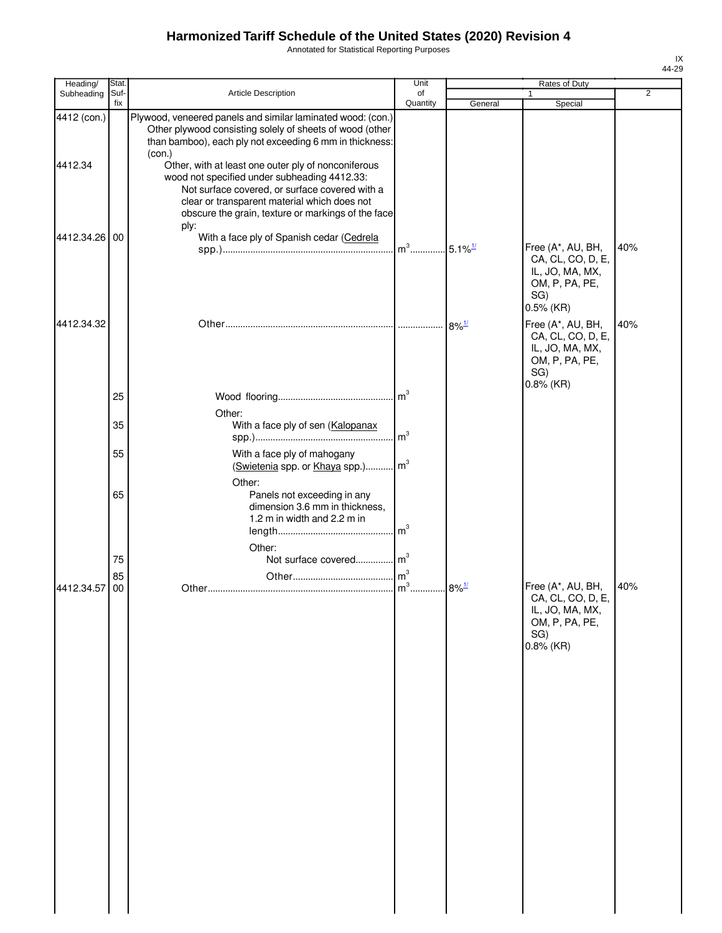Annotated for Statistical Reporting Purposes

| Heading/               | Stat.       |                                                                                                                                                                                                                                                                                                                                                                                                                                                                     | Unit           |                     | Rates of Duty                                                                                      |                |
|------------------------|-------------|---------------------------------------------------------------------------------------------------------------------------------------------------------------------------------------------------------------------------------------------------------------------------------------------------------------------------------------------------------------------------------------------------------------------------------------------------------------------|----------------|---------------------|----------------------------------------------------------------------------------------------------|----------------|
| Subheading             | Suf-<br>fix | Article Description                                                                                                                                                                                                                                                                                                                                                                                                                                                 | of<br>Quantity | General             | 1<br>Special                                                                                       | $\overline{2}$ |
| 4412 (con.)<br>4412.34 |             | Plywood, veneered panels and similar laminated wood: (con.)<br>Other plywood consisting solely of sheets of wood (other<br>than bamboo), each ply not exceeding 6 mm in thickness:<br>(con.)<br>Other, with at least one outer ply of nonconiferous<br>wood not specified under subheading 4412.33:<br>Not surface covered, or surface covered with a<br>clear or transparent material which does not<br>obscure the grain, texture or markings of the face<br>ply: |                |                     |                                                                                                    |                |
| 4412.34.26 00          |             | With a face ply of Spanish cedar (Cedrela                                                                                                                                                                                                                                                                                                                                                                                                                           |                |                     | Free (A*, AU, BH,<br>CA, CL, CO, D, E,<br>IL, JO, MA, MX,<br>OM, P, PA, PE,<br>SG)<br>$0.5\%$ (KR) | 40%            |
| 4412.34.32             |             |                                                                                                                                                                                                                                                                                                                                                                                                                                                                     |                | $8\%$ <sup>1/</sup> | Free (A*, AU, BH,<br>CA, CL, CO, D, E,<br>IL, JO, MA, MX,<br>OM, P, PA, PE,<br>SG)<br>$0.8\%$ (KR) | 40%            |
|                        | 25<br>35    | Other:<br>With a face ply of sen (Kalopanax                                                                                                                                                                                                                                                                                                                                                                                                                         |                |                     |                                                                                                    |                |
|                        | 55          | With a face ply of mahogany                                                                                                                                                                                                                                                                                                                                                                                                                                         |                |                     |                                                                                                    |                |
|                        | 65          | (Swietenia spp. or Khaya spp.) m <sup>3</sup><br>Other:<br>Panels not exceeding in any                                                                                                                                                                                                                                                                                                                                                                              |                |                     |                                                                                                    |                |
|                        |             | dimension 3.6 mm in thickness,<br>1.2 m in width and 2.2 m in<br>Other:                                                                                                                                                                                                                                                                                                                                                                                             |                |                     |                                                                                                    |                |
|                        | 75          | Not surface covered m <sup>3</sup>                                                                                                                                                                                                                                                                                                                                                                                                                                  |                |                     |                                                                                                    |                |
| 4412.34.57             | 85<br>00    |                                                                                                                                                                                                                                                                                                                                                                                                                                                                     |                | $8\%$ <sup>1/</sup> | Free (A*, AU, BH,<br>CA, CL, CO, D, E,<br>IL, JO, MA, MX,<br>OM, P, PA, PE,<br>SG)<br>$0.8\%$ (KR) | 40%            |
|                        |             |                                                                                                                                                                                                                                                                                                                                                                                                                                                                     |                |                     |                                                                                                    |                |
|                        |             |                                                                                                                                                                                                                                                                                                                                                                                                                                                                     |                |                     |                                                                                                    |                |
|                        |             |                                                                                                                                                                                                                                                                                                                                                                                                                                                                     |                |                     |                                                                                                    |                |
|                        |             |                                                                                                                                                                                                                                                                                                                                                                                                                                                                     |                |                     |                                                                                                    |                |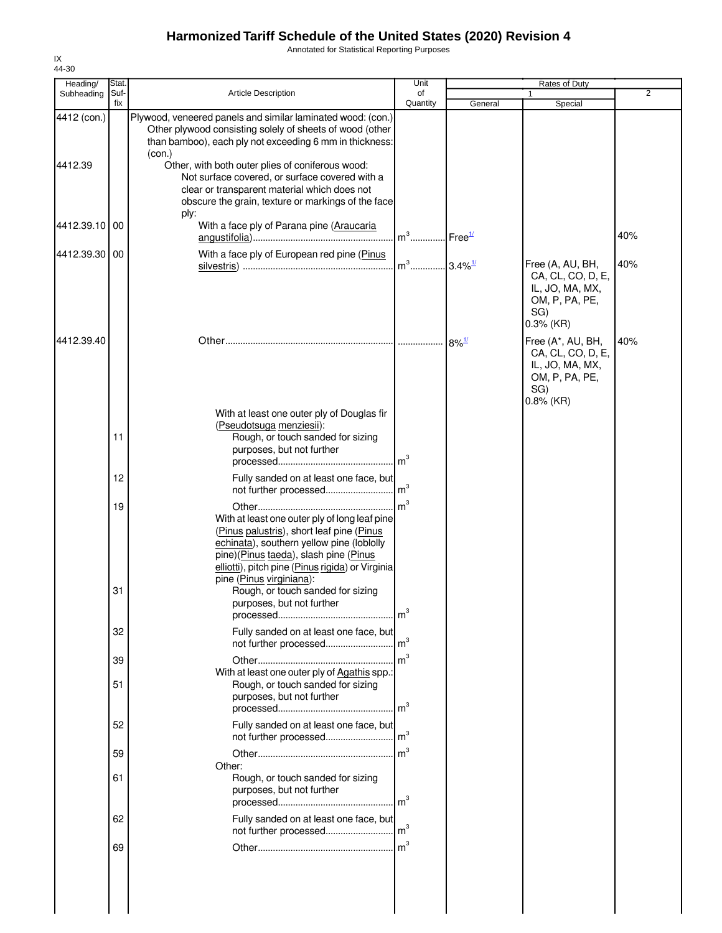Annotated for Statistical Reporting Purposes

| Heading/               | Stat.       |                                                                                                                                                                                                                                                                                                                                                                                                          | Unit                              |                     | Rates of Duty                                                                                      |                |
|------------------------|-------------|----------------------------------------------------------------------------------------------------------------------------------------------------------------------------------------------------------------------------------------------------------------------------------------------------------------------------------------------------------------------------------------------------------|-----------------------------------|---------------------|----------------------------------------------------------------------------------------------------|----------------|
| Subheading             | Suf-<br>fix | <b>Article Description</b>                                                                                                                                                                                                                                                                                                                                                                               | of<br>Quantity                    | General             | Special                                                                                            | $\overline{2}$ |
| 4412 (con.)<br>4412.39 |             | Plywood, veneered panels and similar laminated wood: (con.)<br>Other plywood consisting solely of sheets of wood (other<br>than bamboo), each ply not exceeding 6 mm in thickness:<br>(con.)<br>Other, with both outer plies of coniferous wood:<br>Not surface covered, or surface covered with a<br>clear or transparent material which does not<br>obscure the grain, texture or markings of the face |                                   |                     |                                                                                                    |                |
| 4412.39.10 00          |             | ply:<br>With a face ply of Parana pine (Araucaria                                                                                                                                                                                                                                                                                                                                                        | m <sup>3</sup> Free <sup>1/</sup> |                     |                                                                                                    | 40%            |
| 4412.39.30 00          |             | With a face ply of European red pine (Pinus                                                                                                                                                                                                                                                                                                                                                              | m <sup>3</sup> 3.4% <sup>1/</sup> |                     | Free (A, AU, BH,<br>CA, CL, CO, D, E,<br>IL, JO, MA, MX,<br>OM, P, PA, PE,<br>SG)<br>$0.3%$ (KR)   | 40%            |
| 4412.39.40             |             | With at least one outer ply of Douglas fir                                                                                                                                                                                                                                                                                                                                                               |                                   | $8\%$ <sup>1/</sup> | Free (A*, AU, BH,<br>CA, CL, CO, D, E,<br>IL, JO, MA, MX,<br>OM, P, PA, PE,<br>SG)<br>$0.8\%$ (KR) | 40%            |
|                        | 11          | (Pseudotsuga menziesii):<br>Rough, or touch sanded for sizing<br>purposes, but not further                                                                                                                                                                                                                                                                                                               |                                   |                     |                                                                                                    |                |
|                        | 12          | Fully sanded on at least one face, but                                                                                                                                                                                                                                                                                                                                                                   |                                   |                     |                                                                                                    |                |
|                        | 19<br>31    | With at least one outer ply of long leaf pine<br>(Pinus palustris), short leaf pine (Pinus<br>echinata), southern yellow pine (loblolly<br>pine)(Pinus taeda), slash pine (Pinus<br>elliotti), pitch pine (Pinus rigida) or Virginia<br>pine (Pinus virginiana):<br>Rough, or touch sanded for sizing<br>purposes, but not further                                                                       | $\mathsf{Im}^3$                   |                     |                                                                                                    |                |
|                        | 32          | Fully sanded on at least one face, but                                                                                                                                                                                                                                                                                                                                                                   | m <sup>3</sup>                    |                     |                                                                                                    |                |
|                        | 39          | not further processed                                                                                                                                                                                                                                                                                                                                                                                    | m <sup>3</sup>                    |                     |                                                                                                    |                |
|                        | 51          | With at least one outer ply of Agathis spp.:<br>Rough, or touch sanded for sizing<br>purposes, but not further                                                                                                                                                                                                                                                                                           |                                   |                     |                                                                                                    |                |
|                        | 52          | Fully sanded on at least one face, but                                                                                                                                                                                                                                                                                                                                                                   |                                   |                     |                                                                                                    |                |
|                        | 59          | Other:                                                                                                                                                                                                                                                                                                                                                                                                   |                                   |                     |                                                                                                    |                |
|                        | 61          | Rough, or touch sanded for sizing<br>purposes, but not further                                                                                                                                                                                                                                                                                                                                           | m <sup>3</sup>                    |                     |                                                                                                    |                |
|                        | 62          | Fully sanded on at least one face, but                                                                                                                                                                                                                                                                                                                                                                   |                                   |                     |                                                                                                    |                |
|                        | 69          |                                                                                                                                                                                                                                                                                                                                                                                                          | m <sup>3</sup>                    |                     |                                                                                                    |                |
|                        |             |                                                                                                                                                                                                                                                                                                                                                                                                          |                                   |                     |                                                                                                    |                |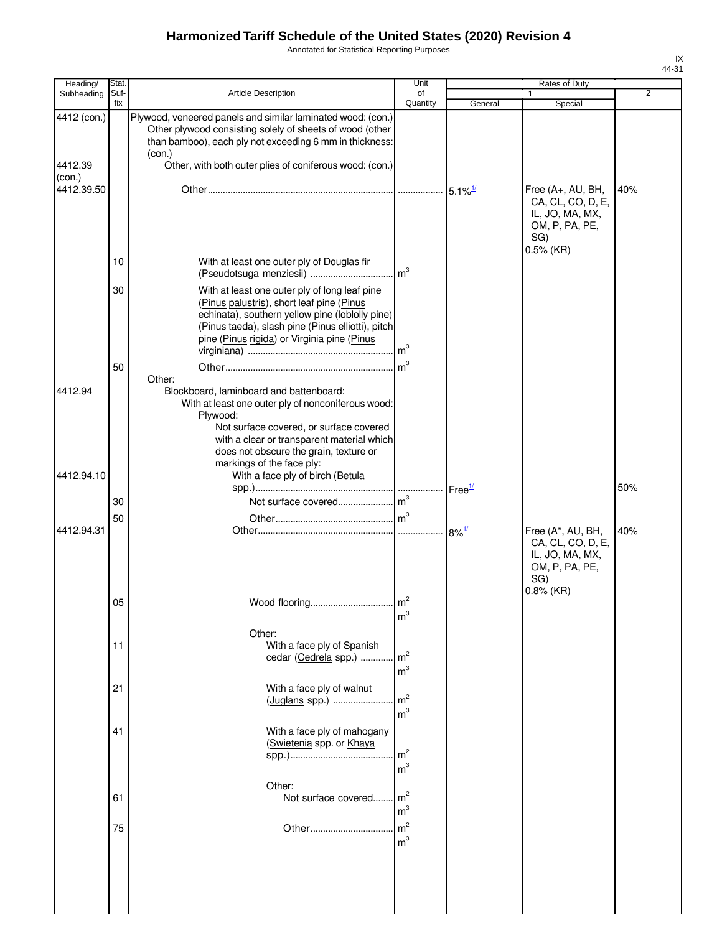Annotated for Statistical Reporting Purposes

| Heading/               | Stat.       |                                                                                                                                                                                                                                                                                     | Unit                             |         | Rates of Duty                                                                                      |                |
|------------------------|-------------|-------------------------------------------------------------------------------------------------------------------------------------------------------------------------------------------------------------------------------------------------------------------------------------|----------------------------------|---------|----------------------------------------------------------------------------------------------------|----------------|
| Subheading             | Suf-<br>fix | Article Description                                                                                                                                                                                                                                                                 | of<br>Quantity                   | General | 1<br>Special                                                                                       | $\overline{2}$ |
| 4412 (con.)<br>4412.39 |             | Plywood, veneered panels and similar laminated wood: (con.)<br>Other plywood consisting solely of sheets of wood (other<br>than bamboo), each ply not exceeding 6 mm in thickness:<br>(con.)<br>Other, with both outer plies of coniferous wood: (con.)                             |                                  |         |                                                                                                    |                |
| (con.)<br>4412.39.50   |             |                                                                                                                                                                                                                                                                                     |                                  |         | Free (A+, AU, BH,<br>CA, CL, CO, D, E,<br>IL, JO, MA, MX,<br>OM, P, PA, PE,<br>SG)<br>$0.5\%$ (KR) | 40%            |
|                        | 10          | With at least one outer ply of Douglas fir                                                                                                                                                                                                                                          |                                  |         |                                                                                                    |                |
|                        | 30<br>50    | With at least one outer ply of long leaf pine<br>(Pinus palustris), short leaf pine (Pinus<br>echinata), southern yellow pine (loblolly pine)<br>(Pinus taeda), slash pine (Pinus elliotti), pitch<br>pine (Pinus rigida) or Virginia pine (Pinus                                   |                                  |         |                                                                                                    |                |
| 4412.94                |             | Other:<br>Blockboard, laminboard and battenboard:<br>With at least one outer ply of nonconiferous wood:<br>Plywood:<br>Not surface covered, or surface covered<br>with a clear or transparent material which<br>does not obscure the grain, texture or<br>markings of the face ply: |                                  |         |                                                                                                    |                |
| 4412.94.10             |             | With a face ply of birch (Betula                                                                                                                                                                                                                                                    |                                  |         |                                                                                                    | 50%            |
|                        | 30          |                                                                                                                                                                                                                                                                                     |                                  |         |                                                                                                    |                |
| 4412.94.31             | 50          |                                                                                                                                                                                                                                                                                     |                                  |         | Free (A*, AU, BH,                                                                                  | 40%            |
|                        | 05          | Wood flooring                                                                                                                                                                                                                                                                       | m <sup>3</sup>                   |         | CA, CL, CO, D, E,<br>IL, JO, MA, MX,<br>OM, P, PA, PE,<br>SG)<br>$0.8\%$ (KR)                      |                |
|                        | 11          | Other:<br>With a face ply of Spanish                                                                                                                                                                                                                                                |                                  |         |                                                                                                    |                |
|                        |             | cedar (Cedrela spp.)                                                                                                                                                                                                                                                                | m <sup>2</sup><br>m <sup>3</sup> |         |                                                                                                    |                |
|                        | 21          | With a face ply of walnut<br>(Juglans spp.)                                                                                                                                                                                                                                         | m <sup>2</sup><br>m <sup>3</sup> |         |                                                                                                    |                |
|                        | 41          | With a face ply of mahogany<br>(Swietenia spp. or Khaya                                                                                                                                                                                                                             | m <sup>2</sup><br>m <sup>3</sup> |         |                                                                                                    |                |
|                        | 61          | Other:<br>Not surface covered                                                                                                                                                                                                                                                       | m <sup>2</sup><br>m <sup>3</sup> |         |                                                                                                    |                |
|                        | 75          |                                                                                                                                                                                                                                                                                     | m <sup>2</sup><br>m <sup>3</sup> |         |                                                                                                    |                |
|                        |             |                                                                                                                                                                                                                                                                                     |                                  |         |                                                                                                    |                |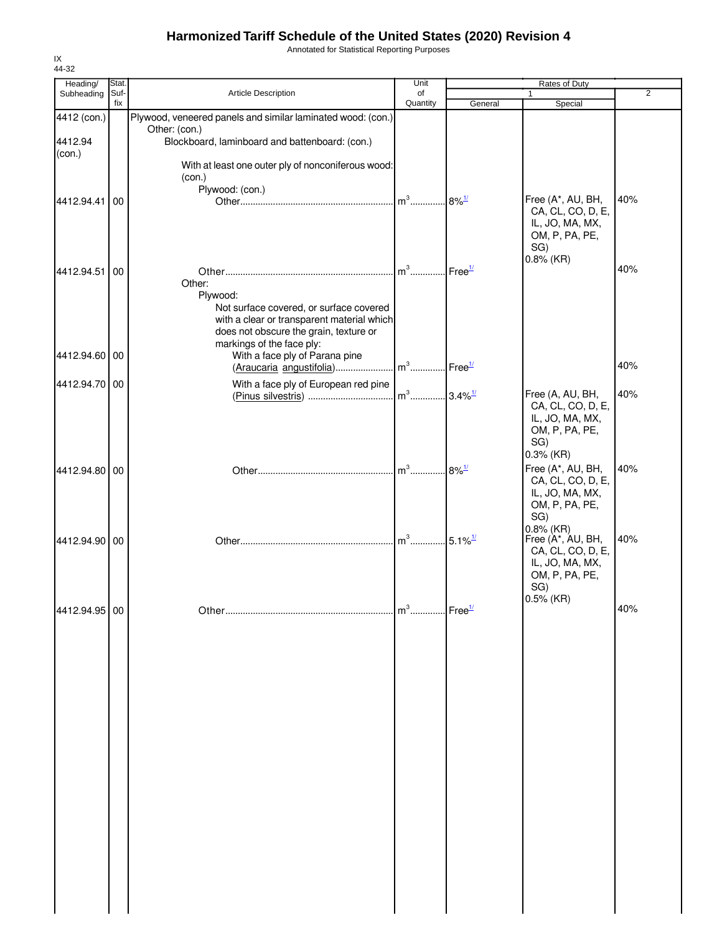Annotated for Statistical Reporting Purposes

| Heading/          | Stat.       |                                                                                                                                                                                    | Unit                     |                                 | Rates of Duty                                                                                      |                |
|-------------------|-------------|------------------------------------------------------------------------------------------------------------------------------------------------------------------------------------|--------------------------|---------------------------------|----------------------------------------------------------------------------------------------------|----------------|
| Subheading        | Suf-<br>fix | <b>Article Description</b>                                                                                                                                                         | of<br>Quantity           | General                         | 1<br>Special                                                                                       | $\overline{2}$ |
| 4412 (con.)       |             | Plywood, veneered panels and similar laminated wood: (con.)                                                                                                                        |                          |                                 |                                                                                                    |                |
| 4412.94<br>(con.) |             | Other: (con.)<br>Blockboard, laminboard and battenboard: (con.)                                                                                                                    |                          |                                 |                                                                                                    |                |
|                   |             | With at least one outer ply of nonconiferous wood:<br>(con.)<br>Plywood: (con.)                                                                                                    |                          |                                 |                                                                                                    |                |
| 4412.94.41        | 00          |                                                                                                                                                                                    | $m^3$                    | $.8\%$ <sup>1/</sup>            | Free (A*, AU, BH,<br>CA, CL, CO, D, E,<br>IL, JO, MA, MX,<br>OM, P, PA, PE,<br>SG)                 | 40%            |
| 4412.94.51 00     |             | Other:<br>Plywood:<br>Not surface covered, or surface covered<br>with a clear or transparent material which<br>does not obscure the grain, texture or<br>markings of the face ply: | $m^3$                    | $\mathsf{I}$ Free $\frac{1}{2}$ | $0.8\%$ (KR)                                                                                       | 40%            |
| 4412.94.60 00     |             | With a face ply of Parana pine                                                                                                                                                     |                          |                                 |                                                                                                    | 40%            |
| 4412.94.70 00     |             | With a face ply of European red pine                                                                                                                                               |                          |                                 | Free (A, AU, BH,<br>CA, CL, CO, D, E,<br>IL, JO, MA, MX,<br>OM, P, PA, PE,<br>SG)<br>$0.3\%$ (KR)  | 40%            |
| 4412.94.80 00     |             |                                                                                                                                                                                    | $m^3$                    | $8\%$ <sup>1/</sup>             | Free (A*, AU, BH,<br>CA, CL, CO, D, E,<br>IL, JO, MA, MX,<br>OM, P, PA, PE,<br>SG)<br>$0.8\%$ (KR) | 40%            |
| 4412.94.90 00     |             |                                                                                                                                                                                    | $m^3$ 5.1% <sup>1/</sup> |                                 | Free (A*, AU, BH,<br>CA, CL, CO, D, E,<br>IL, JO, MA, MX,<br>OM, P, PA, PE,<br>SG)                 | 40%            |
| 4412.94.95 00     |             |                                                                                                                                                                                    | $m3$ Free <sup>1/</sup>  |                                 | $0.5\%$ (KR)                                                                                       | 40%            |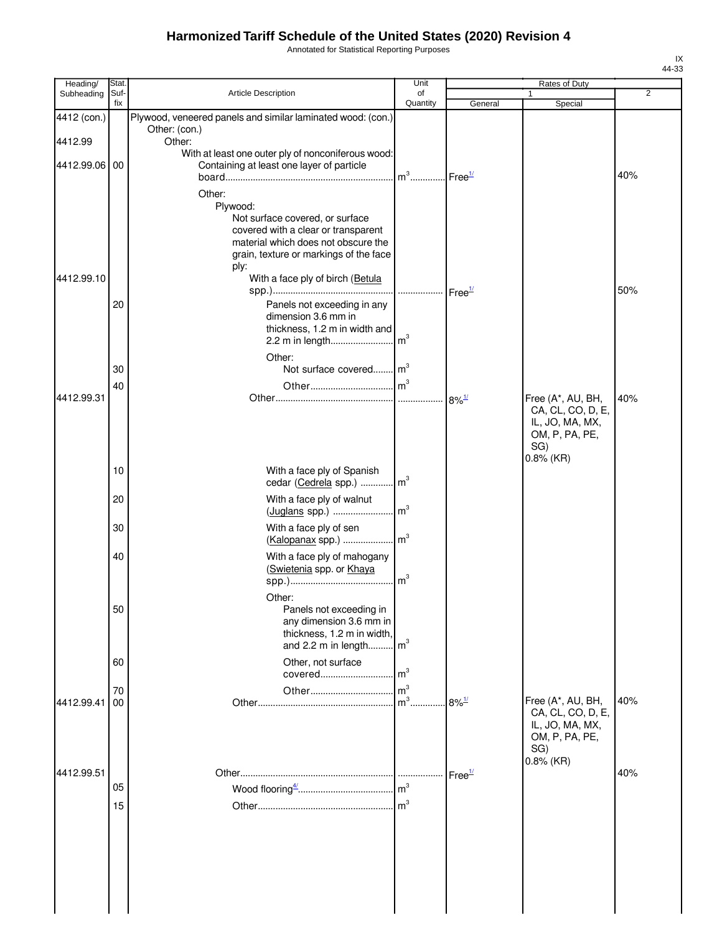Annotated for Statistical Reporting Purposes

| Heading/<br>Subheading | Stat.<br>Suf- | <b>Article Description</b>                                                 | Unit<br>of |                     | Rates of Duty<br>1                | $\overline{2}$ |
|------------------------|---------------|----------------------------------------------------------------------------|------------|---------------------|-----------------------------------|----------------|
|                        | fix           |                                                                            | Quantity   | General             | Special                           |                |
| 4412 (con.)            |               | Plywood, veneered panels and similar laminated wood: (con.)                |            |                     |                                   |                |
| 4412.99                |               | Other: (con.)<br>Other:                                                    |            |                     |                                   |                |
|                        |               | With at least one outer ply of nonconiferous wood:                         |            |                     |                                   |                |
| 4412.99.06             | 00            | Containing at least one layer of particle                                  |            |                     |                                   | 40%            |
|                        |               | Other:                                                                     |            |                     |                                   |                |
|                        |               | Plywood:                                                                   |            |                     |                                   |                |
|                        |               | Not surface covered, or surface                                            |            |                     |                                   |                |
|                        |               | covered with a clear or transparent<br>material which does not obscure the |            |                     |                                   |                |
|                        |               | grain, texture or markings of the face                                     |            |                     |                                   |                |
| 4412.99.10             |               | ply:<br>With a face ply of birch (Betula                                   |            |                     |                                   |                |
|                        |               |                                                                            |            |                     |                                   | 50%            |
|                        | 20            | Panels not exceeding in any                                                |            |                     |                                   |                |
|                        |               | dimension 3.6 mm in<br>thickness, 1.2 m in width and                       |            |                     |                                   |                |
|                        |               |                                                                            |            |                     |                                   |                |
|                        |               | Other:                                                                     |            |                     |                                   |                |
|                        | 30            | Not surface covered m <sup>3</sup>                                         |            |                     |                                   |                |
| 4412.99.31             | 40            |                                                                            |            |                     | Free (A*, AU, BH,                 | 40%            |
|                        |               |                                                                            |            |                     | CA, CL, CO, D, E,                 |                |
|                        |               |                                                                            |            |                     | IL, JO, MA, MX,<br>OM, P, PA, PE, |                |
|                        |               |                                                                            |            |                     | SG)                               |                |
|                        | 10            | With a face ply of Spanish                                                 |            |                     | $0.8\%$ (KR)                      |                |
|                        |               | cedar (Cedrela spp.)  m <sup>3</sup>                                       |            |                     |                                   |                |
|                        | 20            | With a face ply of walnut                                                  |            |                     |                                   |                |
|                        |               |                                                                            |            |                     |                                   |                |
|                        | 30            | With a face ply of sen<br>(Kalopanax spp.)    m <sup>3</sup>               |            |                     |                                   |                |
|                        | 40            | With a face ply of mahogany                                                |            |                     |                                   |                |
|                        |               | (Swietenia spp. or Khaya                                                   |            |                     |                                   |                |
|                        |               | Other:                                                                     |            |                     |                                   |                |
|                        | 50            | Panels not exceeding in                                                    |            |                     |                                   |                |
|                        |               | any dimension 3.6 mm in                                                    |            |                     |                                   |                |
|                        |               | thickness, 1.2 m in width,<br>and 2.2 m in length $\lfloor m^3 \rfloor$    |            |                     |                                   |                |
|                        | 60            | Other, not surface                                                         |            |                     |                                   |                |
|                        |               |                                                                            |            |                     |                                   |                |
| 4412.99.41             | 70<br>00      |                                                                            |            | $8\%$ <sup>1/</sup> | Free (A*, AU, BH,                 | 40%            |
|                        |               |                                                                            |            |                     | CA, CL, CO, D, E,                 |                |
|                        |               |                                                                            |            |                     | IL, JO, MA, MX,<br>OM, P, PA, PE, |                |
|                        |               |                                                                            |            |                     | SG)                               |                |
| 4412.99.51             |               |                                                                            |            | Free <sup>1/</sup>  | $0.8\%$ (KR)                      | 40%            |
|                        | 05            |                                                                            |            |                     |                                   |                |
|                        | 15            |                                                                            |            |                     |                                   |                |
|                        |               |                                                                            |            |                     |                                   |                |
|                        |               |                                                                            |            |                     |                                   |                |
|                        |               |                                                                            |            |                     |                                   |                |
|                        |               |                                                                            |            |                     |                                   |                |
|                        |               |                                                                            |            |                     |                                   |                |
|                        |               |                                                                            |            |                     |                                   |                |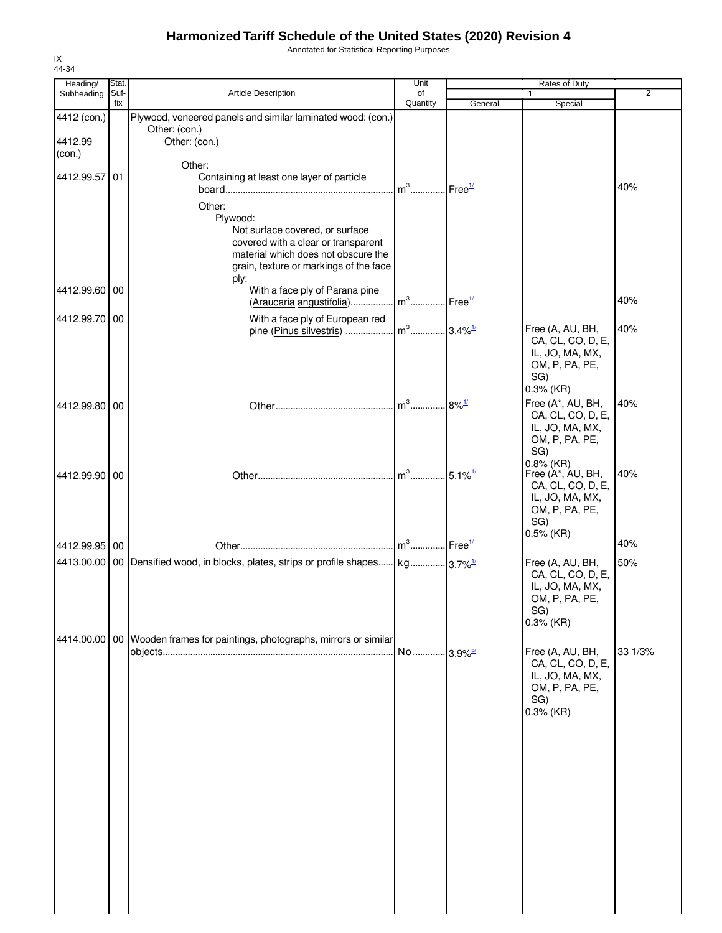Annotated for Statistical Reporting Purposes

| Heading/                | Stat.       |                                                                                                                                                                                                   | Unit           |                       | Rates of Duty                                                                                      |         |
|-------------------------|-------------|---------------------------------------------------------------------------------------------------------------------------------------------------------------------------------------------------|----------------|-----------------------|----------------------------------------------------------------------------------------------------|---------|
| Subheading              | Suf-<br>fix | <b>Article Description</b>                                                                                                                                                                        | of<br>Quantity | General               | $\mathbf{1}$<br>Special                                                                            | 2       |
| 4412 (con.)<br>4412.99  |             | Plywood, veneered panels and similar laminated wood: (con.)<br>Other: (con.)<br>Other: (con.)                                                                                                     |                |                       |                                                                                                    |         |
| (con.)<br>4412.99.57 01 |             | Other:<br>Containing at least one layer of particle<br>Other:<br>Plywood:                                                                                                                         | $m3$ .         | Free <sup>1/</sup>    |                                                                                                    | 40%     |
| 4412.99.60 00           |             | Not surface covered, or surface<br>covered with a clear or transparent<br>material which does not obscure the<br>grain, texture or markings of the face<br>ply:<br>With a face ply of Parana pine |                |                       |                                                                                                    |         |
|                         |             | (Araucaria angustifolia)                                                                                                                                                                          | $m^3$          | Free <sup>1/</sup>    |                                                                                                    | 40%     |
| 4412.99.70 00           |             | With a face ply of European red<br>pine (Pinus silvestris)                                                                                                                                        | $m^3$          | $3.4\%$ <sup>1/</sup> | Free (A, AU, BH,<br>CA, CL, CO, D, E,<br>IL, JO, MA, MX,<br>OM, P, PA, PE,<br>SG)                  | 40%     |
| 4412.99.80 00           |             |                                                                                                                                                                                                   | $m^3$          | $8\%$ <sup>1/</sup>   | 0.3% (KR)<br>Free (A*, AU, BH,<br>CA, CL, CO, D, E,<br>IL, JO, MA, MX,<br>OM, P, PA, PE,<br>SG)    | 40%     |
| 4412.99.90 00           |             |                                                                                                                                                                                                   | m <sup>3</sup> | $5.1\%$ <sup>1/</sup> | $0.8\%$ (KR)<br>Free (A*, AU, BH,<br>CA, CL, CO, D, E,<br>IL, JO, MA, MX,<br>OM, P, PA, PE,<br>SG) | 40%     |
| 4412.99.95 00           |             |                                                                                                                                                                                                   |                |                       | $0.5\%$ (KR)                                                                                       | 40%     |
|                         |             | 4413.00.00   00   Densified wood, in blocks, plates, strips or profile shapes   kg 3.7% <sup>1/</sup>                                                                                             |                |                       | Free (A, AU, BH,<br>CA, CL, CO, D, E,<br>IL, JO, MA, MX,<br>OM, P, PA, PE,<br>SG)<br>$0.3%$ (KR)   | 50%     |
|                         |             | 4414.00.00   00   Wooden frames for paintings, photographs, mirrors or similar                                                                                                                    |                |                       | Free (A, AU, BH,<br>CA, CL, CO, D, E,<br>IL, JO, MA, MX,<br>OM, P, PA, PE,<br>SG)<br>$0.3%$ (KR)   | 33 1/3% |
|                         |             |                                                                                                                                                                                                   |                |                       |                                                                                                    |         |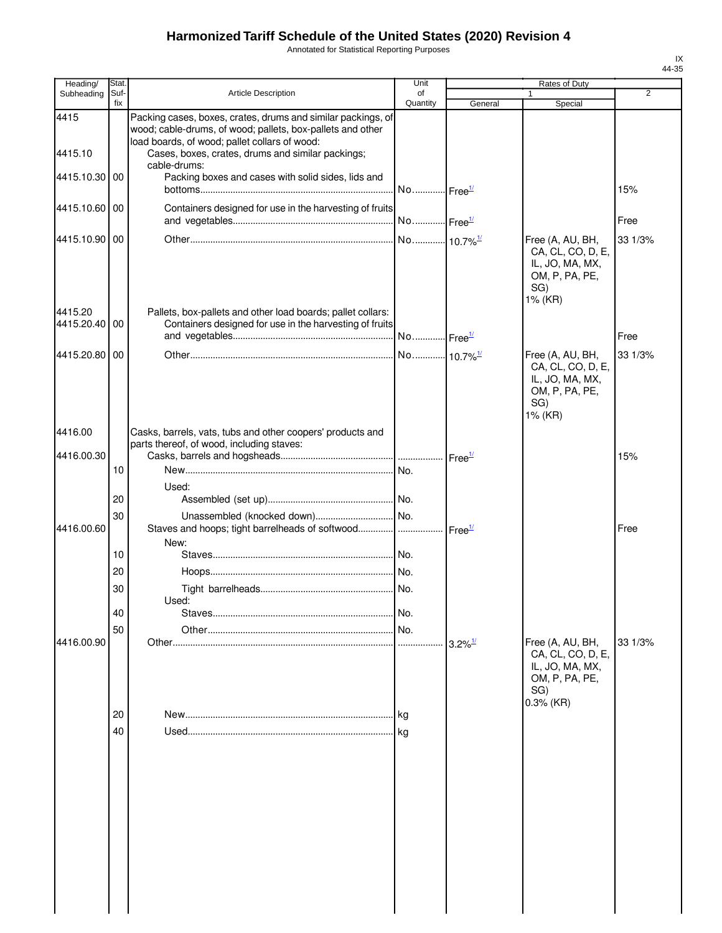Annotated for Statistical Reporting Purposes

| Heading/                 | Stat.       |                                                                                                                                                                             | Unit           |                       | Rates of Duty                                                                                |         |
|--------------------------|-------------|-----------------------------------------------------------------------------------------------------------------------------------------------------------------------------|----------------|-----------------------|----------------------------------------------------------------------------------------------|---------|
| Subheading               | Suf-<br>fix | <b>Article Description</b>                                                                                                                                                  | of<br>Quantity | General               | Special                                                                                      | 2       |
| 4415                     |             | Packing cases, boxes, crates, drums and similar packings, of<br>wood; cable-drums, of wood; pallets, box-pallets and other<br>load boards, of wood; pallet collars of wood: |                |                       |                                                                                              |         |
| 4415.10                  |             | Cases, boxes, crates, drums and similar packings;<br>cable-drums:                                                                                                           |                |                       |                                                                                              |         |
| 4415.10.30 00            |             | Packing boxes and cases with solid sides, lids and                                                                                                                          |                |                       |                                                                                              | 15%     |
| 4415.10.60 00            |             | Containers designed for use in the harvesting of fruits                                                                                                                     |                |                       |                                                                                              | Free    |
| 4415.10.90 00            |             |                                                                                                                                                                             |                |                       |                                                                                              | 33 1/3% |
|                          |             |                                                                                                                                                                             |                |                       | Free (A, AU, BH,<br>CA, CL, CO, D, E,<br>IL, JO, MA, MX,<br>OM, P, PA, PE,<br>SG)<br>1% (KR) |         |
| 4415.20<br>4415.20.40 00 |             | Pallets, box-pallets and other load boards; pallet collars:<br>Containers designed for use in the harvesting of fruits                                                      |                |                       |                                                                                              |         |
|                          |             |                                                                                                                                                                             |                |                       |                                                                                              | Free    |
| 4415.20.80 00            |             |                                                                                                                                                                             |                |                       | Free (A, AU, BH,<br>CA, CL, CO, D, E,<br>IL, JO, MA, MX,<br>OM, P, PA, PE,<br>SG)<br>1% (KR) | 33 1/3% |
| 4416.00                  |             | Casks, barrels, vats, tubs and other coopers' products and                                                                                                                  |                |                       |                                                                                              |         |
| 4416.00.30               |             | parts thereof, of wood, including staves:                                                                                                                                   |                |                       |                                                                                              | 15%     |
|                          | 10          |                                                                                                                                                                             |                |                       |                                                                                              |         |
|                          |             | Used:                                                                                                                                                                       |                |                       |                                                                                              |         |
|                          | 20          |                                                                                                                                                                             |                |                       |                                                                                              |         |
|                          | 30          |                                                                                                                                                                             |                |                       |                                                                                              |         |
| 4416.00.60               |             | Staves and hoops; tight barrelheads of softwood   Free <sup>1/</sup><br>New:                                                                                                |                |                       |                                                                                              | Free    |
|                          | 10          |                                                                                                                                                                             |                |                       |                                                                                              |         |
|                          | 20          |                                                                                                                                                                             |                |                       |                                                                                              |         |
|                          | 30          |                                                                                                                                                                             |                |                       |                                                                                              |         |
|                          |             | Used:                                                                                                                                                                       |                |                       |                                                                                              |         |
|                          | 40          |                                                                                                                                                                             | No.            |                       |                                                                                              |         |
| 4416.00.90               | 50          |                                                                                                                                                                             |                | $3.2\%$ <sup>1/</sup> | Free (A, AU, BH,                                                                             | 33 1/3% |
|                          | 20          |                                                                                                                                                                             | .Ika           |                       | CA, CL, CO, D, E,<br>IL, JO, MA, MX,<br>OM, P, PA, PE,<br>SG)<br>$0.3%$ (KR)                 |         |
|                          | 40          |                                                                                                                                                                             |                |                       |                                                                                              |         |
|                          |             |                                                                                                                                                                             |                |                       |                                                                                              |         |
|                          |             |                                                                                                                                                                             |                |                       |                                                                                              |         |
|                          |             |                                                                                                                                                                             |                |                       |                                                                                              |         |
|                          |             |                                                                                                                                                                             |                |                       |                                                                                              |         |
|                          |             |                                                                                                                                                                             |                |                       |                                                                                              |         |
|                          |             |                                                                                                                                                                             |                |                       |                                                                                              |         |
|                          |             |                                                                                                                                                                             |                |                       |                                                                                              |         |
|                          |             |                                                                                                                                                                             |                |                       |                                                                                              |         |
|                          |             |                                                                                                                                                                             |                |                       |                                                                                              |         |
|                          |             |                                                                                                                                                                             |                |                       |                                                                                              |         |
|                          |             |                                                                                                                                                                             |                |                       |                                                                                              |         |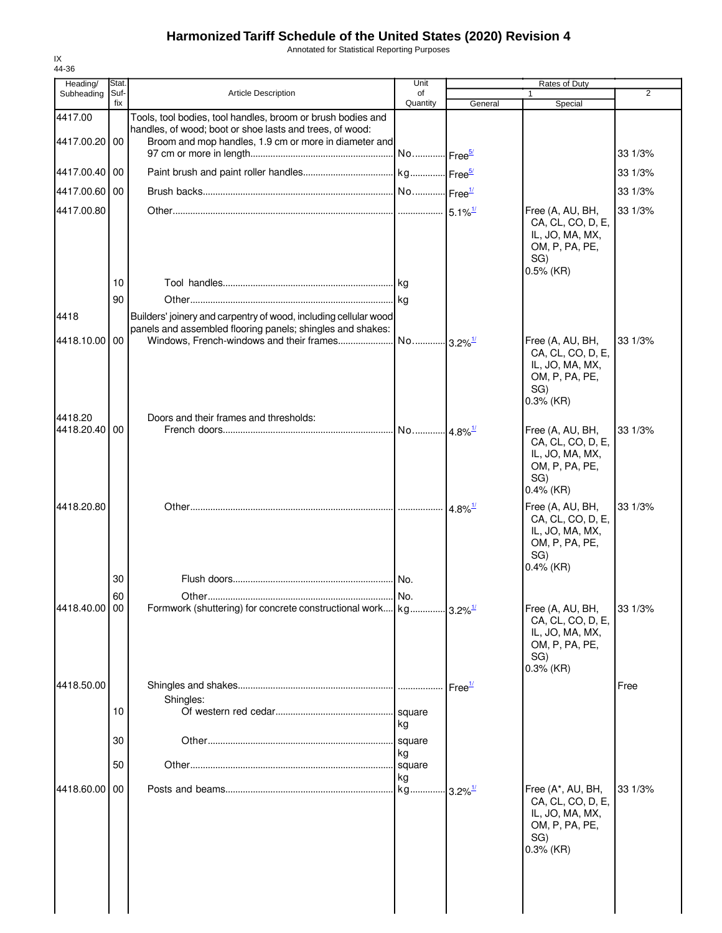Annotated for Statistical Reporting Purposes

| Heading/                 | Stat.       |                                                                                                                                                                                  | Unit                  |                       | Rates of Duty                                                                                     |                |
|--------------------------|-------------|----------------------------------------------------------------------------------------------------------------------------------------------------------------------------------|-----------------------|-----------------------|---------------------------------------------------------------------------------------------------|----------------|
| Subheading               | Suf-<br>fix | <b>Article Description</b>                                                                                                                                                       | of<br>Quantity        | General               | 1<br>Special                                                                                      | $\overline{2}$ |
| 4417.00<br>4417.00.20 00 |             | Tools, tool bodies, tool handles, broom or brush bodies and<br>handles, of wood; boot or shoe lasts and trees, of wood:<br>Broom and mop handles, 1.9 cm or more in diameter and | No Free <sup>5/</sup> |                       |                                                                                                   | 33 1/3%        |
| 4417.00.40 00            |             |                                                                                                                                                                                  |                       |                       |                                                                                                   | 33 1/3%        |
| 4417.00.60 00            |             |                                                                                                                                                                                  |                       |                       |                                                                                                   |                |
|                          |             |                                                                                                                                                                                  |                       |                       |                                                                                                   | 33 1/3%        |
| 4417.00.80               |             |                                                                                                                                                                                  |                       |                       | Free (A, AU, BH,<br>CA, CL, CO, D, E,<br>IL, JO, MA, MX,<br>OM, P, PA, PE,<br>SG)<br>$0.5\%$ (KR) | 33 1/3%        |
|                          | 10          |                                                                                                                                                                                  |                       |                       |                                                                                                   |                |
|                          | 90          |                                                                                                                                                                                  |                       |                       |                                                                                                   |                |
| 4418                     |             | Builders' joinery and carpentry of wood, including cellular wood                                                                                                                 |                       |                       |                                                                                                   |                |
| 4418.10.00               | 00          | panels and assembled flooring panels; shingles and shakes:                                                                                                                       |                       |                       | Free (A, AU, BH,<br>CA, CL, CO, D, E,<br>IL, JO, MA, MX,<br>OM, P, PA, PE,<br>SG)<br>$0.3\%$ (KR) | 33 1/3%        |
| 4418.20                  |             | Doors and their frames and thresholds:                                                                                                                                           |                       |                       |                                                                                                   |                |
| 4418.20.40               | 00          |                                                                                                                                                                                  | No 4.8% <sup>1/</sup> |                       | Free (A, AU, BH,<br>CA, CL, CO, D, E,<br>IL, JO, MA, MX,<br>OM, P, PA, PE,<br>SG)<br>$0.4\%$ (KR) | 33 1/3%        |
| 4418.20.80               |             |                                                                                                                                                                                  |                       | $4.8\%$ <sup>1/</sup> | Free (A, AU, BH,<br>CA, CL, CO, D, E,<br>IL, JO, MA, MX,<br>OM, P, PA, PE,<br>SG)<br>$0.4\%$ (KR) | 33 1/3%        |
|                          | 30          |                                                                                                                                                                                  |                       |                       |                                                                                                   |                |
|                          | 60          |                                                                                                                                                                                  |                       |                       |                                                                                                   |                |
| 4418.40.00 00            |             | Formwork (shuttering) for concrete constructional work kg 3.2% <sup>1/</sup>                                                                                                     |                       |                       | Free (A, AU, BH,<br>CA, CL, CO, D, E,<br>IL, JO, MA, MX,<br>OM, P, PA, PE,<br>SG)<br>$0.3%$ (KR)  | 33 1/3%        |
| 4418.50.00               |             |                                                                                                                                                                                  |                       | Free <sup>1/</sup>    |                                                                                                   | Free           |
|                          | 10          | Shingles:                                                                                                                                                                        | kg                    |                       |                                                                                                   |                |
|                          | 30          |                                                                                                                                                                                  | square                |                       |                                                                                                   |                |
|                          | 50          |                                                                                                                                                                                  | kg<br>square          |                       |                                                                                                   |                |
| 4418.60.00               | 00          |                                                                                                                                                                                  | kg<br>kg              | $3.2\%$ <sup>1/</sup> | Free (A*, AU, BH,<br>CA, CL, CO, D, E,<br>IL, JO, MA, MX,<br>OM, P, PA, PE,<br>SG)<br>$0.3%$ (KR) | 33 1/3%        |
|                          |             |                                                                                                                                                                                  |                       |                       |                                                                                                   |                |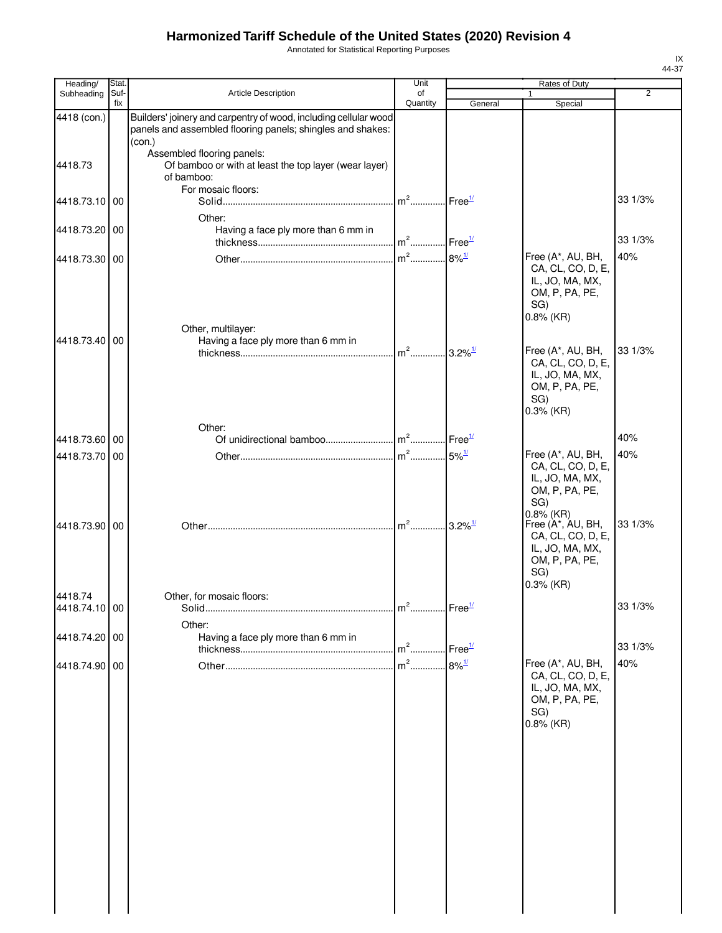Annotated for Statistical Reporting Purposes

| Heading/                 | Stat. |                                                                                                   | Unit                              |                     | Rates of Duty                                                                                                     |                |
|--------------------------|-------|---------------------------------------------------------------------------------------------------|-----------------------------------|---------------------|-------------------------------------------------------------------------------------------------------------------|----------------|
| Subheading               | Suf-  | Article Description                                                                               | of                                |                     | 1                                                                                                                 | $\overline{2}$ |
| 4418 (con.)              | fix   | Builders' joinery and carpentry of wood, including cellular wood                                  | Quantity                          | General             | Special                                                                                                           |                |
|                          |       | panels and assembled flooring panels; shingles and shakes:<br>(con.)                              |                                   |                     |                                                                                                                   |                |
| 4418.73                  |       | Assembled flooring panels:<br>Of bamboo or with at least the top layer (wear layer)<br>of bamboo: |                                   |                     |                                                                                                                   |                |
| 4418.73.10 00            |       | For mosaic floors:                                                                                | m <sup>2</sup> Free <sup>1/</sup> |                     |                                                                                                                   | 33 1/3%        |
| 4418.73.20 00            |       | Other:<br>Having a face ply more than 6 mm in                                                     | m <sup>2</sup> Free <sup>1/</sup> |                     |                                                                                                                   | 33 1/3%        |
| 4418.73.30 00            |       |                                                                                                   | $m2$                              | $8\%$ <sup>1/</sup> | Free (A*, AU, BH,<br>CA, CL, CO, D, E,<br>IL, JO, MA, MX,<br>OM, P, PA, PE,<br>SG)                                | 40%            |
| 4418.73.40 00            |       | Other, multilayer:<br>Having a face ply more than 6 mm in                                         | $m^2$ 3.2% <sup>1/</sup>          |                     | $0.8\%$ (KR)<br>Free (A*, AU, BH,                                                                                 | 33 1/3%        |
|                          |       |                                                                                                   |                                   |                     | CA, CL, CO, D, E,<br>IL, JO, MA, MX,<br>OM, P, PA, PE,<br>SG)<br>$0.3%$ (KR)                                      |                |
| 4418.73.60 00            |       | Other:                                                                                            |                                   |                     |                                                                                                                   | 40%            |
| 4418.73.70 00            |       |                                                                                                   |                                   | $5\%$ <sup>1/</sup> | Free (A*, AU, BH,                                                                                                 | 40%            |
|                          |       |                                                                                                   |                                   |                     | CA, CL, CO, D, E,<br>IL, JO, MA, MX,<br>OM, P, PA, PE,<br>SG)                                                     |                |
| 4418.73.90 00            |       |                                                                                                   | $m^2$ 3.2% <sup>1/</sup>          |                     | $0.8\%$ (KR)<br>Free (A*, AU, BH,<br>CA, CL, CO, D, E,<br>IL, JO, MA, MX,<br>OM, P, PA, PE,<br>SG)<br>$0.3%$ (KR) | 33 1/3%        |
| 4418.74<br>4418.74.10 00 |       | Other, for mosaic floors:<br>Solid                                                                |                                   |                     |                                                                                                                   | 33 1/3%        |
| 4418.74.20 00            |       | Other:<br>Having a face ply more than 6 mm in                                                     |                                   |                     |                                                                                                                   |                |
|                          |       |                                                                                                   | $m2$                              | Free $\frac{1}{2}$  |                                                                                                                   | 33 1/3%        |
| 4418.74.90 00            |       |                                                                                                   | $m2$                              | $8\%$ <sup>1/</sup> | Free (A*, AU, BH,<br>CA, CL, CO, D, E,<br>IL, JO, MA, MX,<br>OM, P, PA, PE,<br>SG)<br>$0.8\%$ (KR)                | 40%            |
|                          |       |                                                                                                   |                                   |                     |                                                                                                                   |                |
|                          |       |                                                                                                   |                                   |                     |                                                                                                                   |                |
|                          |       |                                                                                                   |                                   |                     |                                                                                                                   |                |
|                          |       |                                                                                                   |                                   |                     |                                                                                                                   |                |
|                          |       |                                                                                                   |                                   |                     |                                                                                                                   |                |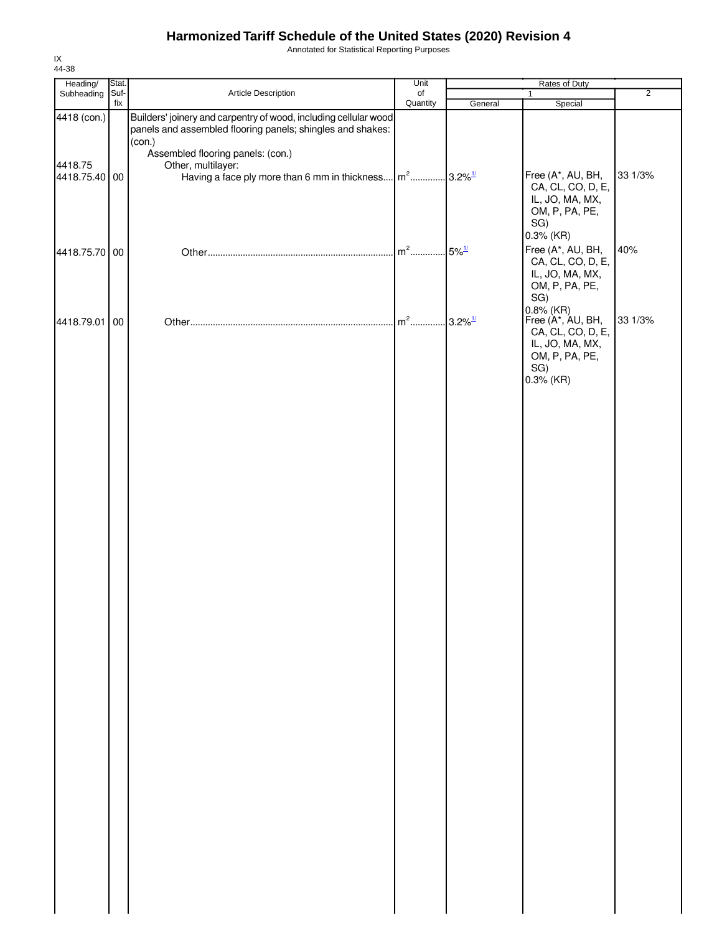Annotated for Statistical Reporting Purposes

| Heading/      | Stat. |                                                                      | Unit     | Rates of Duty         |                                                        |                |
|---------------|-------|----------------------------------------------------------------------|----------|-----------------------|--------------------------------------------------------|----------------|
| Subheading    | Suf-  | Article Description                                                  | of       |                       | $\mathbf{1}$                                           | $\overline{2}$ |
| 4418 (con.)   | fix   | Builders' joinery and carpentry of wood, including cellular wood     | Quantity | General               | Special                                                |                |
|               |       | panels and assembled flooring panels; shingles and shakes:<br>(con.) |          |                       |                                                        |                |
| 4418.75       |       | Assembled flooring panels: (con.)<br>Other, multilayer:              |          |                       |                                                        |                |
| 4418.75.40 00 |       | Having a face ply more than 6 mm in thickness                        | $m2$     | $3.2\%$ <sup>1/</sup> | Free (A*, AU, BH,                                      | 33 1/3%        |
|               |       |                                                                      |          |                       | CA, CL, CO, D, E,<br>IL, JO, MA, MX,<br>OM, P, PA, PE, |                |
|               |       |                                                                      |          |                       | SG)<br>$0.3%$ (KR)                                     |                |
| 4418.75.70 00 |       |                                                                      | $m2$     | $5\%$ <sup>1/</sup>   | Free (A*, AU, BH,<br>CA, CL, CO, D, E,                 | 40%            |
|               |       |                                                                      |          |                       | IL, JO, MA, MX,<br>OM, P, PA, PE,                      |                |
|               |       |                                                                      |          |                       | SG)<br>0.8% (KR)<br>Free (A*, AU, BH,                  |                |
| 4418.79.01    | 00    |                                                                      | $m2$     | $3.2\%$ <sup>1/</sup> | CA, CL, CO, D, E,<br>IL, JO, MA, MX,                   | 33 1/3%        |
|               |       |                                                                      |          |                       | OM, P, PA, PE,<br>SG)                                  |                |
|               |       |                                                                      |          |                       | $0.3\%$ (KR)                                           |                |
|               |       |                                                                      |          |                       |                                                        |                |
|               |       |                                                                      |          |                       |                                                        |                |
|               |       |                                                                      |          |                       |                                                        |                |
|               |       |                                                                      |          |                       |                                                        |                |
|               |       |                                                                      |          |                       |                                                        |                |
|               |       |                                                                      |          |                       |                                                        |                |
|               |       |                                                                      |          |                       |                                                        |                |
|               |       |                                                                      |          |                       |                                                        |                |
|               |       |                                                                      |          |                       |                                                        |                |
|               |       |                                                                      |          |                       |                                                        |                |
|               |       |                                                                      |          |                       |                                                        |                |
|               |       |                                                                      |          |                       |                                                        |                |
|               |       |                                                                      |          |                       |                                                        |                |
|               |       |                                                                      |          |                       |                                                        |                |
|               |       |                                                                      |          |                       |                                                        |                |
|               |       |                                                                      |          |                       |                                                        |                |
|               |       |                                                                      |          |                       |                                                        |                |
|               |       |                                                                      |          |                       |                                                        |                |
|               |       |                                                                      |          |                       |                                                        |                |
|               |       |                                                                      |          |                       |                                                        |                |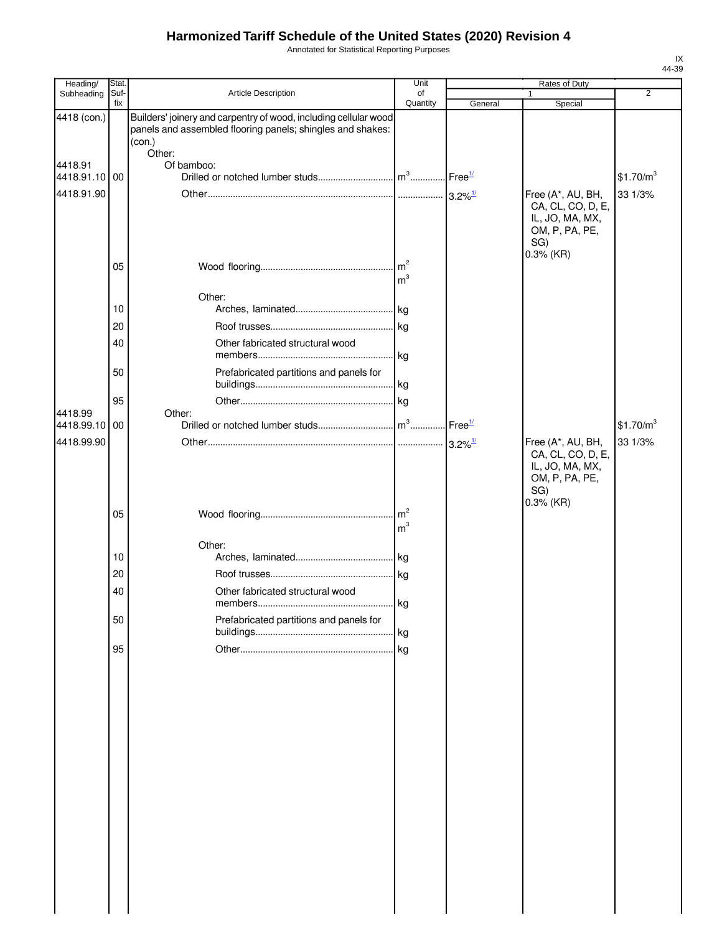Annotated for Statistical Reporting Purposes

| Heading/                               | Stat.       |                                                                                                                                          | Unit                              |         | <b>Rates of Duty</b>                                                               |                                  |
|----------------------------------------|-------------|------------------------------------------------------------------------------------------------------------------------------------------|-----------------------------------|---------|------------------------------------------------------------------------------------|----------------------------------|
| Subheading                             | Suf-<br>fix | Article Description                                                                                                                      | of<br>Quantity                    | General | 1<br>Special                                                                       | $\overline{2}$                   |
| 4418 (con.)                            |             | Builders' joinery and carpentry of wood, including cellular wood<br>panels and assembled flooring panels; shingles and shakes:<br>(con.) |                                   |         |                                                                                    |                                  |
| 4418.91<br>4418.91.10 00               |             | Other:<br>Of bamboo:                                                                                                                     |                                   |         |                                                                                    | \$1.70/m <sup>3</sup>            |
| 4418.91.90                             |             |                                                                                                                                          |                                   |         | Free (A*, AU, BH,<br>CA, CL, CO, D, E,<br>IL, JO, MA, MX,<br>OM, P, PA, PE,<br>SG) | 33 1/3%                          |
|                                        | 05          |                                                                                                                                          | m <sup>3</sup>                    |         | $0.3%$ (KR)                                                                        |                                  |
|                                        | 10          | Other:                                                                                                                                   |                                   |         |                                                                                    |                                  |
|                                        | 20          |                                                                                                                                          |                                   |         |                                                                                    |                                  |
|                                        | 40          | Other fabricated structural wood                                                                                                         | . kg                              |         |                                                                                    |                                  |
|                                        | 50          | Prefabricated partitions and panels for                                                                                                  |                                   |         |                                                                                    |                                  |
|                                        | 95          |                                                                                                                                          |                                   |         |                                                                                    |                                  |
| 4418.99<br>4418.99.10 00<br>4418.99.90 |             | Other:                                                                                                                                   |                                   |         | Free (A*, AU, BH,                                                                  | \$1.70/m <sup>3</sup><br>33 1/3% |
|                                        | 05          |                                                                                                                                          | $\mathsf{Im}^2$<br>m <sup>3</sup> |         | CA, CL, CO, D, E,<br>IL, JO, MA, MX,<br>OM, P, PA, PE,<br>SG)<br>$0.3%$ (KR)       |                                  |
|                                        |             | Other:                                                                                                                                   |                                   |         |                                                                                    |                                  |
|                                        | 10          |                                                                                                                                          |                                   |         |                                                                                    |                                  |
|                                        | 20          |                                                                                                                                          | . kg                              |         |                                                                                    |                                  |
|                                        | 40<br>50    | Other fabricated structural wood<br>Prefabricated partitions and panels for                                                              | kg                                |         |                                                                                    |                                  |
|                                        |             |                                                                                                                                          | . kg                              |         |                                                                                    |                                  |
|                                        | 95          |                                                                                                                                          | kg                                |         |                                                                                    |                                  |
|                                        |             |                                                                                                                                          |                                   |         |                                                                                    |                                  |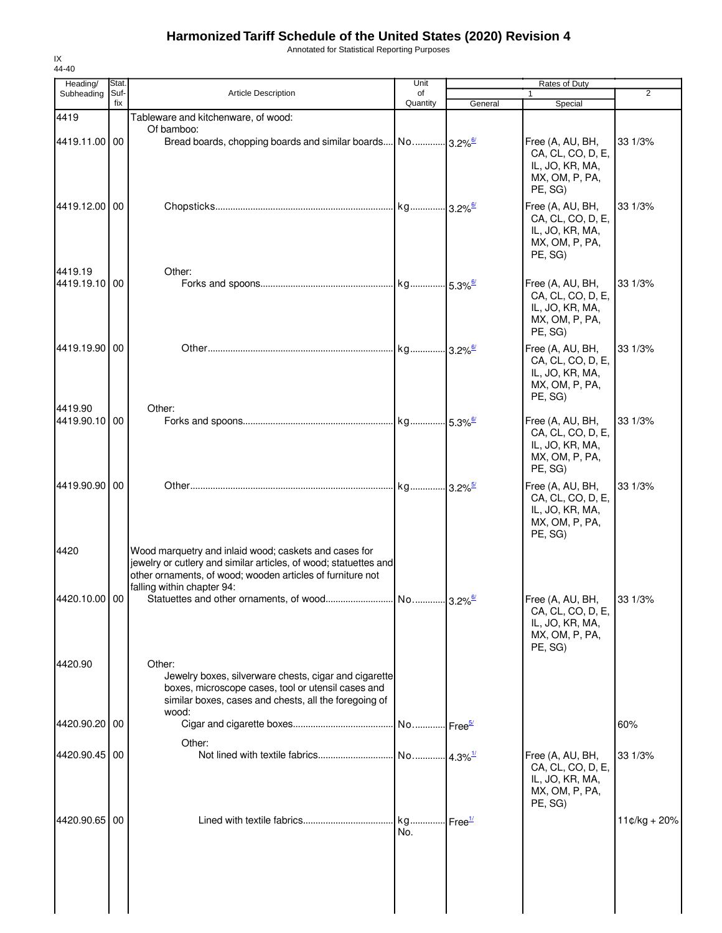Annotated for Statistical Reporting Purposes

| Heading/<br>Subheading   | Stat.<br>Suf- | <b>Article Description</b>                                                                                                                                                                                            |                              |         | $\overline{2}$                                                                        |                |
|--------------------------|---------------|-----------------------------------------------------------------------------------------------------------------------------------------------------------------------------------------------------------------------|------------------------------|---------|---------------------------------------------------------------------------------------|----------------|
|                          | fix           |                                                                                                                                                                                                                       | of<br>Quantity               | General | $\mathbf{1}$<br>Special                                                               |                |
| 4419                     |               | Tableware and kitchenware, of wood:                                                                                                                                                                                   |                              |         |                                                                                       |                |
| 4419.11.00 00            |               | Of bamboo:                                                                                                                                                                                                            |                              |         | Free (A, AU, BH,<br>CA, CL, CO, D, E,<br>IL, JO, KR, MA,<br>MX, OM, P, PA,<br>PE, SG) | 33 1/3%        |
| 4419.12.00 00            |               |                                                                                                                                                                                                                       |                              |         | Free (A, AU, BH,<br>CA, CL, CO, D, E,<br>IL, JO, KR, MA,<br>MX, OM, P, PA,<br>PE, SG) | 33 1/3%        |
| 4419.19<br>4419.19.10 00 |               | Other:                                                                                                                                                                                                                |                              |         | Free (A, AU, BH,<br>CA, CL, CO, D, E,<br>IL, JO, KR, MA,<br>MX, OM, P, PA,<br>PE, SG) | 33 1/3%        |
| 4419.19.90 00            |               |                                                                                                                                                                                                                       |                              |         | Free (A, AU, BH,<br>CA, CL, CO, D, E,<br>IL, JO, KR, MA,<br>MX, OM, P, PA,<br>PE, SG) | 33 1/3%        |
| 4419.90<br>4419.90.10 00 |               | Other:                                                                                                                                                                                                                |                              |         | Free (A, AU, BH,<br>CA, CL, CO, D, E,<br>IL, JO, KR, MA,<br>MX, OM, P, PA,<br>PE, SG) | 33 1/3%        |
| 4419.90.90 00            |               |                                                                                                                                                                                                                       |                              |         | Free (A, AU, BH,<br>CA, CL, CO, D, E,<br>IL, JO, KR, MA,<br>MX, OM, P, PA,<br>PE, SG) | 33 1/3%        |
| 4420                     |               | Wood marquetry and inlaid wood; caskets and cases for<br>jewelry or cutlery and similar articles, of wood; statuettes and<br>other ornaments, of wood; wooden articles of furniture not<br>falling within chapter 94: |                              |         |                                                                                       |                |
| 4420.10.00 00            |               |                                                                                                                                                                                                                       |                              |         | Free (A, AU, BH,<br>CA, CL, CO, D, E,<br>IL, JO, KR, MA,<br>MX, OM, P, PA,<br>PE, SG) | 33 1/3%        |
| 4420.90                  |               | Other:<br>Jewelry boxes, silverware chests, cigar and cigarette<br>boxes, microscope cases, tool or utensil cases and<br>similar boxes, cases and chests, all the foregoing of<br>wood:                               |                              |         |                                                                                       |                |
| 4420.90.20 00            |               | Other:                                                                                                                                                                                                                |                              |         |                                                                                       | 60%            |
| 4420.90.45 00            |               |                                                                                                                                                                                                                       |                              |         | Free (A, AU, BH,<br>CA, CL, CO, D, E,<br>IL, JO, KR, MA,<br>MX, OM, P, PA,<br>PE, SG) | 33 1/3%        |
| 4420.90.65 00            |               |                                                                                                                                                                                                                       | kg Free <sup>1/</sup><br>No. |         |                                                                                       | $11¢/kg + 20%$ |

IX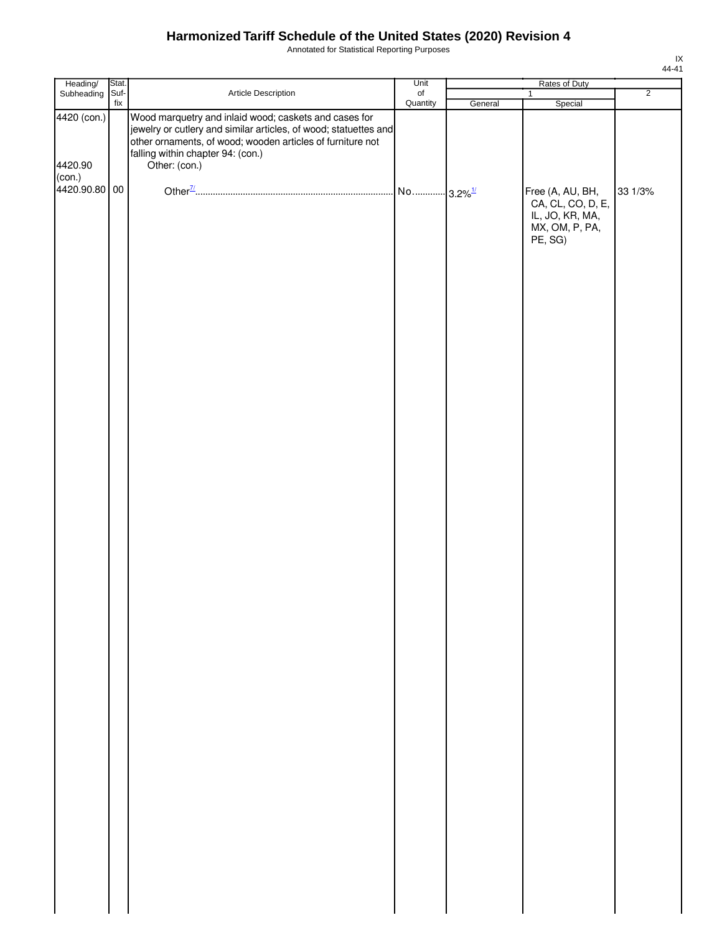Annotated for Statistical Reporting Purposes

| Heading/                | Stat.                            |                                                                                                                                                                                                                                               | Unit                  |         | Rates of Duty                                                                         |                |
|-------------------------|----------------------------------|-----------------------------------------------------------------------------------------------------------------------------------------------------------------------------------------------------------------------------------------------|-----------------------|---------|---------------------------------------------------------------------------------------|----------------|
| Subheading              | Suf-<br>$\operatorname{\sf fix}$ | Article Description                                                                                                                                                                                                                           | $\circ$ f<br>Quantity | General | $\overline{1}$<br>Special                                                             | $\overline{2}$ |
| 4420 (con.)<br>4420.90  |                                  | Wood marquetry and inlaid wood; caskets and cases for<br>jewelry or cutlery and similar articles, of wood; statuettes and<br>other ornaments, of wood; wooden articles of furniture not<br>falling within chapter 94: (con.)<br>Other: (con.) |                       |         |                                                                                       |                |
| (con.)<br>4420.90.80 00 |                                  |                                                                                                                                                                                                                                               |                       |         | Free (A, AU, BH,<br>CA, CL, CO, D, E,<br>IL, JO, KR, MA,<br>MX, OM, P, PA,<br>PE, SG) | 33 1/3%        |
|                         |                                  |                                                                                                                                                                                                                                               |                       |         |                                                                                       |                |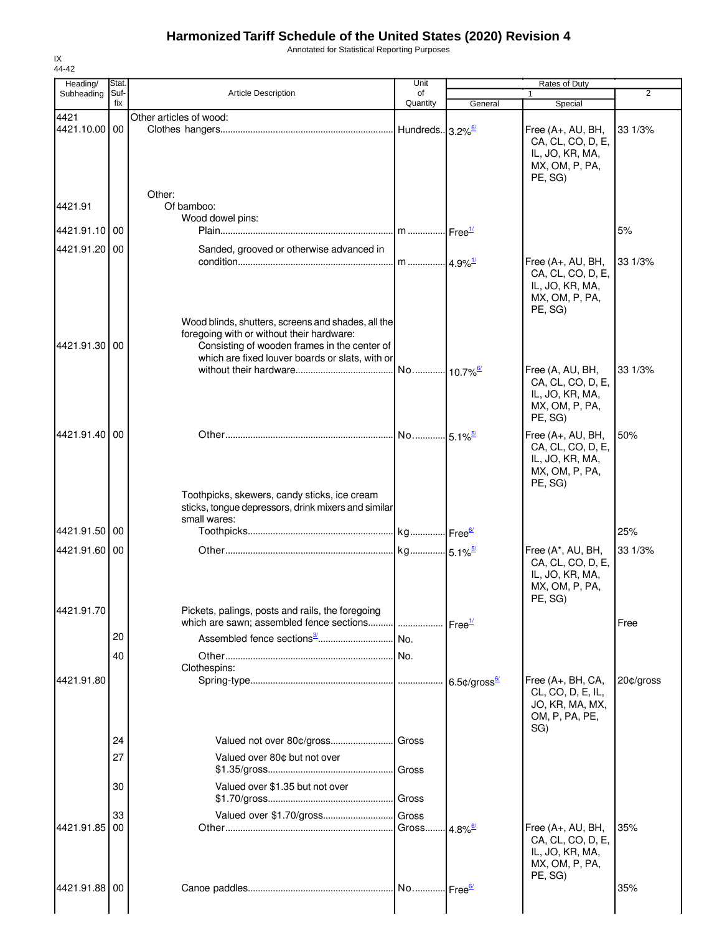Annotated for Statistical Reporting Purposes

| Heading/              | Stat.       |                                                                                                                                                                                                    | Unit                         | Rates of Duty      |                                                                                          |                |  |
|-----------------------|-------------|----------------------------------------------------------------------------------------------------------------------------------------------------------------------------------------------------|------------------------------|--------------------|------------------------------------------------------------------------------------------|----------------|--|
| Subheading            | Suf-<br>fix | <b>Article Description</b>                                                                                                                                                                         | of<br>Quantity               | General            | $\mathbf{1}$<br>Special                                                                  | $\overline{2}$ |  |
| 4421<br>4421.10.00 00 |             | Other articles of wood:                                                                                                                                                                            | Hundreds. 3.2% <sup>6/</sup> |                    | Free $(A+, AU, BH,$                                                                      | 33 1/3%        |  |
|                       |             |                                                                                                                                                                                                    |                              |                    | CA, CL, CO, D, E,<br>IL, JO, KR, MA,<br>MX, OM, P, PA,<br>PE, SG)                        |                |  |
| 4421.91               |             | Other:<br>Of bamboo:                                                                                                                                                                               |                              |                    |                                                                                          |                |  |
| 4421.91.10 00         |             | Wood dowel pins:                                                                                                                                                                                   |                              |                    |                                                                                          | 5%             |  |
| 4421.91.20 00         |             | Sanded, grooved or otherwise advanced in                                                                                                                                                           |                              |                    |                                                                                          |                |  |
|                       |             |                                                                                                                                                                                                    |                              |                    | Free (A+, AU, BH,<br>CA, CL, CO, D, E,<br>IL, JO, KR, MA,<br>MX, OM, P, PA,<br>PE, SG)   | 33 1/3%        |  |
| 4421.91.30 00         |             | Wood blinds, shutters, screens and shades, all the<br>foregoing with or without their hardware:<br>Consisting of wooden frames in the center of<br>which are fixed louver boards or slats, with or |                              |                    |                                                                                          |                |  |
|                       |             |                                                                                                                                                                                                    |                              |                    | Free (A, AU, BH,<br>CA, CL, CO, D, E,<br>IL, JO, KR, MA,<br>MX, OM, P, PA,<br>PE, SG)    | 33 1/3%        |  |
| 4421.91.40 00         |             |                                                                                                                                                                                                    |                              |                    | Free (A+, AU, BH,<br>CA, CL, CO, D, E,<br>IL, JO, KR, MA,<br>MX, OM, P, PA,<br>PE, SG)   | 50%            |  |
| 4421.91.50 00         |             | Toothpicks, skewers, candy sticks, ice cream<br>sticks, tongue depressors, drink mixers and similar<br>small wares:                                                                                |                              |                    |                                                                                          | 25%            |  |
| 4421.91.60 00         |             |                                                                                                                                                                                                    |                              |                    |                                                                                          | 33 1/3%        |  |
|                       |             |                                                                                                                                                                                                    |                              |                    | Free (A*, AU, BH,<br>CA, CL, CO, D, E,<br>IL, JO, KR, MA,<br>MX, OM, P, PA,<br>PE, SG)   |                |  |
| 4421.91.70            |             | Pickets, palings, posts and rails, the foregoing                                                                                                                                                   |                              | Free <sup>1/</sup> |                                                                                          | Free           |  |
|                       | 20          |                                                                                                                                                                                                    |                              |                    |                                                                                          |                |  |
|                       | 40          | Clothespins:                                                                                                                                                                                       |                              |                    |                                                                                          |                |  |
| 4421.91.80            |             |                                                                                                                                                                                                    |                              |                    | Free (A+, BH, CA,<br>CL, CO, D, E, IL,<br>JO, KR, MA, MX,<br>OM, P, PA, PE,<br>SG)       | $20¢$ /gross   |  |
|                       | 24          |                                                                                                                                                                                                    | Gross                        |                    |                                                                                          |                |  |
|                       | 27          | Valued over 80¢ but not over                                                                                                                                                                       | Gross                        |                    |                                                                                          |                |  |
|                       | 30          | Valued over \$1.35 but not over                                                                                                                                                                    | Gross                        |                    |                                                                                          |                |  |
| 4421.91.85 00         | 33          | Valued over \$1.70/gross                                                                                                                                                                           | Gross                        |                    |                                                                                          | 35%            |  |
|                       |             |                                                                                                                                                                                                    | Gross 4.8% <sup>6/</sup>     |                    | Free $(A+, AU, BH,$<br>CA, CL, CO, D, E,<br>IL, JO, KR, MA,<br>MX, OM, P, PA,<br>PE, SG) |                |  |
| 4421.91.88 00         |             |                                                                                                                                                                                                    |                              |                    |                                                                                          | 35%            |  |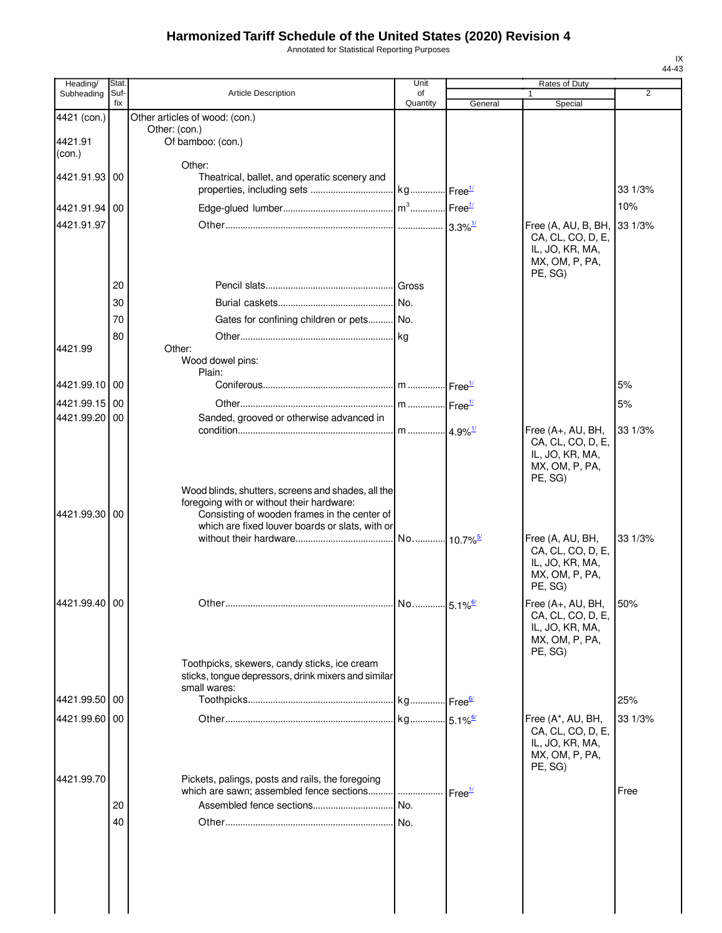Annotated for Statistical Reporting Purposes

| Heading/      | Stat.       |                                                     | Unit           |                       | <b>Rates of Duty</b>                   |                |
|---------------|-------------|-----------------------------------------------------|----------------|-----------------------|----------------------------------------|----------------|
| Subheading    | Suf-<br>fix | <b>Article Description</b>                          | of<br>Quantity | General               | 1<br>Special                           | $\overline{2}$ |
| 4421 (con.)   |             | Other articles of wood: (con.)                      |                |                       |                                        |                |
| 4421.91       |             | Other: (con.)<br>Of bamboo: (con.)                  |                |                       |                                        |                |
| (con.)        |             |                                                     |                |                       |                                        |                |
|               |             | Other:                                              |                |                       |                                        |                |
| 4421.91.93    | 00          | Theatrical, ballet, and operatic scenery and        |                |                       |                                        | 33 1/3%        |
|               |             |                                                     |                |                       |                                        | 10%            |
| 4421.91.94    | 00          |                                                     |                |                       |                                        |                |
| 4421.91.97    |             |                                                     |                |                       | Free (A, AU, B, BH,                    | 33 1/3%        |
|               |             |                                                     |                |                       | CA, CL, CO, D, E,<br>IL, JO, KR, MA,   |                |
|               |             |                                                     |                |                       | MX, OM, P, PA,                         |                |
|               | 20          |                                                     |                |                       | PE, SG)                                |                |
|               |             |                                                     |                |                       |                                        |                |
|               | 30          |                                                     |                |                       |                                        |                |
|               | 70          | Gates for confining children or pets No.            |                |                       |                                        |                |
| 4421.99       | 80          | Other:                                              |                |                       |                                        |                |
|               |             | Wood dowel pins:                                    |                |                       |                                        |                |
|               |             | Plain:                                              |                |                       |                                        |                |
| 4421.99.10 00 |             |                                                     |                |                       |                                        | 5%             |
| 4421.99.15    | 00          |                                                     |                |                       |                                        | 5%             |
| 4421.99.20    | 00          | Sanded, grooved or otherwise advanced in            |                |                       |                                        |                |
|               |             |                                                     |                |                       | Free (A+, AU, BH,<br>CA, CL, CO, D, E, | 33 1/3%        |
|               |             |                                                     |                |                       | IL, JO, KR, MA,                        |                |
|               |             |                                                     |                |                       | MX, OM, P, PA,                         |                |
|               |             | Wood blinds, shutters, screens and shades, all the  |                |                       | PE, SG)                                |                |
|               |             | foregoing with or without their hardware:           |                |                       |                                        |                |
| 4421.99.30 00 |             | Consisting of wooden frames in the center of        |                |                       |                                        |                |
|               |             | which are fixed louver boards or slats, with or     |                |                       |                                        | 33 1/3%        |
|               |             |                                                     |                |                       | Free (A, AU, BH,<br>CA, CL, CO, D, E,  |                |
|               |             |                                                     |                |                       | IL, JO, KR, MA,                        |                |
|               |             |                                                     |                |                       | MX, OM, P, PA,<br>PE, SG)              |                |
|               |             |                                                     |                |                       |                                        |                |
| 4421.99.40 00 |             |                                                     |                | $5.1\%$ <sup>6/</sup> | Free (A+, AU, BH,<br>CA, CL, CO, D, E, | 50%            |
|               |             |                                                     |                |                       | IL, JO, KR, MA,                        |                |
|               |             |                                                     |                |                       | MX, OM, P, PA,                         |                |
|               |             | Toothpicks, skewers, candy sticks, ice cream        |                |                       | PE, SG)                                |                |
|               |             | sticks, tongue depressors, drink mixers and similar |                |                       |                                        |                |
|               |             | small wares:                                        |                |                       |                                        |                |
| 4421.99.50 00 |             |                                                     |                |                       |                                        | 25%            |
| 4421.99.60 00 |             |                                                     |                |                       | Free (A*, AU, BH,                      | 33 1/3%        |
|               |             |                                                     |                |                       | CA, CL, CO, D, E,<br>IL, JO, KR, MA,   |                |
|               |             |                                                     |                |                       | MX, OM, P, PA,                         |                |
|               |             |                                                     |                |                       | PE, SG)                                |                |
| 4421.99.70    |             | Pickets, palings, posts and rails, the foregoing    |                | Free <sup>1/</sup>    |                                        | Free           |
|               | 20          | Assembled fence sections                            | No.            |                       |                                        |                |
|               | 40          |                                                     |                |                       |                                        |                |
|               |             |                                                     |                |                       |                                        |                |
|               |             |                                                     |                |                       |                                        |                |
|               |             |                                                     |                |                       |                                        |                |
|               |             |                                                     |                |                       |                                        |                |
|               |             |                                                     |                |                       |                                        |                |
|               |             |                                                     |                |                       |                                        |                |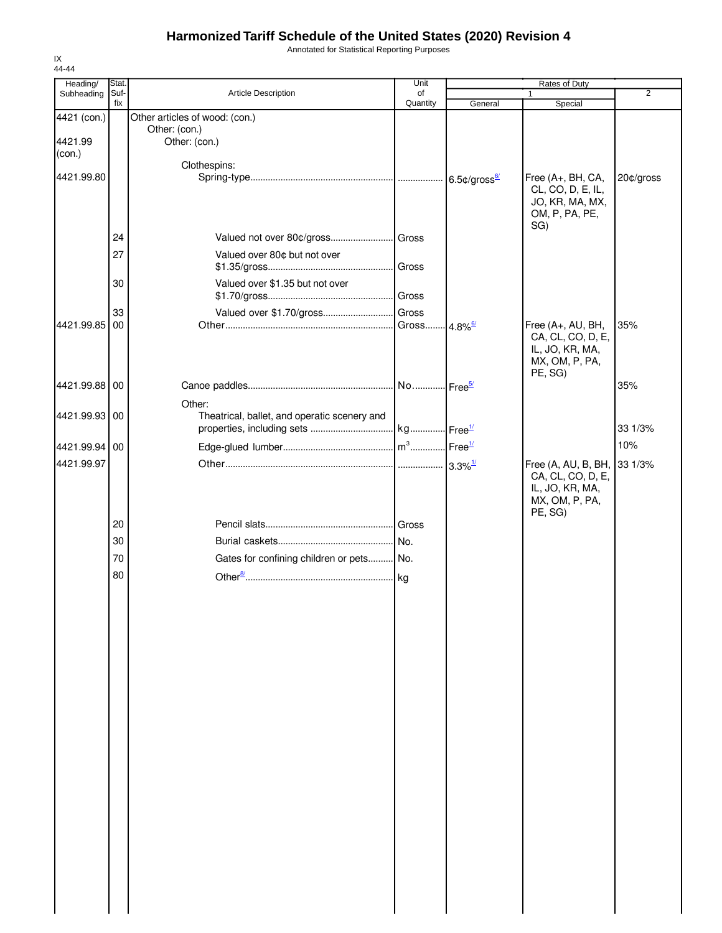Annotated for Statistical Reporting Purposes

| Suf-<br>Article Description<br>$\overline{2}$<br>Subheading<br>of<br>fix<br>Quantity<br>General<br>Special<br>4421 (con.)<br>Other articles of wood: (con.)<br>Other: (con.)<br>4421.99<br>Other: (con.)<br>(con.)<br>Clothespins:<br>Free (A+, BH, CA,<br>20¢/gross<br>6.5 $\text{\c{c}}$ /gross $\frac{67}{2}$<br>CL, CO, D, E, IL,<br>JO, KR, MA, MX,<br>OM, P, PA, PE,<br>SG)<br>24<br>27<br>Valued over 80¢ but not over<br>Valued over \$1.35 but not over<br>30<br>Valued over \$1.70/gross Gross<br>33<br>00<br>. Gross 4.8% <sup>6/</sup><br>Free (A+, AU, BH,<br>35%<br>CA, CL, CO, D, E,<br>IL, JO, KR, MA,<br>MX, OM, P, PA,<br>PE, SG)<br>35%<br>Other:<br>Theatrical, ballet, and operatic scenery and<br>33 1/3%<br>10%<br>4421.99.97<br>Free (A, AU, B, BH,<br>33 1/3%<br>CA, CL, CO, D, E,<br>IL, JO, KR, MA,<br>MX, OM, P, PA,<br>PE, SG)<br>20<br>30<br>70<br>Gates for confining children or pets No.<br>80 | 44-44<br>Heading/ | Stat. | Unit | Rates of Duty |  |
|---------------------------------------------------------------------------------------------------------------------------------------------------------------------------------------------------------------------------------------------------------------------------------------------------------------------------------------------------------------------------------------------------------------------------------------------------------------------------------------------------------------------------------------------------------------------------------------------------------------------------------------------------------------------------------------------------------------------------------------------------------------------------------------------------------------------------------------------------------------------------------------------------------------------------------|-------------------|-------|------|---------------|--|
|                                                                                                                                                                                                                                                                                                                                                                                                                                                                                                                                                                                                                                                                                                                                                                                                                                                                                                                                 |                   |       |      |               |  |
|                                                                                                                                                                                                                                                                                                                                                                                                                                                                                                                                                                                                                                                                                                                                                                                                                                                                                                                                 |                   |       |      |               |  |
|                                                                                                                                                                                                                                                                                                                                                                                                                                                                                                                                                                                                                                                                                                                                                                                                                                                                                                                                 |                   |       |      |               |  |
| 4421.99.80<br>4421.99.85<br>4421.99.88 00<br>4421.99.93 00<br>4421.99.94 00                                                                                                                                                                                                                                                                                                                                                                                                                                                                                                                                                                                                                                                                                                                                                                                                                                                     |                   |       |      |               |  |
|                                                                                                                                                                                                                                                                                                                                                                                                                                                                                                                                                                                                                                                                                                                                                                                                                                                                                                                                 |                   |       |      |               |  |
|                                                                                                                                                                                                                                                                                                                                                                                                                                                                                                                                                                                                                                                                                                                                                                                                                                                                                                                                 |                   |       |      |               |  |
|                                                                                                                                                                                                                                                                                                                                                                                                                                                                                                                                                                                                                                                                                                                                                                                                                                                                                                                                 |                   |       |      |               |  |
|                                                                                                                                                                                                                                                                                                                                                                                                                                                                                                                                                                                                                                                                                                                                                                                                                                                                                                                                 |                   |       |      |               |  |
|                                                                                                                                                                                                                                                                                                                                                                                                                                                                                                                                                                                                                                                                                                                                                                                                                                                                                                                                 |                   |       |      |               |  |
|                                                                                                                                                                                                                                                                                                                                                                                                                                                                                                                                                                                                                                                                                                                                                                                                                                                                                                                                 |                   |       |      |               |  |
|                                                                                                                                                                                                                                                                                                                                                                                                                                                                                                                                                                                                                                                                                                                                                                                                                                                                                                                                 |                   |       |      |               |  |
|                                                                                                                                                                                                                                                                                                                                                                                                                                                                                                                                                                                                                                                                                                                                                                                                                                                                                                                                 |                   |       |      |               |  |
|                                                                                                                                                                                                                                                                                                                                                                                                                                                                                                                                                                                                                                                                                                                                                                                                                                                                                                                                 |                   |       |      |               |  |
|                                                                                                                                                                                                                                                                                                                                                                                                                                                                                                                                                                                                                                                                                                                                                                                                                                                                                                                                 |                   |       |      |               |  |
|                                                                                                                                                                                                                                                                                                                                                                                                                                                                                                                                                                                                                                                                                                                                                                                                                                                                                                                                 |                   |       |      |               |  |
|                                                                                                                                                                                                                                                                                                                                                                                                                                                                                                                                                                                                                                                                                                                                                                                                                                                                                                                                 |                   |       |      |               |  |
|                                                                                                                                                                                                                                                                                                                                                                                                                                                                                                                                                                                                                                                                                                                                                                                                                                                                                                                                 |                   |       |      |               |  |
|                                                                                                                                                                                                                                                                                                                                                                                                                                                                                                                                                                                                                                                                                                                                                                                                                                                                                                                                 |                   |       |      |               |  |
|                                                                                                                                                                                                                                                                                                                                                                                                                                                                                                                                                                                                                                                                                                                                                                                                                                                                                                                                 |                   |       |      |               |  |
|                                                                                                                                                                                                                                                                                                                                                                                                                                                                                                                                                                                                                                                                                                                                                                                                                                                                                                                                 |                   |       |      |               |  |
|                                                                                                                                                                                                                                                                                                                                                                                                                                                                                                                                                                                                                                                                                                                                                                                                                                                                                                                                 |                   |       |      |               |  |
|                                                                                                                                                                                                                                                                                                                                                                                                                                                                                                                                                                                                                                                                                                                                                                                                                                                                                                                                 |                   |       |      |               |  |
|                                                                                                                                                                                                                                                                                                                                                                                                                                                                                                                                                                                                                                                                                                                                                                                                                                                                                                                                 |                   |       |      |               |  |
|                                                                                                                                                                                                                                                                                                                                                                                                                                                                                                                                                                                                                                                                                                                                                                                                                                                                                                                                 |                   |       |      |               |  |
|                                                                                                                                                                                                                                                                                                                                                                                                                                                                                                                                                                                                                                                                                                                                                                                                                                                                                                                                 |                   |       |      |               |  |
|                                                                                                                                                                                                                                                                                                                                                                                                                                                                                                                                                                                                                                                                                                                                                                                                                                                                                                                                 |                   |       |      |               |  |
|                                                                                                                                                                                                                                                                                                                                                                                                                                                                                                                                                                                                                                                                                                                                                                                                                                                                                                                                 |                   |       |      |               |  |
|                                                                                                                                                                                                                                                                                                                                                                                                                                                                                                                                                                                                                                                                                                                                                                                                                                                                                                                                 |                   |       |      |               |  |
|                                                                                                                                                                                                                                                                                                                                                                                                                                                                                                                                                                                                                                                                                                                                                                                                                                                                                                                                 |                   |       |      |               |  |
|                                                                                                                                                                                                                                                                                                                                                                                                                                                                                                                                                                                                                                                                                                                                                                                                                                                                                                                                 |                   |       |      |               |  |
|                                                                                                                                                                                                                                                                                                                                                                                                                                                                                                                                                                                                                                                                                                                                                                                                                                                                                                                                 |                   |       |      |               |  |
|                                                                                                                                                                                                                                                                                                                                                                                                                                                                                                                                                                                                                                                                                                                                                                                                                                                                                                                                 |                   |       |      |               |  |
|                                                                                                                                                                                                                                                                                                                                                                                                                                                                                                                                                                                                                                                                                                                                                                                                                                                                                                                                 |                   |       |      |               |  |
|                                                                                                                                                                                                                                                                                                                                                                                                                                                                                                                                                                                                                                                                                                                                                                                                                                                                                                                                 |                   |       |      |               |  |
|                                                                                                                                                                                                                                                                                                                                                                                                                                                                                                                                                                                                                                                                                                                                                                                                                                                                                                                                 |                   |       |      |               |  |
|                                                                                                                                                                                                                                                                                                                                                                                                                                                                                                                                                                                                                                                                                                                                                                                                                                                                                                                                 |                   |       |      |               |  |
|                                                                                                                                                                                                                                                                                                                                                                                                                                                                                                                                                                                                                                                                                                                                                                                                                                                                                                                                 |                   |       |      |               |  |
|                                                                                                                                                                                                                                                                                                                                                                                                                                                                                                                                                                                                                                                                                                                                                                                                                                                                                                                                 |                   |       |      |               |  |
|                                                                                                                                                                                                                                                                                                                                                                                                                                                                                                                                                                                                                                                                                                                                                                                                                                                                                                                                 |                   |       |      |               |  |
|                                                                                                                                                                                                                                                                                                                                                                                                                                                                                                                                                                                                                                                                                                                                                                                                                                                                                                                                 |                   |       |      |               |  |
|                                                                                                                                                                                                                                                                                                                                                                                                                                                                                                                                                                                                                                                                                                                                                                                                                                                                                                                                 |                   |       |      |               |  |
|                                                                                                                                                                                                                                                                                                                                                                                                                                                                                                                                                                                                                                                                                                                                                                                                                                                                                                                                 |                   |       |      |               |  |
|                                                                                                                                                                                                                                                                                                                                                                                                                                                                                                                                                                                                                                                                                                                                                                                                                                                                                                                                 |                   |       |      |               |  |
|                                                                                                                                                                                                                                                                                                                                                                                                                                                                                                                                                                                                                                                                                                                                                                                                                                                                                                                                 |                   |       |      |               |  |
|                                                                                                                                                                                                                                                                                                                                                                                                                                                                                                                                                                                                                                                                                                                                                                                                                                                                                                                                 |                   |       |      |               |  |
|                                                                                                                                                                                                                                                                                                                                                                                                                                                                                                                                                                                                                                                                                                                                                                                                                                                                                                                                 |                   |       |      |               |  |
|                                                                                                                                                                                                                                                                                                                                                                                                                                                                                                                                                                                                                                                                                                                                                                                                                                                                                                                                 |                   |       |      |               |  |
|                                                                                                                                                                                                                                                                                                                                                                                                                                                                                                                                                                                                                                                                                                                                                                                                                                                                                                                                 |                   |       |      |               |  |
|                                                                                                                                                                                                                                                                                                                                                                                                                                                                                                                                                                                                                                                                                                                                                                                                                                                                                                                                 |                   |       |      |               |  |
|                                                                                                                                                                                                                                                                                                                                                                                                                                                                                                                                                                                                                                                                                                                                                                                                                                                                                                                                 |                   |       |      |               |  |
|                                                                                                                                                                                                                                                                                                                                                                                                                                                                                                                                                                                                                                                                                                                                                                                                                                                                                                                                 |                   |       |      |               |  |

IX